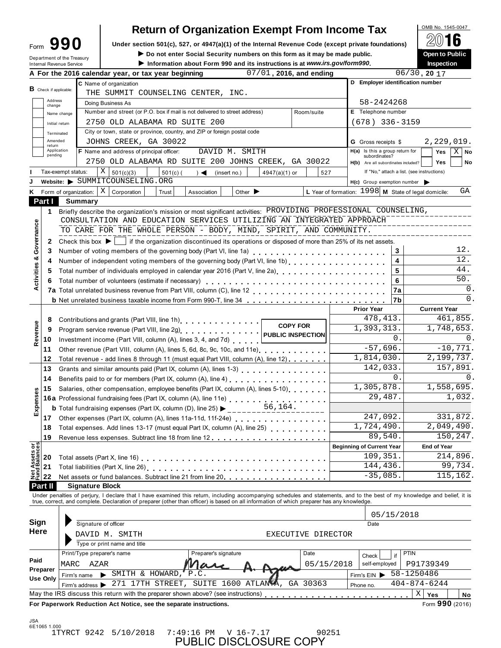| ∙orm | 990 |  |
|------|-----|--|
|      |     |  |

# **Return of Organization Exempt From Income Tax**<br> **Exertion 501(c)** 527, or 4947(a)(1) of the Internal Beyonue Code (except private foundations)

Form 990 Under section 501(c), 527, or 4947(a)(1) of the Internal Revenue Code (except private foundations) <u>A</u><sup>∪</sup> IO<br>Do not enter Social Security numbers on this form as it may be made public. **Open to Public** 

Department of the Treasury<br>Internal Revenue Service<br>Inspection<br>Inspection

|                                        |                               | Department of the Treasury<br>Internal Revenue Service |                                     | $\blacktriangleright$ Do not enter Social Security numbers on this form as it may be made public.<br>Information about Form 990 and its instructions is at www.irs.gov/form990.                                                   |                         |            |                                                      |    | Open to Public<br>Inspection                                    |
|----------------------------------------|-------------------------------|--------------------------------------------------------|-------------------------------------|-----------------------------------------------------------------------------------------------------------------------------------------------------------------------------------------------------------------------------------|-------------------------|------------|------------------------------------------------------|----|-----------------------------------------------------------------|
|                                        |                               |                                                        |                                     | A For the 2016 calendar year, or tax year beginning                                                                                                                                                                               | 07/01, 2016, and ending |            |                                                      |    | $06/30$ , 20 17                                                 |
|                                        |                               |                                                        |                                     | C Name of organization                                                                                                                                                                                                            |                         |            | D Employer identification number                     |    |                                                                 |
|                                        | <b>B</b> Check if applicable: |                                                        |                                     | THE SUMMIT COUNSELING CENTER, INC.                                                                                                                                                                                                |                         |            |                                                      |    |                                                                 |
|                                        | Address<br>change             |                                                        |                                     | Doing Business As                                                                                                                                                                                                                 |                         |            | 58-2424268                                           |    |                                                                 |
|                                        |                               | Name change                                            |                                     | Number and street (or P.O. box if mail is not delivered to street address)                                                                                                                                                        | Room/suite              |            | E Telephone number                                   |    |                                                                 |
|                                        |                               | Initial return                                         |                                     | 2750 OLD ALABAMA RD SUITE 200                                                                                                                                                                                                     |                         |            | $(678)$ 336 - 3159                                   |    |                                                                 |
|                                        | Terminated                    |                                                        |                                     | City or town, state or province, country, and ZIP or foreign postal code                                                                                                                                                          |                         |            |                                                      |    |                                                                 |
|                                        | Amended                       |                                                        |                                     | JOHNS CREEK, GA 30022                                                                                                                                                                                                             |                         |            | <b>G</b> Gross receipts \$                           |    | 2,229,019.                                                      |
|                                        | return<br>Application         |                                                        |                                     | F Name and address of principal officer:<br>DAVID M. SMITH                                                                                                                                                                        |                         |            | H(a) Is this a group return for                      |    | Yes<br>$X \mid$ No                                              |
|                                        | pending                       |                                                        |                                     | 2750 OLD ALABAMA RD SUITE 200 JOHNS CREEK, GA 30022                                                                                                                                                                               |                         |            | subordinates?<br>H(b) Are all subordinates included? |    | <b>Yes</b><br>No                                                |
|                                        |                               | Tax-exempt status:                                     |                                     | Χ<br>501(c)(3)<br>$501(c)$ (<br>$\rightarrow$<br>(insert no.)                                                                                                                                                                     | $4947(a)(1)$ or         | 527        |                                                      |    | If "No," attach a list. (see instructions)                      |
|                                        |                               |                                                        |                                     | Website: SUMMITCOUNSELING.ORG                                                                                                                                                                                                     |                         |            | $H(c)$ Group exemption number                        |    |                                                                 |
| ĸ                                      |                               |                                                        | Form of organization: $\mid X \mid$ | Corporation<br>Other $\blacktriangleright$<br>Association<br>Trust                                                                                                                                                                |                         |            |                                                      |    | L Year of formation: $1998$ M State of legal domicile:<br>GА    |
|                                        | Part I                        |                                                        | <b>Summary</b>                      |                                                                                                                                                                                                                                   |                         |            |                                                      |    |                                                                 |
|                                        | 1                             |                                                        |                                     | Briefly describe the organization's mission or most significant activities: PROVIDING PROFESSIONAL COUNSELING,                                                                                                                    |                         |            |                                                      |    |                                                                 |
|                                        |                               |                                                        |                                     | CONSULTATION AND EDUCATION SERVICES UTILIZING AN INTEGRATED APPROACH                                                                                                                                                              |                         |            |                                                      |    |                                                                 |
|                                        |                               |                                                        |                                     | TO CARE FOR THE WHOLE PERSON - BODY, MIND, SPIRIT, AND COMMUNITY.                                                                                                                                                                 |                         |            |                                                      |    |                                                                 |
|                                        |                               |                                                        |                                     | Check this box $\blacktriangleright$   if the organization discontinued its operations or disposed of more than 25% of its net assets.                                                                                            |                         |            |                                                      |    |                                                                 |
| Governance                             | 2<br>3                        |                                                        |                                     |                                                                                                                                                                                                                                   |                         |            |                                                      | 3  | 12.                                                             |
|                                        |                               |                                                        |                                     |                                                                                                                                                                                                                                   |                         |            |                                                      | 4  | 12.                                                             |
|                                        | 4                             |                                                        |                                     |                                                                                                                                                                                                                                   |                         |            |                                                      | 5  | 44.                                                             |
| Activities &                           | 5                             |                                                        |                                     | Total number of individuals employed in calendar year 2016 (Part V, line 2a)<br>Total number of individuals employed in calendar year 2016 (Part V, line 2a)                                                                      |                         |            |                                                      |    | $50.$                                                           |
|                                        | 6                             |                                                        |                                     | Total number of volunteers (estimate if necessary)                                                                                                                                                                                |                         |            |                                                      | 6  | $\mathbf 0$ .                                                   |
|                                        |                               |                                                        |                                     |                                                                                                                                                                                                                                   |                         |            |                                                      | 7a | 0.                                                              |
|                                        |                               |                                                        |                                     | <b>b</b> Net unrelated business taxable income from Form 990-T, line 34                                                                                                                                                           |                         |            | <b>Prior Year</b>                                    | 7b | <b>Current Year</b>                                             |
|                                        |                               |                                                        |                                     |                                                                                                                                                                                                                                   |                         |            | 478, 413.                                            |    | 461,855.                                                        |
|                                        | 8                             |                                                        |                                     | Contributions and grants (Part VIII, line 1h) [19] Contributions and grants (Part VIII, line 1h)                                                                                                                                  | <b>COPY FOR</b>         |            | 1,393,313.                                           |    | 1,748,653.                                                      |
| Revenue                                | 9                             |                                                        |                                     | Program service revenue (Part VIII, line 2g)<br>public INSPECTION                                                                                                                                                                 |                         |            |                                                      | 0. | $\Omega$ .                                                      |
|                                        | 10                            |                                                        |                                     | Investment income (Part VIII, column (A), lines 3, 4, and 7d)                                                                                                                                                                     |                         |            | $-57,696.$                                           |    | $-10,771.$                                                      |
|                                        | 11                            |                                                        |                                     | Other revenue (Part VIII, column (A), lines 5, 6d, 8c, 9c, 10c, and 11e) [100]                                                                                                                                                    |                         |            |                                                      |    | 2, 199, 737.                                                    |
|                                        | 12                            |                                                        |                                     | Total revenue - add lines 8 through 11 (must equal Part VIII, column (A), line 12)                                                                                                                                                |                         |            | 1,814,030.                                           |    |                                                                 |
|                                        | 13                            |                                                        |                                     |                                                                                                                                                                                                                                   |                         |            | 142,033.                                             | 0. | 157,891.<br>0.                                                  |
|                                        | 14                            |                                                        |                                     | Benefits paid to or for members (Part IX, column (A), line 4) [10] cases are set of the set of the set of the set of the set of the set of the set of the set of the set of the set of the set of the set of the set of the se    |                         |            | 1,305,878.                                           |    | 1,558,695.                                                      |
|                                        | 15                            |                                                        |                                     | Salaries, other compensation, employee benefits (Part IX, column (A), lines 5-10)                                                                                                                                                 |                         |            |                                                      |    |                                                                 |
| Expenses                               |                               |                                                        |                                     | 16a Professional fundraising fees (Part IX, column (A), line 11e)<br>16a Professional fundraising fees (Part IX, column (A), line 11e)                                                                                            |                         |            | 29,487.                                              |    | 1,032.                                                          |
|                                        |                               |                                                        |                                     | <b>b</b> Total fundraising expenses (Part IX, column (D), line 25) $\blacktriangleright$ _____                                                                                                                                    | 56,164.                 |            |                                                      |    | 331,872.                                                        |
|                                        |                               |                                                        |                                     | 17 Other expenses (Part IX, column (A), lines 11a-11d, 11f-24e)                                                                                                                                                                   |                         |            | 247,092.                                             |    |                                                                 |
|                                        | 18                            |                                                        |                                     | Total expenses. Add lines 13-17 (must equal Part IX, column (A), line 25)                                                                                                                                                         |                         |            | 1,724,490.                                           |    | 2,049,490.                                                      |
|                                        | 19                            |                                                        |                                     |                                                                                                                                                                                                                                   |                         |            | 89,540.                                              |    | 150, 247.                                                       |
|                                        |                               |                                                        |                                     |                                                                                                                                                                                                                                   |                         |            | <b>Beginning of Current Year</b>                     |    | <b>End of Year</b>                                              |
| <b>Net Assets or<br/>Fund Balances</b> | 20                            |                                                        |                                     |                                                                                                                                                                                                                                   |                         |            | 109,351.                                             |    | 214,896.                                                        |
|                                        | 21                            |                                                        |                                     |                                                                                                                                                                                                                                   |                         |            | 144,436.                                             |    | 99,734.                                                         |
|                                        | 22                            |                                                        |                                     | Net assets or fund balances. Subtract line 21 from line 20 [11, 11, 11, 11, 11]                                                                                                                                                   |                         |            | $-35,085.$                                           |    | 115,162.                                                        |
|                                        | Part II                       |                                                        | <b>Signature Block</b>              |                                                                                                                                                                                                                                   |                         |            |                                                      |    |                                                                 |
|                                        |                               |                                                        |                                     | Under penalties of perjury, I declare that I have examined this return, including accompanying schedules and statements, and to the best of my knowledge and belief, it is<br>true, correct, and complete. Declaration of prepare |                         |            |                                                      |    |                                                                 |
|                                        |                               |                                                        |                                     |                                                                                                                                                                                                                                   |                         |            |                                                      |    |                                                                 |
| Sign                                   |                               |                                                        | Signature of officer                |                                                                                                                                                                                                                                   |                         |            | 05/15/2018<br>Date                                   |    |                                                                 |
| Here                                   |                               |                                                        |                                     |                                                                                                                                                                                                                                   |                         |            |                                                      |    |                                                                 |
|                                        |                               |                                                        |                                     | DAVID M. SMITH                                                                                                                                                                                                                    | EXECUTIVE DIRECTOR      |            |                                                      |    |                                                                 |
|                                        |                               |                                                        |                                     | Type or print name and title                                                                                                                                                                                                      |                         |            |                                                      |    |                                                                 |
| Paid                                   |                               |                                                        |                                     | Print/Type preparer's name<br>Preparer's signature                                                                                                                                                                                | Date                    |            | Check                                                | if | PTIN                                                            |
|                                        | Preparer                      | MARC                                                   | AZAR                                |                                                                                                                                                                                                                                   |                         | 05/15/2018 | self-employed                                        |    | P91739349                                                       |
|                                        | Use Only                      |                                                        | Firm's name                         |                                                                                                                                                                                                                                   |                         |            | Firm's $EIN$                                         |    |                                                                 |
|                                        |                               |                                                        | Firm's address >                    |                                                                                                                                                                                                                                   |                         |            | Phone no.                                            |    |                                                                 |
|                                        |                               |                                                        |                                     |                                                                                                                                                                                                                                   |                         |            |                                                      |    | No                                                              |
|                                        |                               |                                                        |                                     | SMITH & HOWARD,<br>P.C.<br>271 17TH STREET, SUITE 1600 ATLANTA,<br>May the IRS discuss this return with the preparer shown above? (see instructions)<br>For Paperwork Reduction Act Notice, see the separate instructions.        | GA 30363                |            |                                                      |    | 58-1250486<br>$404 - 874 - 6244$<br>Χ<br>Yes<br>Form 990 (2016) |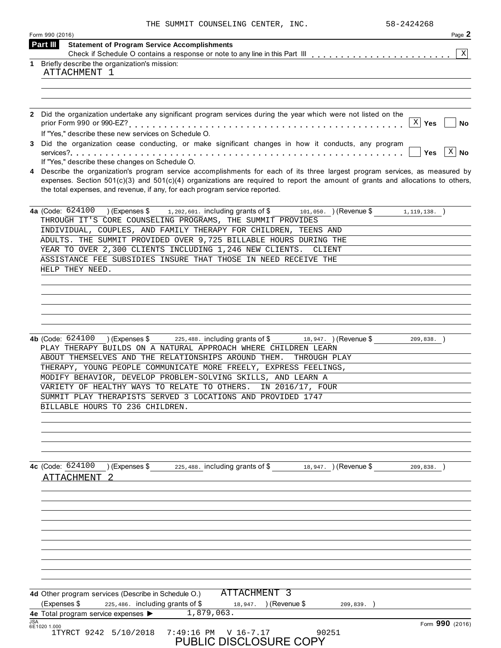|              | 58-2424268<br>THE SUMMIT COUNSELING CENTER, INC.                                                                                                                                                                                                                                                                                                                                                   |
|--------------|----------------------------------------------------------------------------------------------------------------------------------------------------------------------------------------------------------------------------------------------------------------------------------------------------------------------------------------------------------------------------------------------------|
|              | Page 2<br>Form 990 (2016)<br>Part III<br><b>Statement of Program Service Accomplishments</b>                                                                                                                                                                                                                                                                                                       |
|              | $\mathbf X$                                                                                                                                                                                                                                                                                                                                                                                        |
|              | 1 Briefly describe the organization's mission:<br>ATTACHMENT 1                                                                                                                                                                                                                                                                                                                                     |
|              |                                                                                                                                                                                                                                                                                                                                                                                                    |
| $\mathbf{2}$ | Did the organization undertake any significant program services during the year which were not listed on the<br>$\mathbf{x}$<br>Yes<br><b>No</b><br>If "Yes," describe these new services on Schedule O.                                                                                                                                                                                           |
|              | 3 Did the organization cease conducting, or make significant changes in how it conducts, any program<br>$X \mid N$ o<br>Yes                                                                                                                                                                                                                                                                        |
| 4            | If "Yes," describe these changes on Schedule O.<br>Describe the organization's program service accomplishments for each of its three largest program services, as measured by<br>expenses. Section $501(c)(3)$ and $501(c)(4)$ organizations are required to report the amount of grants and allocations to others,<br>the total expenses, and revenue, if any, for each program service reported. |
|              | 4a (Code: 624100<br>) (Expenses \$<br>1, 202, 601. including grants of \$101, 050. (Revenue \$1, 119, 138.)<br>THROUGH IT'S CORE COUNSELING PROGRAMS, THE SUMMIT PROVIDES                                                                                                                                                                                                                          |
|              | INDIVIDUAL, COUPLES, AND FAMILY THERAPY FOR CHILDREN, TEENS AND                                                                                                                                                                                                                                                                                                                                    |
|              | ADULTS. THE SUMMIT PROVIDED OVER 9,725 BILLABLE HOURS DURING THE                                                                                                                                                                                                                                                                                                                                   |
|              | YEAR TO OVER 2,300 CLIENTS INCLUDING 1,246 NEW CLIENTS.<br>CLIENT<br>ASSISTANCE FEE SUBSIDIES INSURE THAT THOSE IN NEED RECEIVE THE                                                                                                                                                                                                                                                                |
|              | HELP THEY NEED.                                                                                                                                                                                                                                                                                                                                                                                    |
|              |                                                                                                                                                                                                                                                                                                                                                                                                    |
|              |                                                                                                                                                                                                                                                                                                                                                                                                    |
|              |                                                                                                                                                                                                                                                                                                                                                                                                    |
|              |                                                                                                                                                                                                                                                                                                                                                                                                    |
|              | 4b (Code: 624100<br>) (Expenses \$<br>225, 488. including grants of $\frac{18}{3}$ and $\frac{18}{947}$ . (Revenue $\frac{18}{3}$<br>209,838.<br>PLAY THERAPY BUILDS ON A NATURAL APPROACH WHERE CHILDREN LEARN                                                                                                                                                                                    |
|              | ABOUT THEMSELVES AND THE RELATIONSHIPS AROUND THEM.<br>THROUGH PLAY                                                                                                                                                                                                                                                                                                                                |
|              | THERAPY, YOUNG PEOPLE COMMUNICATE MORE FREELY, EXPRESS FEELINGS,<br>MODIFY BEHAVIOR, DEVELOP PROBLEM-SOLVING SKILLS, AND LEARN A                                                                                                                                                                                                                                                                   |
|              | VARIETY OF HEALTHY WAYS TO RELATE TO OTHERS.<br>IN 2016/17, FOUR                                                                                                                                                                                                                                                                                                                                   |
|              | SUMMIT PLAY THERAPISTS SERVED 3 LOCATIONS AND PROVIDED 1747                                                                                                                                                                                                                                                                                                                                        |
|              | BILLABLE HOURS TO 236 CHILDREN.                                                                                                                                                                                                                                                                                                                                                                    |
|              |                                                                                                                                                                                                                                                                                                                                                                                                    |
|              |                                                                                                                                                                                                                                                                                                                                                                                                    |
|              | 4c (Code: 624100 ) (Expenses \$ 225,488. including grants of \$ 18,947. ) (Revenue \$ 209,838. )                                                                                                                                                                                                                                                                                                   |
|              | ATTACHMENT <sub>2</sub>                                                                                                                                                                                                                                                                                                                                                                            |
|              |                                                                                                                                                                                                                                                                                                                                                                                                    |
|              |                                                                                                                                                                                                                                                                                                                                                                                                    |
|              |                                                                                                                                                                                                                                                                                                                                                                                                    |
|              |                                                                                                                                                                                                                                                                                                                                                                                                    |
|              | ATTACHMENT 3<br>4d Other program services (Describe in Schedule O.)<br>(Expenses \$<br>225,486. including grants of \$<br>18,947. ) (Revenue \$<br>$209,839.$ )                                                                                                                                                                                                                                    |
|              | 1,879,063.<br>4e Total program service expenses >                                                                                                                                                                                                                                                                                                                                                  |
| <b>JSA</b>   | Form 990 (2016)<br>6E1020 1.000                                                                                                                                                                                                                                                                                                                                                                    |
|              | 1TYRCT 9242 5/10/2018<br>7:49:16 PM V 16-7.17<br>90251<br>PUBLIC DISCLOSURE COPY                                                                                                                                                                                                                                                                                                                   |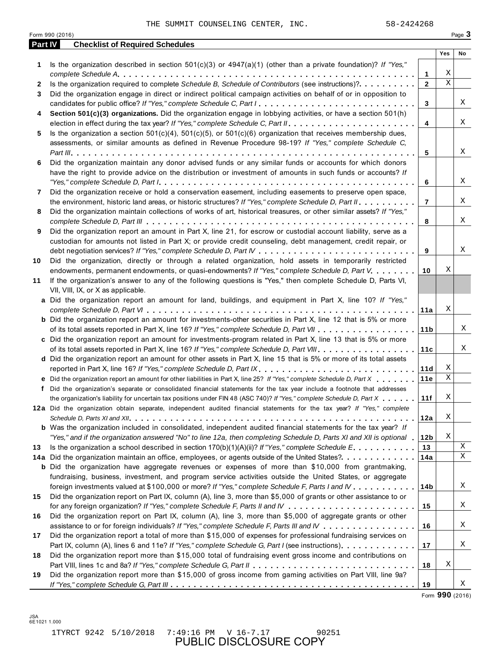|                | THE SUMMIT COUNSELING CENTER, INC.                                                                                                                                                                                         | 58-2424268            |                         |        |
|----------------|----------------------------------------------------------------------------------------------------------------------------------------------------------------------------------------------------------------------------|-----------------------|-------------------------|--------|
| <b>Part IV</b> | Form 990 (2016)<br><b>Checklist of Required Schedules</b>                                                                                                                                                                  |                       |                         | Page 3 |
|                |                                                                                                                                                                                                                            |                       | Yes                     | No     |
| 1              | Is the organization described in section $501(c)(3)$ or $4947(a)(1)$ (other than a private foundation)? If "Yes,"                                                                                                          |                       | Χ                       |        |
| 2              | Is the organization required to complete Schedule B, Schedule of Contributors (see instructions)?.                                                                                                                         | 1<br>$\overline{2}$   | $\mathbf X$             |        |
| 3              | Did the organization engage in direct or indirect political campaign activities on behalf of or in opposition to                                                                                                           |                       |                         |        |
|                | candidates for public office? If "Yes," complete Schedule C, Part I.                                                                                                                                                       | 3                     |                         | Χ      |
| 4              | Section 501(c)(3) organizations. Did the organization engage in lobbying activities, or have a section 501(h)                                                                                                              |                       |                         |        |
|                |                                                                                                                                                                                                                            | 4                     |                         | Χ      |
| 5              | Is the organization a section $501(c)(4)$ , $501(c)(5)$ , or $501(c)(6)$ organization that receives membership dues,                                                                                                       |                       |                         |        |
|                | assessments, or similar amounts as defined in Revenue Procedure 98-19? If "Yes," complete Schedule C,                                                                                                                      |                       |                         |        |
|                |                                                                                                                                                                                                                            | 5                     |                         | Χ      |
| 6              | Did the organization maintain any donor advised funds or any similar funds or accounts for which donors                                                                                                                    |                       |                         |        |
|                | have the right to provide advice on the distribution or investment of amounts in such funds or accounts? If                                                                                                                |                       |                         |        |
|                |                                                                                                                                                                                                                            | 6                     |                         | Χ      |
| 7              | Did the organization receive or hold a conservation easement, including easements to preserve open space,                                                                                                                  |                       |                         |        |
|                | the environment, historic land areas, or historic structures? If "Yes," complete Schedule D, Part II.                                                                                                                      | $\overline{7}$        |                         | Χ      |
| 8              | Did the organization maintain collections of works of art, historical treasures, or other similar assets? If "Yes,"                                                                                                        |                       |                         |        |
|                |                                                                                                                                                                                                                            | 8                     |                         | Χ      |
| 9              | Did the organization report an amount in Part X, line 21, for escrow or custodial account liability, serve as a                                                                                                            |                       |                         |        |
|                | custodian for amounts not listed in Part X; or provide credit counseling, debt management, credit repair, or                                                                                                               | 9                     |                         | Χ      |
| 10             | Did the organization, directly or through a related organization, hold assets in temporarily restricted                                                                                                                    |                       |                         |        |
|                | endowments, permanent endowments, or quasi-endowments? If "Yes," complete Schedule D, Part V.                                                                                                                              | 10                    | Χ                       |        |
| 11             | If the organization's answer to any of the following questions is "Yes," then complete Schedule D, Parts VI,                                                                                                               |                       |                         |        |
|                | VII, VIII, IX, or X as applicable.                                                                                                                                                                                         |                       |                         |        |
|                | a Did the organization report an amount for land, buildings, and equipment in Part X, line 10? If "Yes,"                                                                                                                   |                       |                         |        |
|                |                                                                                                                                                                                                                            | 11a                   | Χ                       |        |
|                | <b>b</b> Did the organization report an amount for investments-other securities in Part X, line 12 that is 5% or more                                                                                                      |                       |                         |        |
|                |                                                                                                                                                                                                                            | 11 <sub>b</sub>       |                         | X      |
|                | c Did the organization report an amount for investments-program related in Part X, line 13 that is 5% or more                                                                                                              |                       |                         |        |
|                |                                                                                                                                                                                                                            | 11c                   |                         | X      |
|                | d Did the organization report an amount for other assets in Part X, line 15 that is 5% or more of its total assets                                                                                                         |                       |                         |        |
|                | reported in Part X, line 16? If "Yes," complete Schedule D, Part IX.                                                                                                                                                       | 11d                   | Χ                       |        |
|                | e Did the organization report an amount for other liabilities in Part X, line 25? If "Yes," complete Schedule D, Part X                                                                                                    | 11e                   | $\overline{\mathbf{x}}$ |        |
|                | f Did the organization's separate or consolidated financial statements for the tax year include a footnote that addresses                                                                                                  |                       |                         |        |
|                | the organization's liability for uncertain tax positions under FIN 48 (ASC 740)? If "Yes," complete Schedule D, Part X                                                                                                     | 11f                   | Χ                       |        |
|                | 12a Did the organization obtain separate, independent audited financial statements for the tax year? If "Yes," complete                                                                                                    |                       |                         |        |
|                |                                                                                                                                                                                                                            | 12a                   | Χ                       |        |
|                | <b>b</b> Was the organization included in consolidated, independent audited financial statements for the tax year? If                                                                                                      |                       | X                       |        |
| 13             | "Yes," and if the organization answered "No" to line 12a, then completing Schedule D, Parts XI and XII is optional<br>Is the organization a school described in section $170(b)(1)(A)(ii)?$ If "Yes," complete Schedule E. | 12 <sub>b</sub><br>13 |                         | Χ      |
|                | 14a Did the organization maintain an office, employees, or agents outside of the United States?.                                                                                                                           | 14a                   |                         | Χ      |
|                | <b>b</b> Did the organization have aggregate revenues or expenses of more than \$10,000 from grantmaking,                                                                                                                  |                       |                         |        |
|                | fundraising, business, investment, and program service activities outside the United States, or aggregate                                                                                                                  |                       |                         |        |
|                | foreign investments valued at \$100,000 or more? If "Yes," complete Schedule F, Parts I and IV                                                                                                                             | 14b                   |                         | Χ      |
| 15             | Did the organization report on Part IX, column (A), line 3, more than \$5,000 of grants or other assistance to or                                                                                                          |                       |                         |        |
|                |                                                                                                                                                                                                                            | 15                    |                         | Χ      |
| 16             | Did the organization report on Part IX, column (A), line 3, more than \$5,000 of aggregate grants or other                                                                                                                 |                       |                         |        |
|                | assistance to or for foreign individuals? If "Yes," complete Schedule F, Parts III and IV                                                                                                                                  | 16                    |                         | Χ      |
| 17             | Did the organization report a total of more than \$15,000 of expenses for professional fundraising services on                                                                                                             |                       |                         |        |
|                | Part IX, column (A), lines 6 and 11e? If "Yes," complete Schedule G, Part I (see instructions)                                                                                                                             | 17                    |                         | Χ      |
| 18             | Did the organization report more than \$15,000 total of fundraising event gross income and contributions on                                                                                                                |                       |                         |        |
|                |                                                                                                                                                                                                                            | 18                    | Χ                       |        |
| 19             | Did the organization report more than \$15,000 of gross income from gaming activities on Part VIII, line 9a?                                                                                                               |                       |                         |        |
|                |                                                                                                                                                                                                                            | 19                    |                         | Χ      |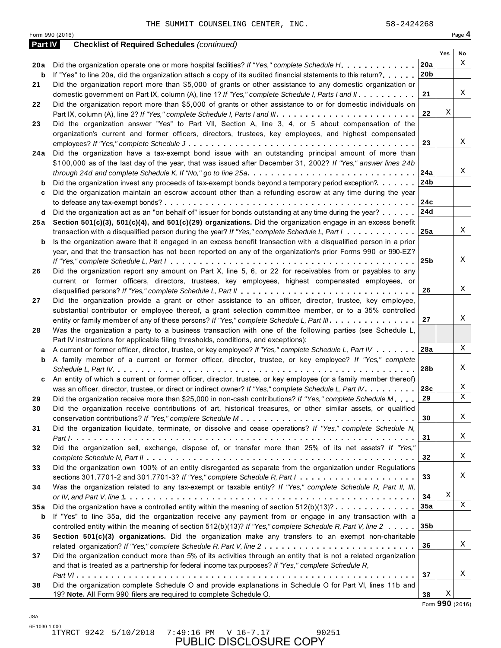| Form 990 (2016)<br>Page 4<br><b>Checklist of Required Schedules (continued)</b><br><b>Part IV</b><br>Yes<br>No<br>X<br>20a<br>Did the organization operate one or more hospital facilities? If "Yes," complete Schedule H.<br>20b<br>If "Yes" to line 20a, did the organization attach a copy of its audited financial statements to this return?<br>b<br>Did the organization report more than \$5,000 of grants or other assistance to any domestic organization or<br>Χ<br>21<br>domestic government on Part IX, column (A), line 1? If "Yes," complete Schedule I, Parts I and II.<br>Did the organization report more than \$5,000 of grants or other assistance to or for domestic individuals on<br>22<br>Χ<br>22<br>Did the organization answer "Yes" to Part VII, Section A, line 3, 4, or 5 about compensation of the<br>23<br>organization's current and former officers, directors, trustees, key employees, and highest compensated<br>X<br>23<br>Did the organization have a tax-exempt bond issue with an outstanding principal amount of more than<br>24 a<br>\$100,000 as of the last day of the year, that was issued after December 31, 2002? If "Yes," answer lines 24b<br>Χ<br>24a<br>24 <sub>b</sub><br>Did the organization invest any proceeds of tax-exempt bonds beyond a temporary period exception?<br>b<br>Did the organization maintain an escrow account other than a refunding escrow at any time during the year<br>c<br>24c<br>24d<br>Did the organization act as an "on behalf of" issuer for bonds outstanding at any time during the year?<br>d<br>25 a<br>Section 501(c)(3), 501(c)(4), and 501(c)(29) organizations. Did the organization engage in an excess benefit<br>X<br>25a<br>transaction with a disqualified person during the year? If "Yes," complete Schedule L, Part I<br>Is the organization aware that it engaged in an excess benefit transaction with a disqualified person in a prior<br>b<br>year, and that the transaction has not been reported on any of the organization's prior Forms 990 or 990-EZ?<br>Χ<br>25 <sub>b</sub><br>Did the organization report any amount on Part X, line 5, 6, or 22 for receivables from or payables to any<br>26<br>current or former officers, directors, trustees, key employees, highest compensated employees, or<br>Χ<br>26<br>Did the organization provide a grant or other assistance to an officer, director, trustee, key employee,<br>substantial contributor or employee thereof, a grant selection committee member, or to a 35% controlled<br>Χ<br>27<br>entity or family member of any of these persons? If "Yes," complete Schedule L, Part III.<br>Was the organization a party to a business transaction with one of the following parties (see Schedule L,<br>Part IV instructions for applicable filing thresholds, conditions, and exceptions):<br>Χ<br>28a<br>A current or former officer, director, trustee, or key employee? If "Yes," complete Schedule L, Part IV<br>a<br>A family member of a current or former officer, director, trustee, or key employee? If "Yes," complete<br>b<br>Χ<br>28b<br>An entity of which a current or former officer, director, trustee, or key employee (or a family member thereof)<br>C<br>X<br>was an officer, director, trustee, or direct or indirect owner? If "Yes," complete Schedule L, Part IV.<br>28c<br>X<br>29<br>Did the organization receive more than \$25,000 in non-cash contributions? If "Yes," complete Schedule M.<br>29<br>Did the organization receive contributions of art, historical treasures, or other similar assets, or qualified<br>30<br>Χ<br>30<br>Did the organization liquidate, terminate, or dissolve and cease operations? If "Yes," complete Schedule N,<br>31<br>Χ<br>31<br>Did the organization sell, exchange, dispose of, or transfer more than 25% of its net assets? If "Yes,"<br>32<br>X<br>32<br>Did the organization own 100% of an entity disregarded as separate from the organization under Regulations<br>Χ<br>sections 301.7701-2 and 301.7701-3? If "Yes," complete Schedule R, Part  <br>33<br>Was the organization related to any tax-exempt or taxable entity? If "Yes," complete Schedule R, Part II, III,<br>Χ<br>34<br>X<br>Did the organization have a controlled entity within the meaning of section $512(b)(13)? \ldots \ldots \ldots \ldots$<br>35a<br>If "Yes" to line 35a, did the organization receive any payment from or engage in any transaction with a<br>b<br>35 <sub>b</sub><br>controlled entity within the meaning of section 512(b)(13)? If "Yes," complete Schedule R, Part V, line 2<br>Section 501(c)(3) organizations. Did the organization make any transfers to an exempt non-charitable<br>Χ<br>36<br>Did the organization conduct more than 5% of its activities through an entity that is not a related organization<br>37<br>and that is treated as a partnership for federal income tax purposes? If "Yes," complete Schedule R,<br>Χ<br>37<br>Did the organization complete Schedule O and provide explanations in Schedule O for Part VI, lines 11b and<br>38<br>Χ<br>19? Note. All Form 990 filers are required to complete Schedule O.<br>38 |      | 58-2424268<br>THE SUMMIT COUNSELING CENTER, INC. |  |  |
|---------------------------------------------------------------------------------------------------------------------------------------------------------------------------------------------------------------------------------------------------------------------------------------------------------------------------------------------------------------------------------------------------------------------------------------------------------------------------------------------------------------------------------------------------------------------------------------------------------------------------------------------------------------------------------------------------------------------------------------------------------------------------------------------------------------------------------------------------------------------------------------------------------------------------------------------------------------------------------------------------------------------------------------------------------------------------------------------------------------------------------------------------------------------------------------------------------------------------------------------------------------------------------------------------------------------------------------------------------------------------------------------------------------------------------------------------------------------------------------------------------------------------------------------------------------------------------------------------------------------------------------------------------------------------------------------------------------------------------------------------------------------------------------------------------------------------------------------------------------------------------------------------------------------------------------------------------------------------------------------------------------------------------------------------------------------------------------------------------------------------------------------------------------------------------------------------------------------------------------------------------------------------------------------------------------------------------------------------------------------------------------------------------------------------------------------------------------------------------------------------------------------------------------------------------------------------------------------------------------------------------------------------------------------------------------------------------------------------------------------------------------------------------------------------------------------------------------------------------------------------------------------------------------------------------------------------------------------------------------------------------------------------------------------------------------------------------------------------------------------------------------------------------------------------------------------------------------------------------------------------------------------------------------------------------------------------------------------------------------------------------------------------------------------------------------------------------------------------------------------------------------------------------------------------------------------------------------------------------------------------------------------------------------------------------------------------------------------------------------------------------------------------------------------------------------------------------------------------------------------------------------------------------------------------------------------------------------------------------------------------------------------------------------------------------------------------------------------------------------------------------------------------------------------------------------------------------------------------------------------------------------------------------------------------------------------------------------------------------------------------------------------------------------------------------------------------------------------------------------------------------------------------------------------------------------------------------------------------------------------------------------------------------------------------------------------------------------------------------------------------------------------------------------------------------------------------------------------------------------------------------------------------------------------------------------------------------------------------------------------------------------------------------------------------------------------------------------------------------------------------------------------------------------------------------------------------|------|--------------------------------------------------|--|--|
|                                                                                                                                                                                                                                                                                                                                                                                                                                                                                                                                                                                                                                                                                                                                                                                                                                                                                                                                                                                                                                                                                                                                                                                                                                                                                                                                                                                                                                                                                                                                                                                                                                                                                                                                                                                                                                                                                                                                                                                                                                                                                                                                                                                                                                                                                                                                                                                                                                                                                                                                                                                                                                                                                                                                                                                                                                                                                                                                                                                                                                                                                                                                                                                                                                                                                                                                                                                                                                                                                                                                                                                                                                                                                                                                                                                                                                                                                                                                                                                                                                                                                                                                                                                                                                                                                                                                                                                                                                                                                                                                                                                                                                                                                                                                                                                                                                                                                                                                                                                                                                                                                                                                                                                                   |      |                                                  |  |  |
|                                                                                                                                                                                                                                                                                                                                                                                                                                                                                                                                                                                                                                                                                                                                                                                                                                                                                                                                                                                                                                                                                                                                                                                                                                                                                                                                                                                                                                                                                                                                                                                                                                                                                                                                                                                                                                                                                                                                                                                                                                                                                                                                                                                                                                                                                                                                                                                                                                                                                                                                                                                                                                                                                                                                                                                                                                                                                                                                                                                                                                                                                                                                                                                                                                                                                                                                                                                                                                                                                                                                                                                                                                                                                                                                                                                                                                                                                                                                                                                                                                                                                                                                                                                                                                                                                                                                                                                                                                                                                                                                                                                                                                                                                                                                                                                                                                                                                                                                                                                                                                                                                                                                                                                                   |      |                                                  |  |  |
|                                                                                                                                                                                                                                                                                                                                                                                                                                                                                                                                                                                                                                                                                                                                                                                                                                                                                                                                                                                                                                                                                                                                                                                                                                                                                                                                                                                                                                                                                                                                                                                                                                                                                                                                                                                                                                                                                                                                                                                                                                                                                                                                                                                                                                                                                                                                                                                                                                                                                                                                                                                                                                                                                                                                                                                                                                                                                                                                                                                                                                                                                                                                                                                                                                                                                                                                                                                                                                                                                                                                                                                                                                                                                                                                                                                                                                                                                                                                                                                                                                                                                                                                                                                                                                                                                                                                                                                                                                                                                                                                                                                                                                                                                                                                                                                                                                                                                                                                                                                                                                                                                                                                                                                                   |      |                                                  |  |  |
|                                                                                                                                                                                                                                                                                                                                                                                                                                                                                                                                                                                                                                                                                                                                                                                                                                                                                                                                                                                                                                                                                                                                                                                                                                                                                                                                                                                                                                                                                                                                                                                                                                                                                                                                                                                                                                                                                                                                                                                                                                                                                                                                                                                                                                                                                                                                                                                                                                                                                                                                                                                                                                                                                                                                                                                                                                                                                                                                                                                                                                                                                                                                                                                                                                                                                                                                                                                                                                                                                                                                                                                                                                                                                                                                                                                                                                                                                                                                                                                                                                                                                                                                                                                                                                                                                                                                                                                                                                                                                                                                                                                                                                                                                                                                                                                                                                                                                                                                                                                                                                                                                                                                                                                                   | 20 a |                                                  |  |  |
|                                                                                                                                                                                                                                                                                                                                                                                                                                                                                                                                                                                                                                                                                                                                                                                                                                                                                                                                                                                                                                                                                                                                                                                                                                                                                                                                                                                                                                                                                                                                                                                                                                                                                                                                                                                                                                                                                                                                                                                                                                                                                                                                                                                                                                                                                                                                                                                                                                                                                                                                                                                                                                                                                                                                                                                                                                                                                                                                                                                                                                                                                                                                                                                                                                                                                                                                                                                                                                                                                                                                                                                                                                                                                                                                                                                                                                                                                                                                                                                                                                                                                                                                                                                                                                                                                                                                                                                                                                                                                                                                                                                                                                                                                                                                                                                                                                                                                                                                                                                                                                                                                                                                                                                                   |      |                                                  |  |  |
|                                                                                                                                                                                                                                                                                                                                                                                                                                                                                                                                                                                                                                                                                                                                                                                                                                                                                                                                                                                                                                                                                                                                                                                                                                                                                                                                                                                                                                                                                                                                                                                                                                                                                                                                                                                                                                                                                                                                                                                                                                                                                                                                                                                                                                                                                                                                                                                                                                                                                                                                                                                                                                                                                                                                                                                                                                                                                                                                                                                                                                                                                                                                                                                                                                                                                                                                                                                                                                                                                                                                                                                                                                                                                                                                                                                                                                                                                                                                                                                                                                                                                                                                                                                                                                                                                                                                                                                                                                                                                                                                                                                                                                                                                                                                                                                                                                                                                                                                                                                                                                                                                                                                                                                                   | 21   |                                                  |  |  |
|                                                                                                                                                                                                                                                                                                                                                                                                                                                                                                                                                                                                                                                                                                                                                                                                                                                                                                                                                                                                                                                                                                                                                                                                                                                                                                                                                                                                                                                                                                                                                                                                                                                                                                                                                                                                                                                                                                                                                                                                                                                                                                                                                                                                                                                                                                                                                                                                                                                                                                                                                                                                                                                                                                                                                                                                                                                                                                                                                                                                                                                                                                                                                                                                                                                                                                                                                                                                                                                                                                                                                                                                                                                                                                                                                                                                                                                                                                                                                                                                                                                                                                                                                                                                                                                                                                                                                                                                                                                                                                                                                                                                                                                                                                                                                                                                                                                                                                                                                                                                                                                                                                                                                                                                   |      |                                                  |  |  |
|                                                                                                                                                                                                                                                                                                                                                                                                                                                                                                                                                                                                                                                                                                                                                                                                                                                                                                                                                                                                                                                                                                                                                                                                                                                                                                                                                                                                                                                                                                                                                                                                                                                                                                                                                                                                                                                                                                                                                                                                                                                                                                                                                                                                                                                                                                                                                                                                                                                                                                                                                                                                                                                                                                                                                                                                                                                                                                                                                                                                                                                                                                                                                                                                                                                                                                                                                                                                                                                                                                                                                                                                                                                                                                                                                                                                                                                                                                                                                                                                                                                                                                                                                                                                                                                                                                                                                                                                                                                                                                                                                                                                                                                                                                                                                                                                                                                                                                                                                                                                                                                                                                                                                                                                   |      |                                                  |  |  |
|                                                                                                                                                                                                                                                                                                                                                                                                                                                                                                                                                                                                                                                                                                                                                                                                                                                                                                                                                                                                                                                                                                                                                                                                                                                                                                                                                                                                                                                                                                                                                                                                                                                                                                                                                                                                                                                                                                                                                                                                                                                                                                                                                                                                                                                                                                                                                                                                                                                                                                                                                                                                                                                                                                                                                                                                                                                                                                                                                                                                                                                                                                                                                                                                                                                                                                                                                                                                                                                                                                                                                                                                                                                                                                                                                                                                                                                                                                                                                                                                                                                                                                                                                                                                                                                                                                                                                                                                                                                                                                                                                                                                                                                                                                                                                                                                                                                                                                                                                                                                                                                                                                                                                                                                   |      |                                                  |  |  |
|                                                                                                                                                                                                                                                                                                                                                                                                                                                                                                                                                                                                                                                                                                                                                                                                                                                                                                                                                                                                                                                                                                                                                                                                                                                                                                                                                                                                                                                                                                                                                                                                                                                                                                                                                                                                                                                                                                                                                                                                                                                                                                                                                                                                                                                                                                                                                                                                                                                                                                                                                                                                                                                                                                                                                                                                                                                                                                                                                                                                                                                                                                                                                                                                                                                                                                                                                                                                                                                                                                                                                                                                                                                                                                                                                                                                                                                                                                                                                                                                                                                                                                                                                                                                                                                                                                                                                                                                                                                                                                                                                                                                                                                                                                                                                                                                                                                                                                                                                                                                                                                                                                                                                                                                   |      |                                                  |  |  |
|                                                                                                                                                                                                                                                                                                                                                                                                                                                                                                                                                                                                                                                                                                                                                                                                                                                                                                                                                                                                                                                                                                                                                                                                                                                                                                                                                                                                                                                                                                                                                                                                                                                                                                                                                                                                                                                                                                                                                                                                                                                                                                                                                                                                                                                                                                                                                                                                                                                                                                                                                                                                                                                                                                                                                                                                                                                                                                                                                                                                                                                                                                                                                                                                                                                                                                                                                                                                                                                                                                                                                                                                                                                                                                                                                                                                                                                                                                                                                                                                                                                                                                                                                                                                                                                                                                                                                                                                                                                                                                                                                                                                                                                                                                                                                                                                                                                                                                                                                                                                                                                                                                                                                                                                   |      |                                                  |  |  |
|                                                                                                                                                                                                                                                                                                                                                                                                                                                                                                                                                                                                                                                                                                                                                                                                                                                                                                                                                                                                                                                                                                                                                                                                                                                                                                                                                                                                                                                                                                                                                                                                                                                                                                                                                                                                                                                                                                                                                                                                                                                                                                                                                                                                                                                                                                                                                                                                                                                                                                                                                                                                                                                                                                                                                                                                                                                                                                                                                                                                                                                                                                                                                                                                                                                                                                                                                                                                                                                                                                                                                                                                                                                                                                                                                                                                                                                                                                                                                                                                                                                                                                                                                                                                                                                                                                                                                                                                                                                                                                                                                                                                                                                                                                                                                                                                                                                                                                                                                                                                                                                                                                                                                                                                   |      |                                                  |  |  |
|                                                                                                                                                                                                                                                                                                                                                                                                                                                                                                                                                                                                                                                                                                                                                                                                                                                                                                                                                                                                                                                                                                                                                                                                                                                                                                                                                                                                                                                                                                                                                                                                                                                                                                                                                                                                                                                                                                                                                                                                                                                                                                                                                                                                                                                                                                                                                                                                                                                                                                                                                                                                                                                                                                                                                                                                                                                                                                                                                                                                                                                                                                                                                                                                                                                                                                                                                                                                                                                                                                                                                                                                                                                                                                                                                                                                                                                                                                                                                                                                                                                                                                                                                                                                                                                                                                                                                                                                                                                                                                                                                                                                                                                                                                                                                                                                                                                                                                                                                                                                                                                                                                                                                                                                   |      |                                                  |  |  |
|                                                                                                                                                                                                                                                                                                                                                                                                                                                                                                                                                                                                                                                                                                                                                                                                                                                                                                                                                                                                                                                                                                                                                                                                                                                                                                                                                                                                                                                                                                                                                                                                                                                                                                                                                                                                                                                                                                                                                                                                                                                                                                                                                                                                                                                                                                                                                                                                                                                                                                                                                                                                                                                                                                                                                                                                                                                                                                                                                                                                                                                                                                                                                                                                                                                                                                                                                                                                                                                                                                                                                                                                                                                                                                                                                                                                                                                                                                                                                                                                                                                                                                                                                                                                                                                                                                                                                                                                                                                                                                                                                                                                                                                                                                                                                                                                                                                                                                                                                                                                                                                                                                                                                                                                   |      |                                                  |  |  |
|                                                                                                                                                                                                                                                                                                                                                                                                                                                                                                                                                                                                                                                                                                                                                                                                                                                                                                                                                                                                                                                                                                                                                                                                                                                                                                                                                                                                                                                                                                                                                                                                                                                                                                                                                                                                                                                                                                                                                                                                                                                                                                                                                                                                                                                                                                                                                                                                                                                                                                                                                                                                                                                                                                                                                                                                                                                                                                                                                                                                                                                                                                                                                                                                                                                                                                                                                                                                                                                                                                                                                                                                                                                                                                                                                                                                                                                                                                                                                                                                                                                                                                                                                                                                                                                                                                                                                                                                                                                                                                                                                                                                                                                                                                                                                                                                                                                                                                                                                                                                                                                                                                                                                                                                   |      |                                                  |  |  |
|                                                                                                                                                                                                                                                                                                                                                                                                                                                                                                                                                                                                                                                                                                                                                                                                                                                                                                                                                                                                                                                                                                                                                                                                                                                                                                                                                                                                                                                                                                                                                                                                                                                                                                                                                                                                                                                                                                                                                                                                                                                                                                                                                                                                                                                                                                                                                                                                                                                                                                                                                                                                                                                                                                                                                                                                                                                                                                                                                                                                                                                                                                                                                                                                                                                                                                                                                                                                                                                                                                                                                                                                                                                                                                                                                                                                                                                                                                                                                                                                                                                                                                                                                                                                                                                                                                                                                                                                                                                                                                                                                                                                                                                                                                                                                                                                                                                                                                                                                                                                                                                                                                                                                                                                   |      |                                                  |  |  |
|                                                                                                                                                                                                                                                                                                                                                                                                                                                                                                                                                                                                                                                                                                                                                                                                                                                                                                                                                                                                                                                                                                                                                                                                                                                                                                                                                                                                                                                                                                                                                                                                                                                                                                                                                                                                                                                                                                                                                                                                                                                                                                                                                                                                                                                                                                                                                                                                                                                                                                                                                                                                                                                                                                                                                                                                                                                                                                                                                                                                                                                                                                                                                                                                                                                                                                                                                                                                                                                                                                                                                                                                                                                                                                                                                                                                                                                                                                                                                                                                                                                                                                                                                                                                                                                                                                                                                                                                                                                                                                                                                                                                                                                                                                                                                                                                                                                                                                                                                                                                                                                                                                                                                                                                   |      |                                                  |  |  |
|                                                                                                                                                                                                                                                                                                                                                                                                                                                                                                                                                                                                                                                                                                                                                                                                                                                                                                                                                                                                                                                                                                                                                                                                                                                                                                                                                                                                                                                                                                                                                                                                                                                                                                                                                                                                                                                                                                                                                                                                                                                                                                                                                                                                                                                                                                                                                                                                                                                                                                                                                                                                                                                                                                                                                                                                                                                                                                                                                                                                                                                                                                                                                                                                                                                                                                                                                                                                                                                                                                                                                                                                                                                                                                                                                                                                                                                                                                                                                                                                                                                                                                                                                                                                                                                                                                                                                                                                                                                                                                                                                                                                                                                                                                                                                                                                                                                                                                                                                                                                                                                                                                                                                                                                   |      |                                                  |  |  |
|                                                                                                                                                                                                                                                                                                                                                                                                                                                                                                                                                                                                                                                                                                                                                                                                                                                                                                                                                                                                                                                                                                                                                                                                                                                                                                                                                                                                                                                                                                                                                                                                                                                                                                                                                                                                                                                                                                                                                                                                                                                                                                                                                                                                                                                                                                                                                                                                                                                                                                                                                                                                                                                                                                                                                                                                                                                                                                                                                                                                                                                                                                                                                                                                                                                                                                                                                                                                                                                                                                                                                                                                                                                                                                                                                                                                                                                                                                                                                                                                                                                                                                                                                                                                                                                                                                                                                                                                                                                                                                                                                                                                                                                                                                                                                                                                                                                                                                                                                                                                                                                                                                                                                                                                   |      |                                                  |  |  |
|                                                                                                                                                                                                                                                                                                                                                                                                                                                                                                                                                                                                                                                                                                                                                                                                                                                                                                                                                                                                                                                                                                                                                                                                                                                                                                                                                                                                                                                                                                                                                                                                                                                                                                                                                                                                                                                                                                                                                                                                                                                                                                                                                                                                                                                                                                                                                                                                                                                                                                                                                                                                                                                                                                                                                                                                                                                                                                                                                                                                                                                                                                                                                                                                                                                                                                                                                                                                                                                                                                                                                                                                                                                                                                                                                                                                                                                                                                                                                                                                                                                                                                                                                                                                                                                                                                                                                                                                                                                                                                                                                                                                                                                                                                                                                                                                                                                                                                                                                                                                                                                                                                                                                                                                   |      |                                                  |  |  |
|                                                                                                                                                                                                                                                                                                                                                                                                                                                                                                                                                                                                                                                                                                                                                                                                                                                                                                                                                                                                                                                                                                                                                                                                                                                                                                                                                                                                                                                                                                                                                                                                                                                                                                                                                                                                                                                                                                                                                                                                                                                                                                                                                                                                                                                                                                                                                                                                                                                                                                                                                                                                                                                                                                                                                                                                                                                                                                                                                                                                                                                                                                                                                                                                                                                                                                                                                                                                                                                                                                                                                                                                                                                                                                                                                                                                                                                                                                                                                                                                                                                                                                                                                                                                                                                                                                                                                                                                                                                                                                                                                                                                                                                                                                                                                                                                                                                                                                                                                                                                                                                                                                                                                                                                   |      |                                                  |  |  |
|                                                                                                                                                                                                                                                                                                                                                                                                                                                                                                                                                                                                                                                                                                                                                                                                                                                                                                                                                                                                                                                                                                                                                                                                                                                                                                                                                                                                                                                                                                                                                                                                                                                                                                                                                                                                                                                                                                                                                                                                                                                                                                                                                                                                                                                                                                                                                                                                                                                                                                                                                                                                                                                                                                                                                                                                                                                                                                                                                                                                                                                                                                                                                                                                                                                                                                                                                                                                                                                                                                                                                                                                                                                                                                                                                                                                                                                                                                                                                                                                                                                                                                                                                                                                                                                                                                                                                                                                                                                                                                                                                                                                                                                                                                                                                                                                                                                                                                                                                                                                                                                                                                                                                                                                   |      |                                                  |  |  |
|                                                                                                                                                                                                                                                                                                                                                                                                                                                                                                                                                                                                                                                                                                                                                                                                                                                                                                                                                                                                                                                                                                                                                                                                                                                                                                                                                                                                                                                                                                                                                                                                                                                                                                                                                                                                                                                                                                                                                                                                                                                                                                                                                                                                                                                                                                                                                                                                                                                                                                                                                                                                                                                                                                                                                                                                                                                                                                                                                                                                                                                                                                                                                                                                                                                                                                                                                                                                                                                                                                                                                                                                                                                                                                                                                                                                                                                                                                                                                                                                                                                                                                                                                                                                                                                                                                                                                                                                                                                                                                                                                                                                                                                                                                                                                                                                                                                                                                                                                                                                                                                                                                                                                                                                   |      |                                                  |  |  |
|                                                                                                                                                                                                                                                                                                                                                                                                                                                                                                                                                                                                                                                                                                                                                                                                                                                                                                                                                                                                                                                                                                                                                                                                                                                                                                                                                                                                                                                                                                                                                                                                                                                                                                                                                                                                                                                                                                                                                                                                                                                                                                                                                                                                                                                                                                                                                                                                                                                                                                                                                                                                                                                                                                                                                                                                                                                                                                                                                                                                                                                                                                                                                                                                                                                                                                                                                                                                                                                                                                                                                                                                                                                                                                                                                                                                                                                                                                                                                                                                                                                                                                                                                                                                                                                                                                                                                                                                                                                                                                                                                                                                                                                                                                                                                                                                                                                                                                                                                                                                                                                                                                                                                                                                   |      |                                                  |  |  |
|                                                                                                                                                                                                                                                                                                                                                                                                                                                                                                                                                                                                                                                                                                                                                                                                                                                                                                                                                                                                                                                                                                                                                                                                                                                                                                                                                                                                                                                                                                                                                                                                                                                                                                                                                                                                                                                                                                                                                                                                                                                                                                                                                                                                                                                                                                                                                                                                                                                                                                                                                                                                                                                                                                                                                                                                                                                                                                                                                                                                                                                                                                                                                                                                                                                                                                                                                                                                                                                                                                                                                                                                                                                                                                                                                                                                                                                                                                                                                                                                                                                                                                                                                                                                                                                                                                                                                                                                                                                                                                                                                                                                                                                                                                                                                                                                                                                                                                                                                                                                                                                                                                                                                                                                   |      |                                                  |  |  |
|                                                                                                                                                                                                                                                                                                                                                                                                                                                                                                                                                                                                                                                                                                                                                                                                                                                                                                                                                                                                                                                                                                                                                                                                                                                                                                                                                                                                                                                                                                                                                                                                                                                                                                                                                                                                                                                                                                                                                                                                                                                                                                                                                                                                                                                                                                                                                                                                                                                                                                                                                                                                                                                                                                                                                                                                                                                                                                                                                                                                                                                                                                                                                                                                                                                                                                                                                                                                                                                                                                                                                                                                                                                                                                                                                                                                                                                                                                                                                                                                                                                                                                                                                                                                                                                                                                                                                                                                                                                                                                                                                                                                                                                                                                                                                                                                                                                                                                                                                                                                                                                                                                                                                                                                   |      |                                                  |  |  |
|                                                                                                                                                                                                                                                                                                                                                                                                                                                                                                                                                                                                                                                                                                                                                                                                                                                                                                                                                                                                                                                                                                                                                                                                                                                                                                                                                                                                                                                                                                                                                                                                                                                                                                                                                                                                                                                                                                                                                                                                                                                                                                                                                                                                                                                                                                                                                                                                                                                                                                                                                                                                                                                                                                                                                                                                                                                                                                                                                                                                                                                                                                                                                                                                                                                                                                                                                                                                                                                                                                                                                                                                                                                                                                                                                                                                                                                                                                                                                                                                                                                                                                                                                                                                                                                                                                                                                                                                                                                                                                                                                                                                                                                                                                                                                                                                                                                                                                                                                                                                                                                                                                                                                                                                   |      |                                                  |  |  |
|                                                                                                                                                                                                                                                                                                                                                                                                                                                                                                                                                                                                                                                                                                                                                                                                                                                                                                                                                                                                                                                                                                                                                                                                                                                                                                                                                                                                                                                                                                                                                                                                                                                                                                                                                                                                                                                                                                                                                                                                                                                                                                                                                                                                                                                                                                                                                                                                                                                                                                                                                                                                                                                                                                                                                                                                                                                                                                                                                                                                                                                                                                                                                                                                                                                                                                                                                                                                                                                                                                                                                                                                                                                                                                                                                                                                                                                                                                                                                                                                                                                                                                                                                                                                                                                                                                                                                                                                                                                                                                                                                                                                                                                                                                                                                                                                                                                                                                                                                                                                                                                                                                                                                                                                   |      |                                                  |  |  |
|                                                                                                                                                                                                                                                                                                                                                                                                                                                                                                                                                                                                                                                                                                                                                                                                                                                                                                                                                                                                                                                                                                                                                                                                                                                                                                                                                                                                                                                                                                                                                                                                                                                                                                                                                                                                                                                                                                                                                                                                                                                                                                                                                                                                                                                                                                                                                                                                                                                                                                                                                                                                                                                                                                                                                                                                                                                                                                                                                                                                                                                                                                                                                                                                                                                                                                                                                                                                                                                                                                                                                                                                                                                                                                                                                                                                                                                                                                                                                                                                                                                                                                                                                                                                                                                                                                                                                                                                                                                                                                                                                                                                                                                                                                                                                                                                                                                                                                                                                                                                                                                                                                                                                                                                   |      |                                                  |  |  |
|                                                                                                                                                                                                                                                                                                                                                                                                                                                                                                                                                                                                                                                                                                                                                                                                                                                                                                                                                                                                                                                                                                                                                                                                                                                                                                                                                                                                                                                                                                                                                                                                                                                                                                                                                                                                                                                                                                                                                                                                                                                                                                                                                                                                                                                                                                                                                                                                                                                                                                                                                                                                                                                                                                                                                                                                                                                                                                                                                                                                                                                                                                                                                                                                                                                                                                                                                                                                                                                                                                                                                                                                                                                                                                                                                                                                                                                                                                                                                                                                                                                                                                                                                                                                                                                                                                                                                                                                                                                                                                                                                                                                                                                                                                                                                                                                                                                                                                                                                                                                                                                                                                                                                                                                   | 27   |                                                  |  |  |
|                                                                                                                                                                                                                                                                                                                                                                                                                                                                                                                                                                                                                                                                                                                                                                                                                                                                                                                                                                                                                                                                                                                                                                                                                                                                                                                                                                                                                                                                                                                                                                                                                                                                                                                                                                                                                                                                                                                                                                                                                                                                                                                                                                                                                                                                                                                                                                                                                                                                                                                                                                                                                                                                                                                                                                                                                                                                                                                                                                                                                                                                                                                                                                                                                                                                                                                                                                                                                                                                                                                                                                                                                                                                                                                                                                                                                                                                                                                                                                                                                                                                                                                                                                                                                                                                                                                                                                                                                                                                                                                                                                                                                                                                                                                                                                                                                                                                                                                                                                                                                                                                                                                                                                                                   |      |                                                  |  |  |
|                                                                                                                                                                                                                                                                                                                                                                                                                                                                                                                                                                                                                                                                                                                                                                                                                                                                                                                                                                                                                                                                                                                                                                                                                                                                                                                                                                                                                                                                                                                                                                                                                                                                                                                                                                                                                                                                                                                                                                                                                                                                                                                                                                                                                                                                                                                                                                                                                                                                                                                                                                                                                                                                                                                                                                                                                                                                                                                                                                                                                                                                                                                                                                                                                                                                                                                                                                                                                                                                                                                                                                                                                                                                                                                                                                                                                                                                                                                                                                                                                                                                                                                                                                                                                                                                                                                                                                                                                                                                                                                                                                                                                                                                                                                                                                                                                                                                                                                                                                                                                                                                                                                                                                                                   |      |                                                  |  |  |
|                                                                                                                                                                                                                                                                                                                                                                                                                                                                                                                                                                                                                                                                                                                                                                                                                                                                                                                                                                                                                                                                                                                                                                                                                                                                                                                                                                                                                                                                                                                                                                                                                                                                                                                                                                                                                                                                                                                                                                                                                                                                                                                                                                                                                                                                                                                                                                                                                                                                                                                                                                                                                                                                                                                                                                                                                                                                                                                                                                                                                                                                                                                                                                                                                                                                                                                                                                                                                                                                                                                                                                                                                                                                                                                                                                                                                                                                                                                                                                                                                                                                                                                                                                                                                                                                                                                                                                                                                                                                                                                                                                                                                                                                                                                                                                                                                                                                                                                                                                                                                                                                                                                                                                                                   | 28   |                                                  |  |  |
|                                                                                                                                                                                                                                                                                                                                                                                                                                                                                                                                                                                                                                                                                                                                                                                                                                                                                                                                                                                                                                                                                                                                                                                                                                                                                                                                                                                                                                                                                                                                                                                                                                                                                                                                                                                                                                                                                                                                                                                                                                                                                                                                                                                                                                                                                                                                                                                                                                                                                                                                                                                                                                                                                                                                                                                                                                                                                                                                                                                                                                                                                                                                                                                                                                                                                                                                                                                                                                                                                                                                                                                                                                                                                                                                                                                                                                                                                                                                                                                                                                                                                                                                                                                                                                                                                                                                                                                                                                                                                                                                                                                                                                                                                                                                                                                                                                                                                                                                                                                                                                                                                                                                                                                                   |      |                                                  |  |  |
|                                                                                                                                                                                                                                                                                                                                                                                                                                                                                                                                                                                                                                                                                                                                                                                                                                                                                                                                                                                                                                                                                                                                                                                                                                                                                                                                                                                                                                                                                                                                                                                                                                                                                                                                                                                                                                                                                                                                                                                                                                                                                                                                                                                                                                                                                                                                                                                                                                                                                                                                                                                                                                                                                                                                                                                                                                                                                                                                                                                                                                                                                                                                                                                                                                                                                                                                                                                                                                                                                                                                                                                                                                                                                                                                                                                                                                                                                                                                                                                                                                                                                                                                                                                                                                                                                                                                                                                                                                                                                                                                                                                                                                                                                                                                                                                                                                                                                                                                                                                                                                                                                                                                                                                                   |      |                                                  |  |  |
|                                                                                                                                                                                                                                                                                                                                                                                                                                                                                                                                                                                                                                                                                                                                                                                                                                                                                                                                                                                                                                                                                                                                                                                                                                                                                                                                                                                                                                                                                                                                                                                                                                                                                                                                                                                                                                                                                                                                                                                                                                                                                                                                                                                                                                                                                                                                                                                                                                                                                                                                                                                                                                                                                                                                                                                                                                                                                                                                                                                                                                                                                                                                                                                                                                                                                                                                                                                                                                                                                                                                                                                                                                                                                                                                                                                                                                                                                                                                                                                                                                                                                                                                                                                                                                                                                                                                                                                                                                                                                                                                                                                                                                                                                                                                                                                                                                                                                                                                                                                                                                                                                                                                                                                                   |      |                                                  |  |  |
|                                                                                                                                                                                                                                                                                                                                                                                                                                                                                                                                                                                                                                                                                                                                                                                                                                                                                                                                                                                                                                                                                                                                                                                                                                                                                                                                                                                                                                                                                                                                                                                                                                                                                                                                                                                                                                                                                                                                                                                                                                                                                                                                                                                                                                                                                                                                                                                                                                                                                                                                                                                                                                                                                                                                                                                                                                                                                                                                                                                                                                                                                                                                                                                                                                                                                                                                                                                                                                                                                                                                                                                                                                                                                                                                                                                                                                                                                                                                                                                                                                                                                                                                                                                                                                                                                                                                                                                                                                                                                                                                                                                                                                                                                                                                                                                                                                                                                                                                                                                                                                                                                                                                                                                                   |      |                                                  |  |  |
|                                                                                                                                                                                                                                                                                                                                                                                                                                                                                                                                                                                                                                                                                                                                                                                                                                                                                                                                                                                                                                                                                                                                                                                                                                                                                                                                                                                                                                                                                                                                                                                                                                                                                                                                                                                                                                                                                                                                                                                                                                                                                                                                                                                                                                                                                                                                                                                                                                                                                                                                                                                                                                                                                                                                                                                                                                                                                                                                                                                                                                                                                                                                                                                                                                                                                                                                                                                                                                                                                                                                                                                                                                                                                                                                                                                                                                                                                                                                                                                                                                                                                                                                                                                                                                                                                                                                                                                                                                                                                                                                                                                                                                                                                                                                                                                                                                                                                                                                                                                                                                                                                                                                                                                                   |      |                                                  |  |  |
|                                                                                                                                                                                                                                                                                                                                                                                                                                                                                                                                                                                                                                                                                                                                                                                                                                                                                                                                                                                                                                                                                                                                                                                                                                                                                                                                                                                                                                                                                                                                                                                                                                                                                                                                                                                                                                                                                                                                                                                                                                                                                                                                                                                                                                                                                                                                                                                                                                                                                                                                                                                                                                                                                                                                                                                                                                                                                                                                                                                                                                                                                                                                                                                                                                                                                                                                                                                                                                                                                                                                                                                                                                                                                                                                                                                                                                                                                                                                                                                                                                                                                                                                                                                                                                                                                                                                                                                                                                                                                                                                                                                                                                                                                                                                                                                                                                                                                                                                                                                                                                                                                                                                                                                                   |      |                                                  |  |  |
|                                                                                                                                                                                                                                                                                                                                                                                                                                                                                                                                                                                                                                                                                                                                                                                                                                                                                                                                                                                                                                                                                                                                                                                                                                                                                                                                                                                                                                                                                                                                                                                                                                                                                                                                                                                                                                                                                                                                                                                                                                                                                                                                                                                                                                                                                                                                                                                                                                                                                                                                                                                                                                                                                                                                                                                                                                                                                                                                                                                                                                                                                                                                                                                                                                                                                                                                                                                                                                                                                                                                                                                                                                                                                                                                                                                                                                                                                                                                                                                                                                                                                                                                                                                                                                                                                                                                                                                                                                                                                                                                                                                                                                                                                                                                                                                                                                                                                                                                                                                                                                                                                                                                                                                                   |      |                                                  |  |  |
|                                                                                                                                                                                                                                                                                                                                                                                                                                                                                                                                                                                                                                                                                                                                                                                                                                                                                                                                                                                                                                                                                                                                                                                                                                                                                                                                                                                                                                                                                                                                                                                                                                                                                                                                                                                                                                                                                                                                                                                                                                                                                                                                                                                                                                                                                                                                                                                                                                                                                                                                                                                                                                                                                                                                                                                                                                                                                                                                                                                                                                                                                                                                                                                                                                                                                                                                                                                                                                                                                                                                                                                                                                                                                                                                                                                                                                                                                                                                                                                                                                                                                                                                                                                                                                                                                                                                                                                                                                                                                                                                                                                                                                                                                                                                                                                                                                                                                                                                                                                                                                                                                                                                                                                                   |      |                                                  |  |  |
|                                                                                                                                                                                                                                                                                                                                                                                                                                                                                                                                                                                                                                                                                                                                                                                                                                                                                                                                                                                                                                                                                                                                                                                                                                                                                                                                                                                                                                                                                                                                                                                                                                                                                                                                                                                                                                                                                                                                                                                                                                                                                                                                                                                                                                                                                                                                                                                                                                                                                                                                                                                                                                                                                                                                                                                                                                                                                                                                                                                                                                                                                                                                                                                                                                                                                                                                                                                                                                                                                                                                                                                                                                                                                                                                                                                                                                                                                                                                                                                                                                                                                                                                                                                                                                                                                                                                                                                                                                                                                                                                                                                                                                                                                                                                                                                                                                                                                                                                                                                                                                                                                                                                                                                                   |      |                                                  |  |  |
|                                                                                                                                                                                                                                                                                                                                                                                                                                                                                                                                                                                                                                                                                                                                                                                                                                                                                                                                                                                                                                                                                                                                                                                                                                                                                                                                                                                                                                                                                                                                                                                                                                                                                                                                                                                                                                                                                                                                                                                                                                                                                                                                                                                                                                                                                                                                                                                                                                                                                                                                                                                                                                                                                                                                                                                                                                                                                                                                                                                                                                                                                                                                                                                                                                                                                                                                                                                                                                                                                                                                                                                                                                                                                                                                                                                                                                                                                                                                                                                                                                                                                                                                                                                                                                                                                                                                                                                                                                                                                                                                                                                                                                                                                                                                                                                                                                                                                                                                                                                                                                                                                                                                                                                                   |      |                                                  |  |  |
|                                                                                                                                                                                                                                                                                                                                                                                                                                                                                                                                                                                                                                                                                                                                                                                                                                                                                                                                                                                                                                                                                                                                                                                                                                                                                                                                                                                                                                                                                                                                                                                                                                                                                                                                                                                                                                                                                                                                                                                                                                                                                                                                                                                                                                                                                                                                                                                                                                                                                                                                                                                                                                                                                                                                                                                                                                                                                                                                                                                                                                                                                                                                                                                                                                                                                                                                                                                                                                                                                                                                                                                                                                                                                                                                                                                                                                                                                                                                                                                                                                                                                                                                                                                                                                                                                                                                                                                                                                                                                                                                                                                                                                                                                                                                                                                                                                                                                                                                                                                                                                                                                                                                                                                                   |      |                                                  |  |  |
|                                                                                                                                                                                                                                                                                                                                                                                                                                                                                                                                                                                                                                                                                                                                                                                                                                                                                                                                                                                                                                                                                                                                                                                                                                                                                                                                                                                                                                                                                                                                                                                                                                                                                                                                                                                                                                                                                                                                                                                                                                                                                                                                                                                                                                                                                                                                                                                                                                                                                                                                                                                                                                                                                                                                                                                                                                                                                                                                                                                                                                                                                                                                                                                                                                                                                                                                                                                                                                                                                                                                                                                                                                                                                                                                                                                                                                                                                                                                                                                                                                                                                                                                                                                                                                                                                                                                                                                                                                                                                                                                                                                                                                                                                                                                                                                                                                                                                                                                                                                                                                                                                                                                                                                                   |      |                                                  |  |  |
|                                                                                                                                                                                                                                                                                                                                                                                                                                                                                                                                                                                                                                                                                                                                                                                                                                                                                                                                                                                                                                                                                                                                                                                                                                                                                                                                                                                                                                                                                                                                                                                                                                                                                                                                                                                                                                                                                                                                                                                                                                                                                                                                                                                                                                                                                                                                                                                                                                                                                                                                                                                                                                                                                                                                                                                                                                                                                                                                                                                                                                                                                                                                                                                                                                                                                                                                                                                                                                                                                                                                                                                                                                                                                                                                                                                                                                                                                                                                                                                                                                                                                                                                                                                                                                                                                                                                                                                                                                                                                                                                                                                                                                                                                                                                                                                                                                                                                                                                                                                                                                                                                                                                                                                                   |      |                                                  |  |  |
|                                                                                                                                                                                                                                                                                                                                                                                                                                                                                                                                                                                                                                                                                                                                                                                                                                                                                                                                                                                                                                                                                                                                                                                                                                                                                                                                                                                                                                                                                                                                                                                                                                                                                                                                                                                                                                                                                                                                                                                                                                                                                                                                                                                                                                                                                                                                                                                                                                                                                                                                                                                                                                                                                                                                                                                                                                                                                                                                                                                                                                                                                                                                                                                                                                                                                                                                                                                                                                                                                                                                                                                                                                                                                                                                                                                                                                                                                                                                                                                                                                                                                                                                                                                                                                                                                                                                                                                                                                                                                                                                                                                                                                                                                                                                                                                                                                                                                                                                                                                                                                                                                                                                                                                                   |      |                                                  |  |  |
|                                                                                                                                                                                                                                                                                                                                                                                                                                                                                                                                                                                                                                                                                                                                                                                                                                                                                                                                                                                                                                                                                                                                                                                                                                                                                                                                                                                                                                                                                                                                                                                                                                                                                                                                                                                                                                                                                                                                                                                                                                                                                                                                                                                                                                                                                                                                                                                                                                                                                                                                                                                                                                                                                                                                                                                                                                                                                                                                                                                                                                                                                                                                                                                                                                                                                                                                                                                                                                                                                                                                                                                                                                                                                                                                                                                                                                                                                                                                                                                                                                                                                                                                                                                                                                                                                                                                                                                                                                                                                                                                                                                                                                                                                                                                                                                                                                                                                                                                                                                                                                                                                                                                                                                                   | 33   |                                                  |  |  |
|                                                                                                                                                                                                                                                                                                                                                                                                                                                                                                                                                                                                                                                                                                                                                                                                                                                                                                                                                                                                                                                                                                                                                                                                                                                                                                                                                                                                                                                                                                                                                                                                                                                                                                                                                                                                                                                                                                                                                                                                                                                                                                                                                                                                                                                                                                                                                                                                                                                                                                                                                                                                                                                                                                                                                                                                                                                                                                                                                                                                                                                                                                                                                                                                                                                                                                                                                                                                                                                                                                                                                                                                                                                                                                                                                                                                                                                                                                                                                                                                                                                                                                                                                                                                                                                                                                                                                                                                                                                                                                                                                                                                                                                                                                                                                                                                                                                                                                                                                                                                                                                                                                                                                                                                   |      |                                                  |  |  |
|                                                                                                                                                                                                                                                                                                                                                                                                                                                                                                                                                                                                                                                                                                                                                                                                                                                                                                                                                                                                                                                                                                                                                                                                                                                                                                                                                                                                                                                                                                                                                                                                                                                                                                                                                                                                                                                                                                                                                                                                                                                                                                                                                                                                                                                                                                                                                                                                                                                                                                                                                                                                                                                                                                                                                                                                                                                                                                                                                                                                                                                                                                                                                                                                                                                                                                                                                                                                                                                                                                                                                                                                                                                                                                                                                                                                                                                                                                                                                                                                                                                                                                                                                                                                                                                                                                                                                                                                                                                                                                                                                                                                                                                                                                                                                                                                                                                                                                                                                                                                                                                                                                                                                                                                   | 34   |                                                  |  |  |
|                                                                                                                                                                                                                                                                                                                                                                                                                                                                                                                                                                                                                                                                                                                                                                                                                                                                                                                                                                                                                                                                                                                                                                                                                                                                                                                                                                                                                                                                                                                                                                                                                                                                                                                                                                                                                                                                                                                                                                                                                                                                                                                                                                                                                                                                                                                                                                                                                                                                                                                                                                                                                                                                                                                                                                                                                                                                                                                                                                                                                                                                                                                                                                                                                                                                                                                                                                                                                                                                                                                                                                                                                                                                                                                                                                                                                                                                                                                                                                                                                                                                                                                                                                                                                                                                                                                                                                                                                                                                                                                                                                                                                                                                                                                                                                                                                                                                                                                                                                                                                                                                                                                                                                                                   |      |                                                  |  |  |
|                                                                                                                                                                                                                                                                                                                                                                                                                                                                                                                                                                                                                                                                                                                                                                                                                                                                                                                                                                                                                                                                                                                                                                                                                                                                                                                                                                                                                                                                                                                                                                                                                                                                                                                                                                                                                                                                                                                                                                                                                                                                                                                                                                                                                                                                                                                                                                                                                                                                                                                                                                                                                                                                                                                                                                                                                                                                                                                                                                                                                                                                                                                                                                                                                                                                                                                                                                                                                                                                                                                                                                                                                                                                                                                                                                                                                                                                                                                                                                                                                                                                                                                                                                                                                                                                                                                                                                                                                                                                                                                                                                                                                                                                                                                                                                                                                                                                                                                                                                                                                                                                                                                                                                                                   | 35a  |                                                  |  |  |
|                                                                                                                                                                                                                                                                                                                                                                                                                                                                                                                                                                                                                                                                                                                                                                                                                                                                                                                                                                                                                                                                                                                                                                                                                                                                                                                                                                                                                                                                                                                                                                                                                                                                                                                                                                                                                                                                                                                                                                                                                                                                                                                                                                                                                                                                                                                                                                                                                                                                                                                                                                                                                                                                                                                                                                                                                                                                                                                                                                                                                                                                                                                                                                                                                                                                                                                                                                                                                                                                                                                                                                                                                                                                                                                                                                                                                                                                                                                                                                                                                                                                                                                                                                                                                                                                                                                                                                                                                                                                                                                                                                                                                                                                                                                                                                                                                                                                                                                                                                                                                                                                                                                                                                                                   |      |                                                  |  |  |
|                                                                                                                                                                                                                                                                                                                                                                                                                                                                                                                                                                                                                                                                                                                                                                                                                                                                                                                                                                                                                                                                                                                                                                                                                                                                                                                                                                                                                                                                                                                                                                                                                                                                                                                                                                                                                                                                                                                                                                                                                                                                                                                                                                                                                                                                                                                                                                                                                                                                                                                                                                                                                                                                                                                                                                                                                                                                                                                                                                                                                                                                                                                                                                                                                                                                                                                                                                                                                                                                                                                                                                                                                                                                                                                                                                                                                                                                                                                                                                                                                                                                                                                                                                                                                                                                                                                                                                                                                                                                                                                                                                                                                                                                                                                                                                                                                                                                                                                                                                                                                                                                                                                                                                                                   |      |                                                  |  |  |
|                                                                                                                                                                                                                                                                                                                                                                                                                                                                                                                                                                                                                                                                                                                                                                                                                                                                                                                                                                                                                                                                                                                                                                                                                                                                                                                                                                                                                                                                                                                                                                                                                                                                                                                                                                                                                                                                                                                                                                                                                                                                                                                                                                                                                                                                                                                                                                                                                                                                                                                                                                                                                                                                                                                                                                                                                                                                                                                                                                                                                                                                                                                                                                                                                                                                                                                                                                                                                                                                                                                                                                                                                                                                                                                                                                                                                                                                                                                                                                                                                                                                                                                                                                                                                                                                                                                                                                                                                                                                                                                                                                                                                                                                                                                                                                                                                                                                                                                                                                                                                                                                                                                                                                                                   | 36   |                                                  |  |  |
|                                                                                                                                                                                                                                                                                                                                                                                                                                                                                                                                                                                                                                                                                                                                                                                                                                                                                                                                                                                                                                                                                                                                                                                                                                                                                                                                                                                                                                                                                                                                                                                                                                                                                                                                                                                                                                                                                                                                                                                                                                                                                                                                                                                                                                                                                                                                                                                                                                                                                                                                                                                                                                                                                                                                                                                                                                                                                                                                                                                                                                                                                                                                                                                                                                                                                                                                                                                                                                                                                                                                                                                                                                                                                                                                                                                                                                                                                                                                                                                                                                                                                                                                                                                                                                                                                                                                                                                                                                                                                                                                                                                                                                                                                                                                                                                                                                                                                                                                                                                                                                                                                                                                                                                                   |      |                                                  |  |  |
|                                                                                                                                                                                                                                                                                                                                                                                                                                                                                                                                                                                                                                                                                                                                                                                                                                                                                                                                                                                                                                                                                                                                                                                                                                                                                                                                                                                                                                                                                                                                                                                                                                                                                                                                                                                                                                                                                                                                                                                                                                                                                                                                                                                                                                                                                                                                                                                                                                                                                                                                                                                                                                                                                                                                                                                                                                                                                                                                                                                                                                                                                                                                                                                                                                                                                                                                                                                                                                                                                                                                                                                                                                                                                                                                                                                                                                                                                                                                                                                                                                                                                                                                                                                                                                                                                                                                                                                                                                                                                                                                                                                                                                                                                                                                                                                                                                                                                                                                                                                                                                                                                                                                                                                                   |      |                                                  |  |  |
|                                                                                                                                                                                                                                                                                                                                                                                                                                                                                                                                                                                                                                                                                                                                                                                                                                                                                                                                                                                                                                                                                                                                                                                                                                                                                                                                                                                                                                                                                                                                                                                                                                                                                                                                                                                                                                                                                                                                                                                                                                                                                                                                                                                                                                                                                                                                                                                                                                                                                                                                                                                                                                                                                                                                                                                                                                                                                                                                                                                                                                                                                                                                                                                                                                                                                                                                                                                                                                                                                                                                                                                                                                                                                                                                                                                                                                                                                                                                                                                                                                                                                                                                                                                                                                                                                                                                                                                                                                                                                                                                                                                                                                                                                                                                                                                                                                                                                                                                                                                                                                                                                                                                                                                                   |      |                                                  |  |  |
|                                                                                                                                                                                                                                                                                                                                                                                                                                                                                                                                                                                                                                                                                                                                                                                                                                                                                                                                                                                                                                                                                                                                                                                                                                                                                                                                                                                                                                                                                                                                                                                                                                                                                                                                                                                                                                                                                                                                                                                                                                                                                                                                                                                                                                                                                                                                                                                                                                                                                                                                                                                                                                                                                                                                                                                                                                                                                                                                                                                                                                                                                                                                                                                                                                                                                                                                                                                                                                                                                                                                                                                                                                                                                                                                                                                                                                                                                                                                                                                                                                                                                                                                                                                                                                                                                                                                                                                                                                                                                                                                                                                                                                                                                                                                                                                                                                                                                                                                                                                                                                                                                                                                                                                                   |      |                                                  |  |  |
|                                                                                                                                                                                                                                                                                                                                                                                                                                                                                                                                                                                                                                                                                                                                                                                                                                                                                                                                                                                                                                                                                                                                                                                                                                                                                                                                                                                                                                                                                                                                                                                                                                                                                                                                                                                                                                                                                                                                                                                                                                                                                                                                                                                                                                                                                                                                                                                                                                                                                                                                                                                                                                                                                                                                                                                                                                                                                                                                                                                                                                                                                                                                                                                                                                                                                                                                                                                                                                                                                                                                                                                                                                                                                                                                                                                                                                                                                                                                                                                                                                                                                                                                                                                                                                                                                                                                                                                                                                                                                                                                                                                                                                                                                                                                                                                                                                                                                                                                                                                                                                                                                                                                                                                                   |      |                                                  |  |  |
|                                                                                                                                                                                                                                                                                                                                                                                                                                                                                                                                                                                                                                                                                                                                                                                                                                                                                                                                                                                                                                                                                                                                                                                                                                                                                                                                                                                                                                                                                                                                                                                                                                                                                                                                                                                                                                                                                                                                                                                                                                                                                                                                                                                                                                                                                                                                                                                                                                                                                                                                                                                                                                                                                                                                                                                                                                                                                                                                                                                                                                                                                                                                                                                                                                                                                                                                                                                                                                                                                                                                                                                                                                                                                                                                                                                                                                                                                                                                                                                                                                                                                                                                                                                                                                                                                                                                                                                                                                                                                                                                                                                                                                                                                                                                                                                                                                                                                                                                                                                                                                                                                                                                                                                                   |      |                                                  |  |  |

Form **990** (2016)

6E1030 1.000<br>1TYRCT 9242 5/10/2018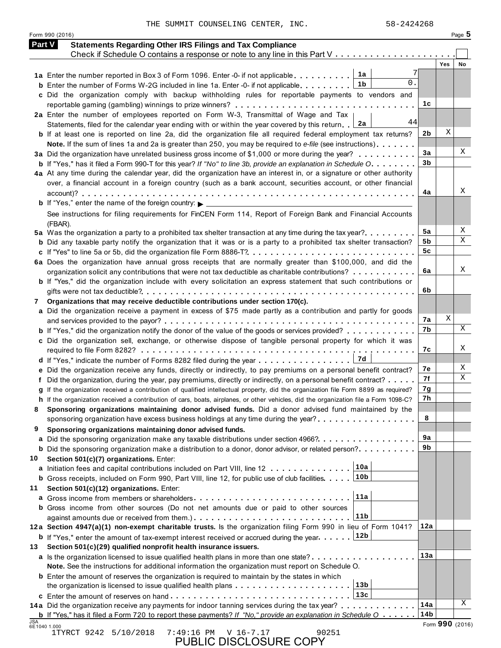|               | THE SUMMIT COUNSELING CENTER, INC.<br>58-2424268                                                                                                                                           |                |     |                 |
|---------------|--------------------------------------------------------------------------------------------------------------------------------------------------------------------------------------------|----------------|-----|-----------------|
| <b>Part V</b> | Form 990 (2016)<br><b>Statements Regarding Other IRS Filings and Tax Compliance</b>                                                                                                        |                |     | Page $5$        |
|               |                                                                                                                                                                                            |                |     |                 |
|               |                                                                                                                                                                                            |                | Yes | No              |
|               | 7<br>1a<br>1a Enter the number reported in Box 3 of Form 1096. Enter -0- if not applicable.                                                                                                |                |     |                 |
|               | $\Omega$ .<br>1b<br><b>b</b> Enter the number of Forms W-2G included in line 1a. Enter -0- if not applicable                                                                               |                |     |                 |
|               | c Did the organization comply with backup withholding rules for reportable payments to vendors and                                                                                         |                |     |                 |
|               |                                                                                                                                                                                            | 1c             |     |                 |
|               | 2a Enter the number of employees reported on Form W-3, Transmittal of Wage and Tax                                                                                                         |                |     |                 |
|               | 44<br>Statements, filed for the calendar year ending with or within the year covered by this return $\Box$ 2a                                                                              |                |     |                 |
|               | b If at least one is reported on line 2a, did the organization file all required federal employment tax returns?                                                                           | 2b             | Χ   |                 |
|               | Note. If the sum of lines 1a and 2a is greater than 250, you may be required to e-file (see instructions)                                                                                  |                |     |                 |
|               | 3a Did the organization have unrelated business gross income of \$1,000 or more during the year?                                                                                           | 3a             |     | Χ               |
|               | <b>b</b> If "Yes," has it filed a Form 990-T for this year? If "No" to line 3b, provide an explanation in Schedule O.                                                                      | 3 <sub>b</sub> |     |                 |
|               | 4a At any time during the calendar year, did the organization have an interest in, or a signature or other authority                                                                       |                |     |                 |
|               | over, a financial account in a foreign country (such as a bank account, securities account, or other financial                                                                             |                |     | Χ               |
|               |                                                                                                                                                                                            | 4a             |     |                 |
|               | <b>b</b> If "Yes," enter the name of the foreign country: $\blacktriangleright$ __                                                                                                         |                |     |                 |
|               | See instructions for filing requirements for FinCEN Form 114, Report of Foreign Bank and Financial Accounts                                                                                |                |     |                 |
|               | (FBAR).<br>5a Was the organization a party to a prohibited tax shelter transaction at any time during the tax year?                                                                        | 5a             |     | Χ               |
|               | <b>b</b> Did any taxable party notify the organization that it was or is a party to a prohibited tax shelter transaction?                                                                  | 5b             |     | X               |
|               |                                                                                                                                                                                            | 5c             |     |                 |
|               | 6a Does the organization have annual gross receipts that are normally greater than \$100,000, and did the                                                                                  |                |     |                 |
|               | organization solicit any contributions that were not tax deductible as charitable contributions?                                                                                           | 6a             |     | X               |
|               | <b>b</b> If "Yes," did the organization include with every solicitation an express statement that such contributions or                                                                    |                |     |                 |
|               |                                                                                                                                                                                            | 6b             |     |                 |
| 7             | Organizations that may receive deductible contributions under section 170(c).                                                                                                              |                |     |                 |
|               | a Did the organization receive a payment in excess of \$75 made partly as a contribution and partly for goods                                                                              |                |     |                 |
|               |                                                                                                                                                                                            | 7a             | Χ   |                 |
|               | <b>b</b> If "Yes," did the organization notify the donor of the value of the goods or services provided?                                                                                   | 7b             |     | Χ               |
|               | c Did the organization sell, exchange, or otherwise dispose of tangible personal property for which it was                                                                                 |                |     |                 |
|               |                                                                                                                                                                                            | 7с             |     | Χ               |
|               | 7d<br>d If "Yes," indicate the number of Forms 8282 filed during the year                                                                                                                  |                |     |                 |
|               | e Did the organization receive any funds, directly or indirectly, to pay premiums on a personal benefit contract?                                                                          | 7e             |     | Χ<br>Χ          |
|               | f Did the organization, during the year, pay premiums, directly or indirectly, on a personal benefit contract?                                                                             | 7f             |     |                 |
|               | g If the organization received a contribution of qualified intellectual property, did the organization file Form 8899 as required?                                                         | 7g<br>7h       |     |                 |
|               | h If the organization received a contribution of cars, boats, airplanes, or other vehicles, did the organization file a Form 1098-C?                                                       |                |     |                 |
| 8             | Sponsoring organizations maintaining donor advised funds. Did a donor advised fund maintained by the<br>sponsoring organization have excess business holdings at any time during the year? | 8              |     |                 |
| 9             | Sponsoring organizations maintaining donor advised funds.                                                                                                                                  |                |     |                 |
|               | a Did the sponsoring organization make any taxable distributions under section 4966?                                                                                                       | 9а             |     |                 |
|               | <b>b</b> Did the sponsoring organization make a distribution to a donor, donor advisor, or related person?                                                                                 | 9b             |     |                 |
| 10            | Section 501(c)(7) organizations. Enter:                                                                                                                                                    |                |     |                 |
|               | 10a<br>a Initiation fees and capital contributions included on Part VIII, line 12                                                                                                          |                |     |                 |
|               | 10b<br><b>b</b> Gross receipts, included on Form 990, Part VIII, line 12, for public use of club facilities.                                                                               |                |     |                 |
| 11            | Section 501(c)(12) organizations. Enter:                                                                                                                                                   |                |     |                 |
|               | 11a                                                                                                                                                                                        |                |     |                 |
|               | b Gross income from other sources (Do not net amounts due or paid to other sources                                                                                                         |                |     |                 |
|               | 11b                                                                                                                                                                                        |                |     |                 |
|               | 12a Section 4947(a)(1) non-exempt charitable trusts. Is the organization filing Form 990 in lieu of Form 1041?                                                                             | 12a            |     |                 |
|               | <b>b</b> If "Yes," enter the amount of tax-exempt interest received or accrued during the year $\boxed{12b}$                                                                               |                |     |                 |
| 13            | Section 501(c)(29) qualified nonprofit health insurance issuers.                                                                                                                           |                |     |                 |
|               | <b>a</b> Is the organization licensed to issue qualified health plans in more than one state?                                                                                              | 13a            |     |                 |
|               | Note. See the instructions for additional information the organization must report on Schedule O.                                                                                          |                |     |                 |
|               | <b>b</b> Enter the amount of reserves the organization is required to maintain by the states in which<br>13 <sub>b</sub><br>the organization is licensed to issue qualified health plans   |                |     |                 |
|               | 13c                                                                                                                                                                                        |                |     |                 |
|               | 14a Did the organization receive any payments for indoor tanning services during the tax year?                                                                                             | 14a            |     | Χ               |
|               | <b>b</b> If "Yes," has it filed a Form 720 to report these payments? If "No," provide an explanation in Schedule O                                                                         | 14b            |     |                 |
| <b>JSA</b>    | 6E1040 1.000                                                                                                                                                                               |                |     | Form 990 (2016) |
|               | 7:49:16 PM<br>90251<br>1TYRCT 9242 5/10/2018<br>$V16-7.17$                                                                                                                                 |                |     |                 |

PUBLIC DISCLOSURE COPY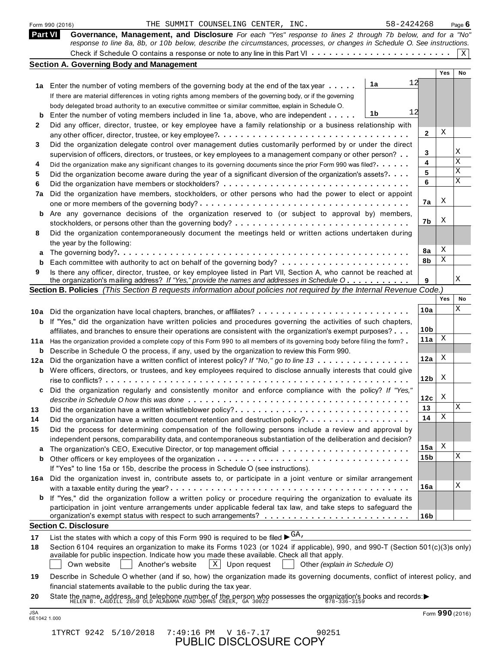|                | 58-2424268<br>THE SUMMIT COUNSELING CENTER, INC.<br>Form 990 (2016)                                                                                                                                                                     |                 |              | Page $6$    |
|----------------|-----------------------------------------------------------------------------------------------------------------------------------------------------------------------------------------------------------------------------------------|-----------------|--------------|-------------|
| <b>Part VI</b> | Governance, Management, and Disclosure For each "Yes" response to lines 2 through 7b below, and for a "No"<br>response to line 8a, 8b, or 10b below, describe the circumstances, processes, or changes in Schedule O. See instructions. |                 |              |             |
|                |                                                                                                                                                                                                                                         |                 |              | $\mathbf X$ |
|                | <b>Section A. Governing Body and Management</b>                                                                                                                                                                                         |                 |              |             |
|                |                                                                                                                                                                                                                                         |                 | Yes          | No          |
|                | 12<br>1a<br>1a Enter the number of voting members of the governing body at the end of the tax year                                                                                                                                      |                 |              |             |
|                | If there are material differences in voting rights among members of the governing body, or if the governing                                                                                                                             |                 |              |             |
|                | body delegated broad authority to an executive committee or similar committee, explain in Schedule O.                                                                                                                                   |                 |              |             |
| b              | 12<br>1b<br>Enter the number of voting members included in line 1a, above, who are independent                                                                                                                                          |                 |              |             |
| 2              | Did any officer, director, trustee, or key employee have a family relationship or a business relationship with                                                                                                                          |                 |              |             |
|                |                                                                                                                                                                                                                                         | $\mathbf{2}$    | Χ            |             |
| 3              | Did the organization delegate control over management duties customarily performed by or under the direct                                                                                                                               |                 |              |             |
|                | supervision of officers, directors, or trustees, or key employees to a management company or other person?                                                                                                                              | 3               |              | Χ           |
| 4              | Did the organization make any significant changes to its governing documents since the prior Form 990 was filed?.                                                                                                                       | 4               |              | X           |
| 5              | Did the organization become aware during the year of a significant diversion of the organization's assets?                                                                                                                              | 5               |              | X           |
| 6              |                                                                                                                                                                                                                                         | 6               |              | X           |
| 7a             | Did the organization have members, stockholders, or other persons who had the power to elect or appoint                                                                                                                                 |                 |              |             |
|                |                                                                                                                                                                                                                                         | 7a              | Χ            |             |
| b              | Are any governance decisions of the organization reserved to (or subject to approval by) members,                                                                                                                                       |                 |              |             |
|                |                                                                                                                                                                                                                                         | 7b              | Χ            |             |
| 8              | Did the organization contemporaneously document the meetings held or written actions undertaken during                                                                                                                                  |                 |              |             |
|                | the year by the following:                                                                                                                                                                                                              |                 |              |             |
| a              |                                                                                                                                                                                                                                         | 8а              | Χ            |             |
| b              |                                                                                                                                                                                                                                         | 8b              | Χ            |             |
| 9              | Is there any officer, director, trustee, or key employee listed in Part VII, Section A, who cannot be reached at                                                                                                                        |                 |              |             |
|                | the organization's mailing address? If "Yes," provide the names and addresses in Schedule O                                                                                                                                             | 9               |              | Χ           |
|                | Section B. Policies (This Section B requests information about policies not required by the Internal Revenue Code.)                                                                                                                     |                 | Yes          | No          |
|                |                                                                                                                                                                                                                                         |                 |              | Χ           |
|                | 10a Did the organization have local chapters, branches, or affiliates?                                                                                                                                                                  | 10a             |              |             |
| b              | If "Yes," did the organization have written policies and procedures governing the activities of such chapters,                                                                                                                          |                 |              |             |
|                | affiliates, and branches to ensure their operations are consistent with the organization's exempt purposes?                                                                                                                             | 10b<br>11a      | X            |             |
|                | 11a Has the organization provided a complete copy of this Form 990 to all members of its governing body before filing the form?                                                                                                         |                 |              |             |
|                | <b>b</b> Describe in Schedule O the process, if any, used by the organization to review this Form 990.                                                                                                                                  | 12a             | $\, {\rm X}$ |             |
|                | 12a Did the organization have a written conflict of interest policy? If "No," go to line 13                                                                                                                                             |                 |              |             |
|                | <b>b</b> Were officers, directors, or trustees, and key employees required to disclose annually interests that could give                                                                                                               | 12 <sub>b</sub> | X            |             |
|                |                                                                                                                                                                                                                                         |                 |              |             |
| c              | Did the organization regularly and consistently monitor and enforce compliance with the policy? If "Yes,"                                                                                                                               | 12c             | Χ            |             |
|                | Did the organization have a written whistleblower policy?                                                                                                                                                                               | 13              |              | Χ           |
| 13<br>14       | Did the organization have a written document retention and destruction policy?                                                                                                                                                          | 14              | Χ            |             |
| 15             | Did the process for determining compensation of the following persons include a review and approval by                                                                                                                                  |                 |              |             |
|                | independent persons, comparability data, and contemporaneous substantiation of the deliberation and decision?                                                                                                                           |                 |              |             |
| a              |                                                                                                                                                                                                                                         | 15a             | Χ            |             |
| b              |                                                                                                                                                                                                                                         | 15 <sub>b</sub> |              | Χ           |
|                | If "Yes" to line 15a or 15b, describe the process in Schedule O (see instructions).                                                                                                                                                     |                 |              |             |
|                | 16a Did the organization invest in, contribute assets to, or participate in a joint venture or similar arrangement                                                                                                                      |                 |              |             |
|                |                                                                                                                                                                                                                                         | 16a             |              | Χ           |
| b              | If "Yes," did the organization follow a written policy or procedure requiring the organization to evaluate its                                                                                                                          |                 |              |             |
|                | participation in joint venture arrangements under applicable federal tax law, and take steps to safeguard the                                                                                                                           |                 |              |             |
|                |                                                                                                                                                                                                                                         | 16b             |              |             |
|                | <b>Section C. Disclosure</b>                                                                                                                                                                                                            |                 |              |             |
| 17             | List the states with which a copy of this Form 990 is required to be filed $\blacktriangleright \frac{GA}{4}$ .                                                                                                                         |                 |              |             |
| 18             | Section 6104 requires an organization to make its Forms 1023 (or 1024 if applicable), 990, and 990-T (Section 501(c)(3)s only)                                                                                                          |                 |              |             |
|                | available for public inspection. Indicate how you made these available. Check all that apply.                                                                                                                                           |                 |              |             |
|                | $X$ Upon request<br>Own website<br>Another's website<br>Other (explain in Schedule O)                                                                                                                                                   |                 |              |             |
| 19             | Describe in Schedule O whether (and if so, how) the organization made its governing documents, conflict of interest policy, and                                                                                                         |                 |              |             |
|                | financial statements available to the public during the tax year.                                                                                                                                                                       |                 |              |             |
|                | State the name, address, and telephone number of the person who possesses the organization's books and records: $\blacktriangleright$<br>$\text{HELEEN B. CANDILL 2850 OLD ALABAMA ROM DODINIS CREEK, GA 30022}$                        |                 |              |             |

PUBLIC DISCLOSURE COPY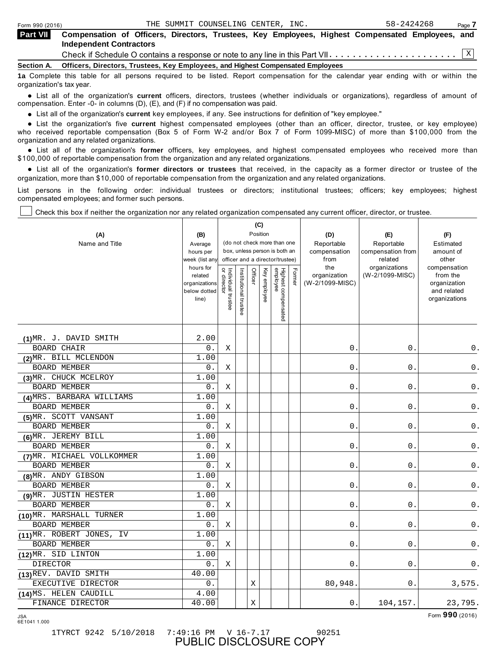| Form 990 (2016)   |                                                                                                                                    |  | THE SUMMIT COUNSELING CENTER, INC. |  |  | 58-2424268 | Page 7 |
|-------------------|------------------------------------------------------------------------------------------------------------------------------------|--|------------------------------------|--|--|------------|--------|
| Part VII          | Compensation of Officers, Directors, Trustees, Key Employees, Highest Compensated Employees, and<br><b>Independent Contractors</b> |  |                                    |  |  |            |        |
|                   |                                                                                                                                    |  |                                    |  |  |            |        |
| <b>Section A.</b> | Officers, Directors, Trustees, Key Employees, and Highest Compensated Employees                                                    |  |                                    |  |  |            |        |
|                   | to Complete this tople for all persons required to be listed. Depart componention for the colondar wear anding with or within the  |  |                                    |  |  |            |        |

**1a** Complete this table for all persons required to be listed. Report compensation for the calendar year ending with or within the organization's tax year.

anization's lax year.<br>● List all of the organization's **current** officers, directors, trustees (whether individuals or organizations), regardless of amount of<br>nnensation Enter -0- in columns (D) (E) and (E) if no compensa compensation. Enter -0- in columns (D), (E), and (F) if no compensation was paid.

**■** List all of the organization's **current** key employees, if any. See instructions for definition of "key employee."<br>■ List the experimetiscle five evenent birbed expressed explores (other than an efficer director t

**Example in the organization's current** key employees, if any, see instructions for definition of key employee.<br>• List the organization's five **current** highest compensated employees (other than an officer, director, trust who received reportable compensation (Box 5 of Form W-2 and/or Box 7 of Form 1099-MISC) of more than \$100,000 from the

organization and any related organizations.<br>● List all of the organization's **former** officers, key employees, and highest compensated employees who received more than<br>\$1.00,000 of reportable componention from the erganiz \$100,000 of reportable compensation from the organization and any related organizations.

% List all of the organization's **former directors or trustees** that received, in the capacity as a former director or trustee of the organization, more than \$10,000 of reportable compensation from the organization and any related organizations.

List persons in the following order: individual trustees or directors; institutional trustees; officers; key employees; highest compensated employees; and former such persons.

Check this box if neither the organization nor any related organization compensated any current officer, director, or trustee.

| (A)<br>Name and Title      | (B)<br>Average<br>hours per<br>week (list any<br>hours for<br>related<br>organizations<br>below dotted<br>line) | $\vec{\mathsf{d}}$<br>Individual trustee<br>directo | Institutional trustee | (C)<br>Position<br>Officer | Key employee | (do not check more than one<br>box, unless person is both an<br>officer and a director/trustee)<br>Highest compensated<br>employee | Former | (D)<br>Reportable<br>compensation<br>from<br>the<br>organization<br>(W-2/1099-MISC) | (E)<br>Reportable<br>compensation from<br>related<br>organizations<br>(W-2/1099-MISC) | (F)<br>Estimated<br>amount of<br>other<br>compensation<br>from the<br>organization<br>and related<br>organizations |
|----------------------------|-----------------------------------------------------------------------------------------------------------------|-----------------------------------------------------|-----------------------|----------------------------|--------------|------------------------------------------------------------------------------------------------------------------------------------|--------|-------------------------------------------------------------------------------------|---------------------------------------------------------------------------------------|--------------------------------------------------------------------------------------------------------------------|
| (1) MR. J. DAVID SMITH     | 2.00                                                                                                            |                                                     |                       |                            |              |                                                                                                                                    |        |                                                                                     |                                                                                       |                                                                                                                    |
| <b>BOARD CHAIR</b>         | 0.                                                                                                              | Χ                                                   |                       |                            |              |                                                                                                                                    |        | 0.                                                                                  | 0.                                                                                    | $0$ .                                                                                                              |
| (2) MR. BILL MCLENDON      | 1.00                                                                                                            |                                                     |                       |                            |              |                                                                                                                                    |        |                                                                                     |                                                                                       |                                                                                                                    |
| BOARD MEMBER               | 0.                                                                                                              | Χ                                                   |                       |                            |              |                                                                                                                                    |        | $0$ .                                                                               | 0.                                                                                    | $\mathsf 0$ .                                                                                                      |
| (3) MR. CHUCK MCELROY      | 1.00                                                                                                            |                                                     |                       |                            |              |                                                                                                                                    |        |                                                                                     |                                                                                       |                                                                                                                    |
| BOARD MEMBER               | 0.                                                                                                              | X                                                   |                       |                            |              |                                                                                                                                    |        | 0.                                                                                  | $0$ .                                                                                 | $\mathsf 0$ .                                                                                                      |
| (4) MRS. BARBARA WILLIAMS  | 1.00                                                                                                            |                                                     |                       |                            |              |                                                                                                                                    |        |                                                                                     |                                                                                       |                                                                                                                    |
| BOARD MEMBER               | 0.                                                                                                              | Χ                                                   |                       |                            |              |                                                                                                                                    |        | 0.                                                                                  | $\boldsymbol{0}$ .                                                                    | $\mathsf{0}$ .                                                                                                     |
| (5) MR. SCOTT VANSANT      | 1.00                                                                                                            |                                                     |                       |                            |              |                                                                                                                                    |        |                                                                                     |                                                                                       |                                                                                                                    |
| <b>BOARD MEMBER</b>        | 0.                                                                                                              | Χ                                                   |                       |                            |              |                                                                                                                                    |        | О.                                                                                  | 0.                                                                                    | 0.                                                                                                                 |
| (6) MR. JEREMY BILL        | 1.00                                                                                                            |                                                     |                       |                            |              |                                                                                                                                    |        |                                                                                     |                                                                                       |                                                                                                                    |
| <b>BOARD MEMBER</b>        | 0.                                                                                                              | Χ                                                   |                       |                            |              |                                                                                                                                    |        | 0.                                                                                  | 0.                                                                                    | 0.                                                                                                                 |
| (7) MR. MICHAEL VOLLKOMMER | 1.00                                                                                                            |                                                     |                       |                            |              |                                                                                                                                    |        |                                                                                     |                                                                                       |                                                                                                                    |
| <b>BOARD MEMBER</b>        | 0.                                                                                                              | X                                                   |                       |                            |              |                                                                                                                                    |        | 0.                                                                                  | 0.                                                                                    | $0$ .                                                                                                              |
| (8) MR. ANDY GIBSON        | 1.00                                                                                                            |                                                     |                       |                            |              |                                                                                                                                    |        |                                                                                     |                                                                                       |                                                                                                                    |
| <b>BOARD MEMBER</b>        | 0.                                                                                                              | X                                                   |                       |                            |              |                                                                                                                                    |        | 0.                                                                                  | 0.                                                                                    | $0$ .                                                                                                              |
| (9) MR. JUSTIN HESTER      | 1.00                                                                                                            |                                                     |                       |                            |              |                                                                                                                                    |        |                                                                                     |                                                                                       |                                                                                                                    |
| BOARD MEMBER               | $0$ .                                                                                                           | Χ                                                   |                       |                            |              |                                                                                                                                    |        | 0.                                                                                  | 0.                                                                                    | $0$ .                                                                                                              |
| (10) MR. MARSHALL TURNER   | 1.00                                                                                                            |                                                     |                       |                            |              |                                                                                                                                    |        |                                                                                     |                                                                                       |                                                                                                                    |
| BOARD MEMBER               | $0$ .                                                                                                           | Χ                                                   |                       |                            |              |                                                                                                                                    |        | $0$ .                                                                               | 0.                                                                                    | 0.                                                                                                                 |
| (11) MR. ROBERT JONES, IV  | 1.00                                                                                                            |                                                     |                       |                            |              |                                                                                                                                    |        |                                                                                     |                                                                                       |                                                                                                                    |
| BOARD MEMBER               | 0.                                                                                                              | X                                                   |                       |                            |              |                                                                                                                                    |        | $0$ .                                                                               | $0$ .                                                                                 | $0$ .                                                                                                              |
| (12) MR. SID LINTON        | 1.00                                                                                                            |                                                     |                       |                            |              |                                                                                                                                    |        |                                                                                     |                                                                                       |                                                                                                                    |
| <b>DIRECTOR</b>            | 0.                                                                                                              | Χ                                                   |                       |                            |              |                                                                                                                                    |        | 0.                                                                                  | $0$ .                                                                                 | $0$ .                                                                                                              |
| (13) REV. DAVID SMITH      | 40.00                                                                                                           |                                                     |                       |                            |              |                                                                                                                                    |        |                                                                                     |                                                                                       |                                                                                                                    |
| EXECUTIVE DIRECTOR         | 0.                                                                                                              |                                                     |                       | Χ                          |              |                                                                                                                                    |        | 80,948.                                                                             | 0.                                                                                    | 3,575.                                                                                                             |
| (14) MS. HELEN CAUDILL     | 4.00                                                                                                            |                                                     |                       |                            |              |                                                                                                                                    |        |                                                                                     |                                                                                       |                                                                                                                    |
| FINANCE DIRECTOR           | 40.00                                                                                                           |                                                     |                       | Χ                          |              |                                                                                                                                    |        | 0.                                                                                  | 104,157.                                                                              | 23,795.                                                                                                            |

JSA Form **990** (2016) 6E1041 1.000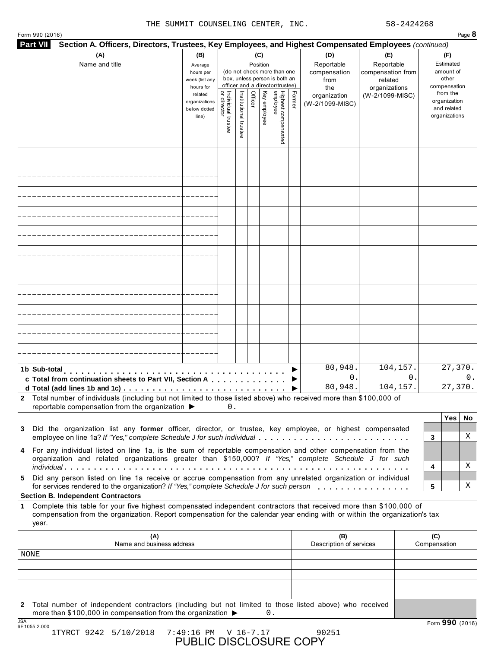| Form 990 (2016)<br><b>Part VII</b> | Section A. Officers, Directors, Trustees, Key Employees, and Highest Compensated Employees (continued)                                                                                                                                                                                        |                                                                                                                                                                                  |                                     |                       |         |              |                                 |        |                                                  |                                                                    | Page 8                                                   |
|------------------------------------|-----------------------------------------------------------------------------------------------------------------------------------------------------------------------------------------------------------------------------------------------------------------------------------------------|----------------------------------------------------------------------------------------------------------------------------------------------------------------------------------|-------------------------------------|-----------------------|---------|--------------|---------------------------------|--------|--------------------------------------------------|--------------------------------------------------------------------|----------------------------------------------------------|
|                                    | (A)<br>Name and title                                                                                                                                                                                                                                                                         | (B)<br>(C)<br>Position<br>Average<br>(do not check more than one<br>hours per<br>box, unless person is both an<br>week (list any<br>officer and a director/trustee)<br>hours for |                                     |                       |         |              |                                 |        | (D)<br>Reportable<br>compensation<br>from<br>the | (E)<br>Reportable<br>compensation from<br>related<br>organizations | (F)<br>Estimated<br>amount of<br>other<br>compensation   |
|                                    |                                                                                                                                                                                                                                                                                               | related<br>organizations<br>below dotted<br>line)                                                                                                                                | Individual trustee<br>  or director | Institutional trustee | Officer | Key employee | Highest compensated<br>employee | Former | organization<br>(W-2/1099-MISC)                  | (W-2/1099-MISC)                                                    | from the<br>organization<br>and related<br>organizations |
|                                    |                                                                                                                                                                                                                                                                                               |                                                                                                                                                                                  |                                     |                       |         |              |                                 |        |                                                  |                                                                    |                                                          |
|                                    |                                                                                                                                                                                                                                                                                               |                                                                                                                                                                                  |                                     |                       |         |              |                                 |        |                                                  |                                                                    |                                                          |
|                                    |                                                                                                                                                                                                                                                                                               |                                                                                                                                                                                  |                                     |                       |         |              |                                 |        |                                                  |                                                                    |                                                          |
|                                    |                                                                                                                                                                                                                                                                                               |                                                                                                                                                                                  |                                     |                       |         |              |                                 |        |                                                  |                                                                    |                                                          |
|                                    |                                                                                                                                                                                                                                                                                               |                                                                                                                                                                                  |                                     |                       |         |              |                                 |        |                                                  |                                                                    |                                                          |
|                                    |                                                                                                                                                                                                                                                                                               |                                                                                                                                                                                  |                                     |                       |         |              |                                 |        |                                                  |                                                                    |                                                          |
|                                    |                                                                                                                                                                                                                                                                                               |                                                                                                                                                                                  |                                     |                       |         |              |                                 |        |                                                  |                                                                    |                                                          |
|                                    |                                                                                                                                                                                                                                                                                               |                                                                                                                                                                                  |                                     |                       |         |              |                                 |        |                                                  |                                                                    |                                                          |
|                                    |                                                                                                                                                                                                                                                                                               |                                                                                                                                                                                  |                                     |                       |         |              |                                 |        |                                                  |                                                                    |                                                          |
|                                    |                                                                                                                                                                                                                                                                                               |                                                                                                                                                                                  |                                     |                       |         |              |                                 |        |                                                  |                                                                    |                                                          |
|                                    |                                                                                                                                                                                                                                                                                               |                                                                                                                                                                                  |                                     |                       |         |              |                                 |        |                                                  |                                                                    |                                                          |
|                                    | 1b Sub-total<br>c Total from continuation sheets to Part VII, Section A<br>d Total (add lines 1b and 1c) $\ldots \ldots \ldots \ldots \ldots \ldots \ldots \ldots \ldots \ldots \ldots$                                                                                                       |                                                                                                                                                                                  |                                     |                       |         |              |                                 |        | 80,948.<br>$\Omega$ .<br>80,948.                 | 104,157.<br>0.<br>104,157.                                         | 27,370.<br>0.<br>27,370.                                 |
|                                    | 2 Total number of individuals (including but not limited to those listed above) who received more than \$100,000 of<br>reportable compensation from the organization ▶                                                                                                                        |                                                                                                                                                                                  | 0.                                  |                       |         |              |                                 |        |                                                  |                                                                    |                                                          |
| 3                                  | Did the organization list any former officer, director, or trustee, key employee, or highest compensated<br>employee on line 1a? If "Yes," complete Schedule J for such individual                                                                                                            |                                                                                                                                                                                  |                                     |                       |         |              |                                 |        |                                                  |                                                                    | Yes<br>No<br>Χ<br>3                                      |
| 4                                  | For any individual listed on line 1a, is the sum of reportable compensation and other compensation from the<br>organization and related organizations greater than \$150,000? If "Yes," complete Schedule J for such                                                                          |                                                                                                                                                                                  |                                     |                       |         |              |                                 |        |                                                  |                                                                    | Χ<br>4                                                   |
| 5.                                 | Did any person listed on line 1a receive or accrue compensation from any unrelated organization or individual<br>for services rendered to the organization? If "Yes," complete Schedule J for such person                                                                                     |                                                                                                                                                                                  |                                     |                       |         |              |                                 |        |                                                  |                                                                    | Χ<br>5                                                   |
| 1.<br>year.                        | <b>Section B. Independent Contractors</b><br>Complete this table for your five highest compensated independent contractors that received more than \$100,000 of<br>compensation from the organization. Report compensation for the calendar year ending with or within the organization's tax |                                                                                                                                                                                  |                                     |                       |         |              |                                 |        |                                                  |                                                                    |                                                          |
|                                    | (A)<br>Name and business address                                                                                                                                                                                                                                                              |                                                                                                                                                                                  |                                     |                       |         |              |                                 |        | (B)<br>Description of services                   |                                                                    | (C)<br>Compensation                                      |
| <b>NONE</b>                        |                                                                                                                                                                                                                                                                                               |                                                                                                                                                                                  |                                     |                       |         |              |                                 |        |                                                  |                                                                    |                                                          |
|                                    |                                                                                                                                                                                                                                                                                               |                                                                                                                                                                                  |                                     |                       |         |              |                                 |        |                                                  |                                                                    |                                                          |
| 2                                  |                                                                                                                                                                                                                                                                                               |                                                                                                                                                                                  |                                     |                       |         |              |                                 |        |                                                  |                                                                    |                                                          |
| $\overline{10A}$                   | Total number of independent contractors (including but not limited to those listed above) who received<br>more than \$100,000 in compensation from the organization ▶                                                                                                                         |                                                                                                                                                                                  |                                     |                       |         |              | 0.                              |        |                                                  |                                                                    |                                                          |

1TYRCT 9242 5/10/2018 7:49:16 PM V 16-7.17 90251 PUBLIC DISCLOSURE COPY

JSA Form **990** (2016) 6E1055 2.000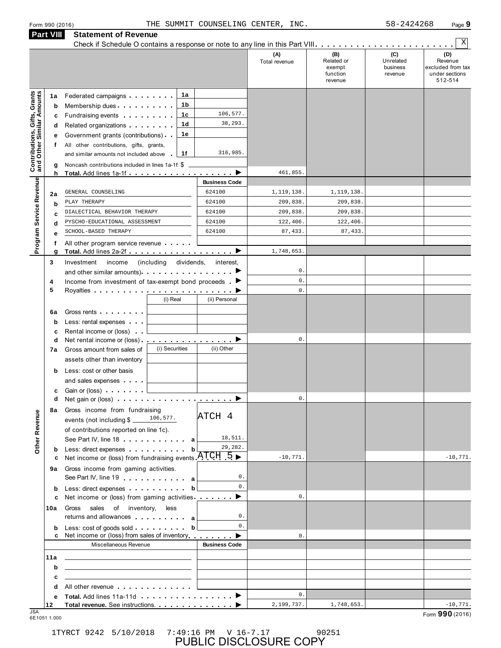| Form 990 (2016)                                                       |                                                                                                                                                                                                                                                                          |                      | THE SUMMIT COUNSELING CENTER, INC. |                    | 58-2424268          | Page 9                              |
|-----------------------------------------------------------------------|--------------------------------------------------------------------------------------------------------------------------------------------------------------------------------------------------------------------------------------------------------------------------|----------------------|------------------------------------|--------------------|---------------------|-------------------------------------|
| <b>Part VIII</b>                                                      | <b>Statement of Revenue</b>                                                                                                                                                                                                                                              |                      |                                    |                    |                     | X                                   |
|                                                                       |                                                                                                                                                                                                                                                                          |                      |                                    |                    | (C)                 |                                     |
|                                                                       |                                                                                                                                                                                                                                                                          |                      | (A)<br>Total revenue               | (B)<br>Related or  | Unrelated           | (D)<br>Revenue                      |
|                                                                       |                                                                                                                                                                                                                                                                          |                      |                                    | exempt<br>function | business<br>revenue | excluded from tax<br>under sections |
|                                                                       |                                                                                                                                                                                                                                                                          |                      |                                    | revenue            |                     | 512-514                             |
| 1a                                                                    | 1a<br>Federated campaigns <b>Federated</b>                                                                                                                                                                                                                               |                      |                                    |                    |                     |                                     |
| b                                                                     | 1b<br>Membership dues                                                                                                                                                                                                                                                    |                      |                                    |                    |                     |                                     |
| с                                                                     | 1c<br>Fundraising events <b>Fundraising</b>                                                                                                                                                                                                                              | 106,577.             |                                    |                    |                     |                                     |
| <b>Contributions, Gifts, Grants</b><br>and Other Similar Amounts<br>d | 1d<br>Related organizations <b>contains</b> and the set of the set of the set of the set of the set of the set of the set of the set of the set of the set of the set of the set of the set of the set of the set of the set of the set o                                | 38,293.              |                                    |                    |                     |                                     |
| е                                                                     | 1е<br>Government grants (contributions).                                                                                                                                                                                                                                 |                      |                                    |                    |                     |                                     |
| f                                                                     | All other contributions, gifts, grants,                                                                                                                                                                                                                                  |                      |                                    |                    |                     |                                     |
|                                                                       | 1f<br>and similar amounts not included above                                                                                                                                                                                                                             | 316,985.             |                                    |                    |                     |                                     |
| g                                                                     | Noncash contributions included in lines 1a-1f: \$                                                                                                                                                                                                                        |                      |                                    |                    |                     |                                     |
| h.                                                                    | Total. Add lines 1a-1f                                                                                                                                                                                                                                                   | <b>Business Code</b> | 461,855.                           |                    |                     |                                     |
| Program Service Revenue                                               | GENERAL COUNSELING                                                                                                                                                                                                                                                       | 624100               | 1,119,138.                         | 1,119,138.         |                     |                                     |
| 2a<br>b                                                               | PLAY THERAPY                                                                                                                                                                                                                                                             | 624100               | 209,838.                           | 209,838.           |                     |                                     |
| c                                                                     | DIALECTICAL BEHAVIOR THERAPY                                                                                                                                                                                                                                             | 624100               | 209,838.                           | 209,838.           |                     |                                     |
| d                                                                     | PYSCHO-EDUCATIONAL ASSESSMENT                                                                                                                                                                                                                                            | 624100               | 122,406.                           | 122,406.           |                     |                                     |
| e                                                                     | SCHOOL-BASED THERAPY                                                                                                                                                                                                                                                     | 624100               | 87, 433.                           | 87, 433.           |                     |                                     |
| f                                                                     | All other program service revenue                                                                                                                                                                                                                                        |                      |                                    |                    |                     |                                     |
| g                                                                     |                                                                                                                                                                                                                                                                          |                      | 1,748,653.                         |                    |                     |                                     |
| 3                                                                     | Investment<br>income<br>(including dividends, interest,                                                                                                                                                                                                                  |                      |                                    |                    |                     |                                     |
|                                                                       |                                                                                                                                                                                                                                                                          |                      | $\mathbf 0$ .                      |                    |                     |                                     |
| 4                                                                     | Income from investment of tax-exempt bond proceeds $\blacksquare$                                                                                                                                                                                                        |                      | $\mathbf 0$ .<br>$\mathbf 0$ .     |                    |                     |                                     |
| 5                                                                     | (i) Real                                                                                                                                                                                                                                                                 | (ii) Personal        |                                    |                    |                     |                                     |
|                                                                       |                                                                                                                                                                                                                                                                          |                      |                                    |                    |                     |                                     |
| 6a                                                                    | Gross rents<br>Less: rental expenses                                                                                                                                                                                                                                     |                      |                                    |                    |                     |                                     |
| b<br>c                                                                | Rental income or (loss)                                                                                                                                                                                                                                                  |                      |                                    |                    |                     |                                     |
| d                                                                     | Net rental income or (loss) ▶                                                                                                                                                                                                                                            |                      | $\mathbf 0$ .                      |                    |                     |                                     |
| 7a                                                                    | (i) Securities<br>Gross amount from sales of                                                                                                                                                                                                                             | (ii) Other           |                                    |                    |                     |                                     |
|                                                                       | assets other than inventory                                                                                                                                                                                                                                              |                      |                                    |                    |                     |                                     |
| b                                                                     | Less: cost or other basis                                                                                                                                                                                                                                                |                      |                                    |                    |                     |                                     |
|                                                                       | and sales expenses                                                                                                                                                                                                                                                       |                      |                                    |                    |                     |                                     |
| c                                                                     | <u>and the state of the state</u>                                                                                                                                                                                                                                        |                      |                                    |                    |                     |                                     |
| d                                                                     |                                                                                                                                                                                                                                                                          |                      | $\mathbf{0}$ .                     |                    |                     |                                     |
| 8а                                                                    | Gross income from fundraising                                                                                                                                                                                                                                            | ATCH 4               |                                    |                    |                     |                                     |
|                                                                       |                                                                                                                                                                                                                                                                          |                      |                                    |                    |                     |                                     |
|                                                                       | of contributions reported on line 1c).<br>See Part IV, line 18 and the same state of the same state of the same state of the same state of the same state of the same state of the same state of the same state of the same state of the same state of the same state of | 18,511.              |                                    |                    |                     |                                     |
| Other Revenue<br>b                                                    | Less: direct expenses b                                                                                                                                                                                                                                                  | 29,282.              |                                    |                    |                     |                                     |
| c                                                                     | Net income or (loss) from fundraising events $ATCH$ 5                                                                                                                                                                                                                    |                      | $-10,771.$                         |                    |                     | $-10,771.$                          |
| 9а                                                                    | Gross income from gaming activities.                                                                                                                                                                                                                                     |                      |                                    |                    |                     |                                     |
|                                                                       | See Part IV, line 19                                                                                                                                                                                                                                                     | 0.                   |                                    |                    |                     |                                     |
| b                                                                     | Less: direct expenses b                                                                                                                                                                                                                                                  | 0.                   |                                    |                    |                     |                                     |
| c                                                                     | Net income or (loss) from gaming activities <u>example</u> by                                                                                                                                                                                                            |                      | $\mathbf{0}$ .                     |                    |                     |                                     |
| 10a                                                                   | sales of inventory, less<br>Gross                                                                                                                                                                                                                                        |                      |                                    |                    |                     |                                     |
|                                                                       | returns and allowances and allowances                                                                                                                                                                                                                                    | 0.                   |                                    |                    |                     |                                     |
| b                                                                     | Less: $cost$ of goods sold $\ldots$ , $\ldots$ , $\mathbf{b}$                                                                                                                                                                                                            | 0.                   |                                    |                    |                     |                                     |
|                                                                       | Net income or (loss) from sales of inventory<br>Miscellaneous Revenue                                                                                                                                                                                                    | <b>Business Code</b> | $\mathbf{0}$ .                     |                    |                     |                                     |
|                                                                       |                                                                                                                                                                                                                                                                          |                      |                                    |                    |                     |                                     |
| 11a                                                                   | <u> 1989 - Johann Stein, mars an deutscher Stein († 1958)</u>                                                                                                                                                                                                            |                      |                                    |                    |                     |                                     |
| b<br>с                                                                |                                                                                                                                                                                                                                                                          |                      |                                    |                    |                     |                                     |
| d                                                                     | All other revenue entitled and the control of the state of the state of the state of the state of the state of                                                                                                                                                           |                      |                                    |                    |                     |                                     |
| е                                                                     |                                                                                                                                                                                                                                                                          |                      | $\circ$ .                          |                    |                     |                                     |
| 12                                                                    |                                                                                                                                                                                                                                                                          |                      | 2,199,737.                         | 1,748,653.         |                     | $-10,771.$                          |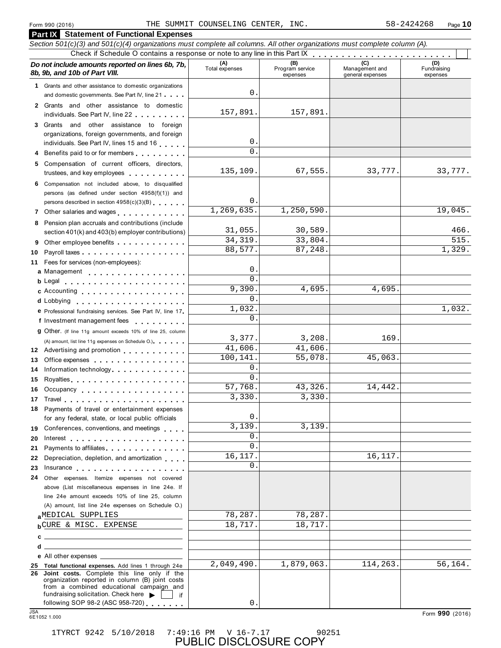| Form 990 (2016)                                                                                                            | THE SUMMIT COUNSELING CENTER, INC. |                                    |                                    | 58-2424268<br>Page 10          |
|----------------------------------------------------------------------------------------------------------------------------|------------------------------------|------------------------------------|------------------------------------|--------------------------------|
| <b>Part IX</b> Statement of Functional Expenses                                                                            |                                    |                                    |                                    |                                |
| Section 501(c)(3) and 501(c)(4) organizations must complete all columns. All other organizations must complete column (A). |                                    |                                    |                                    |                                |
| Do not include amounts reported on lines 6b, 7b,                                                                           |                                    |                                    | (C)                                |                                |
| 8b, 9b, and 10b of Part VIII.                                                                                              | (A)<br>Total expenses              | (B)<br>Program service<br>expenses | Management and<br>general expenses | (D)<br>Fundraising<br>expenses |
| 1 Grants and other assistance to domestic organizations                                                                    |                                    |                                    |                                    |                                |
| and domestic governments. See Part IV, line 21                                                                             | 0.                                 |                                    |                                    |                                |
| 2 Grants and other assistance to domestic                                                                                  |                                    |                                    |                                    |                                |
| individuals. See Part IV, line 22                                                                                          | 157,891.                           | 157,891.                           |                                    |                                |
| 3 Grants and other assistance to foreign                                                                                   |                                    |                                    |                                    |                                |
| organizations, foreign governments, and foreign<br>individuals. See Part IV, lines 15 and 16                               | 0.                                 |                                    |                                    |                                |
| 4 Benefits paid to or for members                                                                                          | $\Omega$ .                         |                                    |                                    |                                |
| 5 Compensation of current officers, directors,                                                                             |                                    |                                    |                                    |                                |
| trustees, and key employees                                                                                                | 135,109.                           | 67,555.                            | 33,777.                            | 33,777.                        |
| 6 Compensation not included above, to disqualified                                                                         |                                    |                                    |                                    |                                |
| persons (as defined under section 4958(f)(1)) and                                                                          |                                    |                                    |                                    |                                |
| persons described in section 4958(c)(3)(B)                                                                                 | 0.                                 |                                    |                                    |                                |
| 7 Other salaries and wages                                                                                                 | 1, 269, 635.                       | 1,250,590.                         |                                    | 19,045.                        |
| 8 Pension plan accruals and contributions (include                                                                         | 31,055.                            | 30,589.                            |                                    | 466.                           |
| section 401(k) and 403(b) employer contributions)                                                                          | 34, 319.                           | 33,804.                            |                                    | 515.                           |
| 9 Other employee benefits                                                                                                  | 88,577.                            | 87,248.                            |                                    | 1,329.                         |
| 10 <sub>1</sub><br>11 Fees for services (non-employees):                                                                   |                                    |                                    |                                    |                                |
| a Management                                                                                                               | О.                                 |                                    |                                    |                                |
|                                                                                                                            | $\Omega$                           |                                    |                                    |                                |
| c Accounting                                                                                                               | 9,390.                             | 4,695.                             | 4,695.                             |                                |
|                                                                                                                            | 0.                                 |                                    |                                    |                                |
| e Professional fundraising services. See Part IV, line 17                                                                  | 1,032.                             |                                    |                                    | 1,032.                         |
| f Investment management fees                                                                                               | $\mathbf 0$ .                      |                                    |                                    |                                |
| <b>g</b> Other. (If line 11g amount exceeds 10% of line 25, column                                                         | 3,377.                             | 3,208.                             | 169.                               |                                |
| (A) amount, list line 11g expenses on Schedule O.)                                                                         | 41,606.                            | 41,606.                            |                                    |                                |
| 12 Advertising and promotion                                                                                               | 100,141.                           | 55,078.                            | 45,063.                            |                                |
| 13 Office expenses<br>14 Information technology                                                                            | 0.                                 |                                    |                                    |                                |
| 15                                                                                                                         | 0                                  |                                    |                                    |                                |
| Occupancy experience and a series are a series of the series of the series of the series of the series of the<br>16        | 57,768.                            | 43,326.                            | 14,442.                            |                                |
| 17                                                                                                                         | 3,330.                             | 3,330.                             |                                    |                                |
| Payments of travel or entertainment expenses<br>18                                                                         |                                    |                                    |                                    |                                |
| for any federal, state, or local public officials                                                                          | $0$ .                              |                                    |                                    |                                |
| Conferences, conventions, and meetings<br>19                                                                               | 3,139.                             | 3,139.                             |                                    |                                |
| 20<br>Interest $\ldots \ldots \ldots \ldots \ldots \ldots$                                                                 | $0$ .<br>$\Omega$ .                |                                    |                                    |                                |
| Payments to affiliates entertainment of the set of the set of the set of the set of the set of the set of the<br>21        | 16,117.                            |                                    | 16,117.                            |                                |
| Depreciation, depletion, and amortization<br>22                                                                            | $\Omega$ .                         |                                    |                                    |                                |
| 23<br>Insurance<br>Other expenses. Itemize expenses not covered<br>24                                                      |                                    |                                    |                                    |                                |
| above (List miscellaneous expenses in line 24e. If                                                                         |                                    |                                    |                                    |                                |
| line 24e amount exceeds 10% of line 25, column                                                                             |                                    |                                    |                                    |                                |
| (A) amount, list line 24e expenses on Schedule O.)                                                                         |                                    |                                    |                                    |                                |
| AMEDICAL SUPPLIES                                                                                                          | 78,287.                            | 78,287.                            |                                    |                                |
| <b>b</b> CURE & MISC. EXPENSE                                                                                              | 18,717.                            | 18,717.                            |                                    |                                |
| the control of the control of the control of the control of the control of the control of                                  |                                    |                                    |                                    |                                |
| d                                                                                                                          |                                    |                                    |                                    |                                |
|                                                                                                                            | 2,049,490.                         | 1,879,063.                         | 114,263.                           | 56,164.                        |
| 25 Total functional expenses. Add lines 1 through 24e<br>26 Joint costs. Complete this line only if the                    |                                    |                                    |                                    |                                |
| organization reported in column (B) joint costs<br>from a combined educational campaign and                                |                                    |                                    |                                    |                                |
| fundraising solicitation. Check here $\blacktriangleright$<br>if                                                           |                                    |                                    |                                    |                                |
| following SOP 98-2 (ASC 958-720)                                                                                           | $\mathsf{O}$ .                     |                                    |                                    |                                |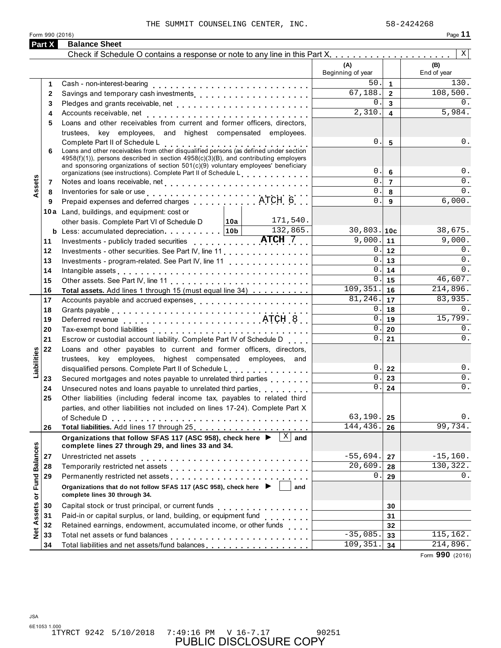|--|--|--|

|                      |                 | THE SUMMIT COUNSELING CENTER, INC.                                                                                                                                                                                                     |                        |                          |                         | 58-2424268         |
|----------------------|-----------------|----------------------------------------------------------------------------------------------------------------------------------------------------------------------------------------------------------------------------------------|------------------------|--------------------------|-------------------------|--------------------|
|                      | Form 990 (2016) |                                                                                                                                                                                                                                        |                        |                          |                         | Page 11            |
|                      | Part X          | <b>Balance Sheet</b>                                                                                                                                                                                                                   |                        |                          |                         |                    |
|                      |                 |                                                                                                                                                                                                                                        |                        |                          |                         | $\mathbf{x}$       |
|                      |                 |                                                                                                                                                                                                                                        |                        | (A)<br>Beginning of year |                         | (B)<br>End of year |
|                      | 1               | Cash - non-interest-bearing                                                                                                                                                                                                            |                        | 50.                      | $\overline{1}$          | 130.               |
|                      | $\mathbf{2}$    | Savings and temporary cash investments                                                                                                                                                                                                 |                        | 67,188.                  | $2^{\circ}$             | 108,500.           |
|                      | 3               |                                                                                                                                                                                                                                        |                        | 0.                       | $\overline{3}$          | 0.                 |
|                      | 4               |                                                                                                                                                                                                                                        |                        | 2,310.                   | $\overline{\mathbf{4}}$ | 5,984.             |
|                      | 5               | Loans and other receivables from current and former officers, directors,                                                                                                                                                               |                        |                          |                         |                    |
|                      |                 | trustees, key employees, and highest compensated employees.                                                                                                                                                                            |                        |                          |                         |                    |
|                      |                 | Complete Part II of Schedule L                                                                                                                                                                                                         |                        | 0.                       | $5\phantom{.0}$         | 0.                 |
|                      | 6               | Complete Fart if or Scriedule L<br>Loans and other receivables from other disqualified persons (as defined under section                                                                                                               |                        |                          |                         |                    |
|                      |                 | 4958(f)(1)), persons described in section 4958(c)(3)(B), and contributing employers<br>and sponsoring organizations of section 501(c)(9) voluntary employees' beneficiary                                                              |                        |                          |                         |                    |
|                      |                 | organizations (see instructions). Complete Part II of Schedule L.                                                                                                                                                                      |                        | 0.                       | $6\phantom{1}$          | $0$ .              |
| Assets               | 7               |                                                                                                                                                                                                                                        |                        | $\mathbf 0$ .            | $\overline{7}$          | $0$ .              |
|                      | 8               | Inventories for sale or use<br>Prepaid expenses and deferred charges<br>expenses and deferred charges<br>expenses and deferred charges<br>expenses on the pair of $\overline{ATCH}$ , $\overline{6}$ , $\overline{1}$ , $\overline{6}$ |                        | 0.                       | 8                       | 0.                 |
|                      | 9               |                                                                                                                                                                                                                                        |                        | 0.                       | $\mathbf{9}$            | 6,000.             |
|                      |                 | 10a Land, buildings, and equipment: cost or                                                                                                                                                                                            |                        |                          |                         |                    |
|                      |                 | other basis. Complete Part VI of Schedule D $\vert$ 10a $\vert$                                                                                                                                                                        | 171,540.               |                          |                         |                    |
|                      |                 | <b>b</b> Less: accumulated depreciation. 10b                                                                                                                                                                                           | $\overline{132,865}$ . | 30,803.                  | 10c                     | 38,675.            |
|                      | 11              |                                                                                                                                                                                                                                        |                        | 9,000.                   | 11                      | 9,000.             |
|                      | 12              | Investments - other securities. See Part IV, line 11                                                                                                                                                                                   |                        | 0.                       | 12                      | 0.                 |
|                      | 13              | Investments - program-related. See Part IV, line 11                                                                                                                                                                                    |                        | $0$ .<br>0.              | 13                      | 0.<br>0.           |
|                      | 14              |                                                                                                                                                                                                                                        |                        | $\mathbf{0}$ .           | 14                      | 46,607.            |
|                      | 15              |                                                                                                                                                                                                                                        |                        | 109, 351.                | 15<br>16                | 214,896.           |
|                      | 16<br>17        | Total assets. Add lines 1 through 15 (must equal line 34)<br>Accounts payable and accrued expenses                                                                                                                                     |                        | 81,246.                  | 17                      | 83,935.            |
|                      | 18              |                                                                                                                                                                                                                                        |                        | 0.                       | 18                      | $0$ .              |
|                      | 19              | Deferred revenue enterprise response to the contract of the contract of the ATCH 8                                                                                                                                                     |                        |                          | 0.119                   | 15,799.            |
|                      | 20              |                                                                                                                                                                                                                                        |                        | 0.                       | 20                      | $0$ .              |
|                      | 21              | Escrow or custodial account liability. Complete Part IV of Schedule D                                                                                                                                                                  |                        | $\mathbf{0}$ .           | 21                      | 0.                 |
|                      | 22              | Loans and other payables to current and former officers, directors,                                                                                                                                                                    |                        |                          |                         |                    |
| lities               |                 | trustees, key employees, highest compensated employees, and                                                                                                                                                                            |                        |                          |                         |                    |
| Liabil               |                 | disqualified persons. Complete Part II of Schedule L.                                                                                                                                                                                  |                        | 0.                       | 22                      | $0$ .              |
|                      | 23              | Secured mortgages and notes payable to unrelated third parties                                                                                                                                                                         |                        | $\mathbf 0$ .            | 23                      | $\mathbf 0$ .      |
|                      | 24              |                                                                                                                                                                                                                                        |                        | 0.                       | 24                      | $0$ .              |
|                      | 25              | Other liabilities (including federal income tax, payables to related third                                                                                                                                                             |                        |                          |                         |                    |
|                      |                 | parties, and other liabilities not included on lines 17-24). Complete Part X                                                                                                                                                           |                        |                          |                         |                    |
|                      |                 |                                                                                                                                                                                                                                        |                        | 63,190.                  | 25                      | $0$ .              |
|                      | 26              |                                                                                                                                                                                                                                        |                        | 144,436.                 | 26                      | 99,734.            |
|                      |                 | Organizations that follow SFAS 117 (ASC 958), check here ▶<br>complete lines 27 through 29, and lines 33 and 34.                                                                                                                       | $X \mid$ and           |                          |                         |                    |
|                      |                 |                                                                                                                                                                                                                                        |                        |                          |                         | $-15, 160.$        |
|                      | 27              | Unrestricted net assets                                                                                                                                                                                                                |                        | $-55,694.$<br>20,609.    | 27                      | 130,322.           |
| <b>Fund Balances</b> | 28<br>29        | Permanently restricted net assets<br>interior  interior  interior  interior  interior  interior  interior  interior  interior  interior  interior  interior  interior  interior  interior  interior  interior  interior  interio       |                        | $\mathbf 0$ .            | 28<br>29                | 0.                 |
|                      |                 | Organizations that do not follow SFAS 117 (ASC 958), check here ▶ │                                                                                                                                                                    | and                    |                          |                         |                    |
|                      |                 | complete lines 30 through 34.                                                                                                                                                                                                          |                        |                          |                         |                    |
|                      | 30              | Capital stock or trust principal, or current funds                                                                                                                                                                                     |                        |                          | 30                      |                    |
|                      | 31              | Paid-in or capital surplus, or land, building, or equipment fund                                                                                                                                                                       |                        |                          | 31                      |                    |
| Net Assets or        | 32              | Retained earnings, endowment, accumulated income, or other funds                                                                                                                                                                       |                        |                          | 32                      |                    |
|                      | 33              | Total net assets or fund balances                                                                                                                                                                                                      |                        | $-35,085.$               | 33                      | 115,162.           |
|                      | 34              | Total liabilities and net assets/fund balances                                                                                                                                                                                         |                        | 109, 351                 | 34                      | 214,896.           |
|                      |                 |                                                                                                                                                                                                                                        |                        |                          |                         | Form 990 (2016)    |

JSA 6E10531.000<br>1TYRCT 9242 5/10/2018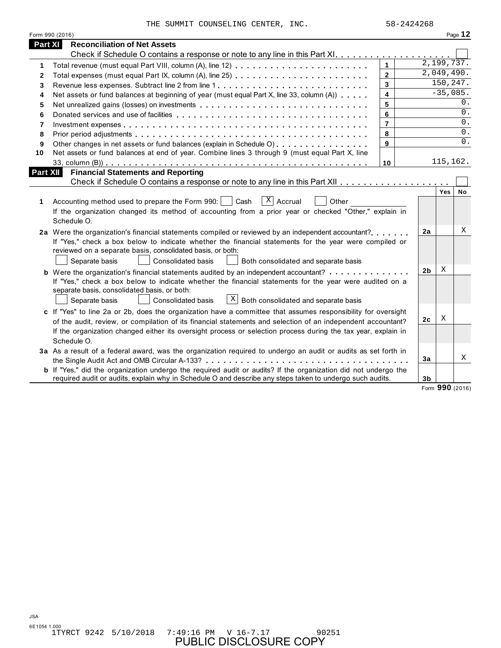|                | THE SUMMIT COUNSELING CENTER, INC.                                                                                                                                                                                                                                                                                                                         | 58-2424268              |                |            |                  |
|----------------|------------------------------------------------------------------------------------------------------------------------------------------------------------------------------------------------------------------------------------------------------------------------------------------------------------------------------------------------------------|-------------------------|----------------|------------|------------------|
|                | Form 990 (2016)                                                                                                                                                                                                                                                                                                                                            |                         |                |            | Page $12$        |
| <b>Part XI</b> | <b>Reconciliation of Net Assets</b>                                                                                                                                                                                                                                                                                                                        |                         |                |            |                  |
|                |                                                                                                                                                                                                                                                                                                                                                            |                         |                |            |                  |
| 1              | Total revenue (must equal Part VIII, column (A), line 12)                                                                                                                                                                                                                                                                                                  | $\mathbf{1}$            |                | 2,199,737. |                  |
| 2              |                                                                                                                                                                                                                                                                                                                                                            | $\overline{2}$          |                | 2,049,490. |                  |
| 3              | Revenue less expenses. Subtract line 2 from line 1                                                                                                                                                                                                                                                                                                         | $\overline{\mathbf{3}}$ |                | 150,247.   |                  |
| 4              | Net assets or fund balances at beginning of year (must equal Part X, line 33, column (A))                                                                                                                                                                                                                                                                  | $\overline{4}$          |                | $-35,085.$ |                  |
| 5              |                                                                                                                                                                                                                                                                                                                                                            | 5                       |                |            | 0.               |
| 6              |                                                                                                                                                                                                                                                                                                                                                            | 6                       |                |            | 0.               |
| 7              |                                                                                                                                                                                                                                                                                                                                                            | $\overline{7}$          |                |            | 0.               |
| 8              |                                                                                                                                                                                                                                                                                                                                                            | 8                       |                |            | $0$ .            |
| 9              | Other changes in net assets or fund balances (explain in Schedule O)                                                                                                                                                                                                                                                                                       | 9                       |                |            | $\overline{0}$ . |
| 10             | Net assets or fund balances at end of year. Combine lines 3 through 9 (must equal Part X, line                                                                                                                                                                                                                                                             |                         |                |            |                  |
|                |                                                                                                                                                                                                                                                                                                                                                            | 10                      |                | 115,162.   |                  |
| Part XII       | <b>Financial Statements and Reporting</b>                                                                                                                                                                                                                                                                                                                  |                         |                |            |                  |
|                |                                                                                                                                                                                                                                                                                                                                                            |                         |                |            |                  |
| 1              | $\lceil x \rceil$ Accrual<br>Accounting method used to prepare the Form 990:     Cash<br>Other<br>If the organization changed its method of accounting from a prior year or checked "Other," explain in<br>Schedule O.                                                                                                                                     |                         |                | Yes        | No               |
|                | 2a Were the organization's financial statements compiled or reviewed by an independent accountant?<br>If "Yes," check a box below to indicate whether the financial statements for the year were compiled or<br>reviewed on a separate basis, consolidated basis, or both:<br>Separate basis<br>Consolidated basis<br>Both consolidated and separate basis |                         | 2a             |            | Χ                |
|                | <b>b</b> Were the organization's financial statements audited by an independent accountant?                                                                                                                                                                                                                                                                |                         | 2 <sub>b</sub> | X          |                  |
|                | If "Yes," check a box below to indicate whether the financial statements for the year were audited on a<br>separate basis, consolidated basis, or both:<br>$\lfloor x \rfloor$ Both consolidated and separate basis<br>Separate basis<br>Consolidated basis                                                                                                |                         |                |            |                  |
|                | c If "Yes" to line 2a or 2b, does the organization have a committee that assumes responsibility for oversight                                                                                                                                                                                                                                              |                         |                |            |                  |
|                | of the audit, review, or compilation of its financial statements and selection of an independent accountant?                                                                                                                                                                                                                                               |                         | 2 <sub>c</sub> | Χ          |                  |
|                | If the organization changed either its oversight process or selection process during the tax year, explain in<br>Schedule O.                                                                                                                                                                                                                               |                         |                |            |                  |
|                | 3a As a result of a federal award, was the organization required to undergo an audit or audits as set forth in                                                                                                                                                                                                                                             |                         |                |            |                  |
|                |                                                                                                                                                                                                                                                                                                                                                            |                         | 3a             |            | X                |
|                | <b>b</b> If "Yes," did the organization undergo the required audit or audits? If the organization did not undergo the<br>required audit or audits, explain why in Schedule O and describe any steps taken to undergo such audits.                                                                                                                          |                         | 3 <sub>b</sub> |            |                  |

Form **990** (2016)

JSA 6E1054 1.000<br>1TYRCT 9242 5/10/2018 1TYRCT 9242 5/10/2018 7:49:16 PM V 16-7.17 90251 PUBLIC DISCLOSURE COPY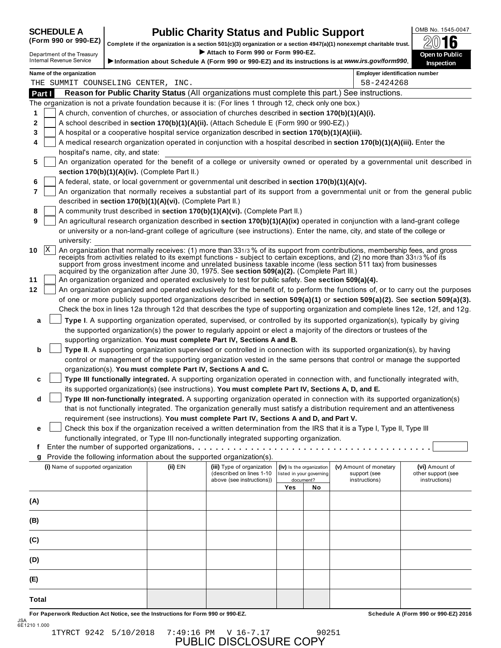# **SCHEDULE A Public Charity Status and Public Support** (Form 990 or 990-EZ) complete if the organization is a section 501(c)(3) organization or a section 4947(a)(1) nonexempt charitable trust.

(Form 990 or 990-EZ)  $\begin{bmatrix} 1 & 0 & 0 \\ 0 & 1 & 0 \end{bmatrix}$  Complete if the organization is a section 501(c)(3) organization or a section 4947(a)(1) nonexempt charitable trust.  $\begin{bmatrix} 2 & 0 \\ 2 & 1 \end{bmatrix}$ Complete if the organization is a section 501(c)(3) organization or a section 4947(a)(1) nonexempt charitable trust.<br>
Department of the Treasury<br>
Internal Boyony Series **Inspection Internal Revenue Service III** internal Revenue Service III internal Revenue Service III internal Revenue Service III internal Revenue Service III internal Revenue Service III internal Revenue Service III inter

| bout Schedule A (Form 990 or 990-EZ) and its instructions is at www. |  |  |  |
|----------------------------------------------------------------------|--|--|--|

|        |   |                                                                                                                                                                                                                                                                                                                                                                                                                                                                                    |          |                                                        |     |                                                      |                                                     | II ISPECUU I                         |
|--------|---|------------------------------------------------------------------------------------------------------------------------------------------------------------------------------------------------------------------------------------------------------------------------------------------------------------------------------------------------------------------------------------------------------------------------------------------------------------------------------------|----------|--------------------------------------------------------|-----|------------------------------------------------------|-----------------------------------------------------|--------------------------------------|
|        |   | Name of the organization<br>THE SUMMIT COUNSELING CENTER, INC.                                                                                                                                                                                                                                                                                                                                                                                                                     |          |                                                        |     |                                                      | <b>Employer identification number</b><br>58-2424268 |                                      |
| Part I |   | Reason for Public Charity Status (All organizations must complete this part.) See instructions.                                                                                                                                                                                                                                                                                                                                                                                    |          |                                                        |     |                                                      |                                                     |                                      |
|        |   | The organization is not a private foundation because it is: (For lines 1 through 12, check only one box.)                                                                                                                                                                                                                                                                                                                                                                          |          |                                                        |     |                                                      |                                                     |                                      |
| 1      |   | A church, convention of churches, or association of churches described in section 170(b)(1)(A)(i).                                                                                                                                                                                                                                                                                                                                                                                 |          |                                                        |     |                                                      |                                                     |                                      |
| 2      |   | A school described in section 170(b)(1)(A)(ii). (Attach Schedule E (Form 990 or 990-EZ).)                                                                                                                                                                                                                                                                                                                                                                                          |          |                                                        |     |                                                      |                                                     |                                      |
| 3      |   | A hospital or a cooperative hospital service organization described in section 170(b)(1)(A)(iii).                                                                                                                                                                                                                                                                                                                                                                                  |          |                                                        |     |                                                      |                                                     |                                      |
| 4      |   | A medical research organization operated in conjunction with a hospital described in section 170(b)(1)(A)(iii). Enter the                                                                                                                                                                                                                                                                                                                                                          |          |                                                        |     |                                                      |                                                     |                                      |
|        |   | hospital's name, city, and state:                                                                                                                                                                                                                                                                                                                                                                                                                                                  |          |                                                        |     |                                                      |                                                     |                                      |
| 5      |   | An organization operated for the benefit of a college or university owned or operated by a governmental unit described in                                                                                                                                                                                                                                                                                                                                                          |          |                                                        |     |                                                      |                                                     |                                      |
|        |   | section 170(b)(1)(A)(iv). (Complete Part II.)                                                                                                                                                                                                                                                                                                                                                                                                                                      |          |                                                        |     |                                                      |                                                     |                                      |
| 6      |   | A federal, state, or local government or governmental unit described in section 170(b)(1)(A)(v).                                                                                                                                                                                                                                                                                                                                                                                   |          |                                                        |     |                                                      |                                                     |                                      |
| 7      |   | An organization that normally receives a substantial part of its support from a governmental unit or from the general public                                                                                                                                                                                                                                                                                                                                                       |          |                                                        |     |                                                      |                                                     |                                      |
|        |   | described in section 170(b)(1)(A)(vi). (Complete Part II.)                                                                                                                                                                                                                                                                                                                                                                                                                         |          |                                                        |     |                                                      |                                                     |                                      |
| 8      |   | A community trust described in section 170(b)(1)(A)(vi). (Complete Part II.)                                                                                                                                                                                                                                                                                                                                                                                                       |          |                                                        |     |                                                      |                                                     |                                      |
| 9      |   | An agricultural research organization described in section 170(b)(1)(A)(ix) operated in conjunction with a land-grant college                                                                                                                                                                                                                                                                                                                                                      |          |                                                        |     |                                                      |                                                     |                                      |
|        |   | or university or a non-land-grant college of agriculture (see instructions). Enter the name, city, and state of the college or                                                                                                                                                                                                                                                                                                                                                     |          |                                                        |     |                                                      |                                                     |                                      |
|        |   | university:                                                                                                                                                                                                                                                                                                                                                                                                                                                                        |          |                                                        |     |                                                      |                                                     |                                      |
| 10     | X | An organization that normally receives: (1) more than 331/3 % of its support from contributions, membership fees, and gross<br>receipts from activities related to its exempt functions - subject to certain exceptions, and (2) no more than 331/3 % of its<br>support from gross investment income and unrelated business taxable income (less section 511 tax) from businesses<br>acquired by the organization after June 30, 1975. See section 509(a)(2). (Complete Part III.) |          |                                                        |     |                                                      |                                                     |                                      |
| 11     |   | An organization organized and operated exclusively to test for public safety. See section 509(a)(4).                                                                                                                                                                                                                                                                                                                                                                               |          |                                                        |     |                                                      |                                                     |                                      |
| 12     |   | An organization organized and operated exclusively for the benefit of, to perform the functions of, or to carry out the purposes                                                                                                                                                                                                                                                                                                                                                   |          |                                                        |     |                                                      |                                                     |                                      |
|        |   | of one or more publicly supported organizations described in section 509(a)(1) or section 509(a)(2). See section 509(a)(3).                                                                                                                                                                                                                                                                                                                                                        |          |                                                        |     |                                                      |                                                     |                                      |
|        |   | Check the box in lines 12a through 12d that describes the type of supporting organization and complete lines 12e, 12f, and 12g.                                                                                                                                                                                                                                                                                                                                                    |          |                                                        |     |                                                      |                                                     |                                      |
| a      |   | Type I. A supporting organization operated, supervised, or controlled by its supported organization(s), typically by giving                                                                                                                                                                                                                                                                                                                                                        |          |                                                        |     |                                                      |                                                     |                                      |
|        |   | the supported organization(s) the power to regularly appoint or elect a majority of the directors or trustees of the                                                                                                                                                                                                                                                                                                                                                               |          |                                                        |     |                                                      |                                                     |                                      |
|        |   | supporting organization. You must complete Part IV, Sections A and B.                                                                                                                                                                                                                                                                                                                                                                                                              |          |                                                        |     |                                                      |                                                     |                                      |
| b      |   | Type II. A supporting organization supervised or controlled in connection with its supported organization(s), by having                                                                                                                                                                                                                                                                                                                                                            |          |                                                        |     |                                                      |                                                     |                                      |
|        |   | control or management of the supporting organization vested in the same persons that control or manage the supported                                                                                                                                                                                                                                                                                                                                                               |          |                                                        |     |                                                      |                                                     |                                      |
|        |   | organization(s). You must complete Part IV, Sections A and C.                                                                                                                                                                                                                                                                                                                                                                                                                      |          |                                                        |     |                                                      |                                                     |                                      |
| c      |   | Type III functionally integrated. A supporting organization operated in connection with, and functionally integrated with,                                                                                                                                                                                                                                                                                                                                                         |          |                                                        |     |                                                      |                                                     |                                      |
|        |   | its supported organization(s) (see instructions). You must complete Part IV, Sections A, D, and E.                                                                                                                                                                                                                                                                                                                                                                                 |          |                                                        |     |                                                      |                                                     |                                      |
| d      |   | Type III non-functionally integrated. A supporting organization operated in connection with its supported organization(s)                                                                                                                                                                                                                                                                                                                                                          |          |                                                        |     |                                                      |                                                     |                                      |
|        |   | that is not functionally integrated. The organization generally must satisfy a distribution requirement and an attentiveness                                                                                                                                                                                                                                                                                                                                                       |          |                                                        |     |                                                      |                                                     |                                      |
|        |   | requirement (see instructions). You must complete Part IV, Sections A and D, and Part V.                                                                                                                                                                                                                                                                                                                                                                                           |          |                                                        |     |                                                      |                                                     |                                      |
| е      |   | Check this box if the organization received a written determination from the IRS that it is a Type I, Type II, Type III                                                                                                                                                                                                                                                                                                                                                            |          |                                                        |     |                                                      |                                                     |                                      |
|        |   | functionally integrated, or Type III non-functionally integrated supporting organization.                                                                                                                                                                                                                                                                                                                                                                                          |          |                                                        |     |                                                      |                                                     |                                      |
| t      |   |                                                                                                                                                                                                                                                                                                                                                                                                                                                                                    |          |                                                        |     |                                                      |                                                     |                                      |
| g      |   | Provide the following information about the supported organization(s).                                                                                                                                                                                                                                                                                                                                                                                                             |          |                                                        |     |                                                      |                                                     |                                      |
|        |   | (i) Name of supported organization                                                                                                                                                                                                                                                                                                                                                                                                                                                 | (ii) EIN | (iii) Type of organization<br>(described on lines 1-10 |     | (iv) Is the organization<br>listed in your governing | (v) Amount of monetary<br>support (see              | (vi) Amount of<br>other support (see |
|        |   |                                                                                                                                                                                                                                                                                                                                                                                                                                                                                    |          | above (see instructions))                              |     | document?                                            | instructions)                                       | instructions)                        |
|        |   |                                                                                                                                                                                                                                                                                                                                                                                                                                                                                    |          |                                                        | Yes | No                                                   |                                                     |                                      |
| (A)    |   |                                                                                                                                                                                                                                                                                                                                                                                                                                                                                    |          |                                                        |     |                                                      |                                                     |                                      |
| (B)    |   |                                                                                                                                                                                                                                                                                                                                                                                                                                                                                    |          |                                                        |     |                                                      |                                                     |                                      |
| (C)    |   |                                                                                                                                                                                                                                                                                                                                                                                                                                                                                    |          |                                                        |     |                                                      |                                                     |                                      |
| (D)    |   |                                                                                                                                                                                                                                                                                                                                                                                                                                                                                    |          |                                                        |     |                                                      |                                                     |                                      |
|        |   |                                                                                                                                                                                                                                                                                                                                                                                                                                                                                    |          |                                                        |     |                                                      |                                                     |                                      |
| (E)    |   |                                                                                                                                                                                                                                                                                                                                                                                                                                                                                    |          |                                                        |     |                                                      |                                                     |                                      |

**For Paperwork Reduction Act Notice, see the Instructions for Form 990 or 990-EZ. Schedule A (Form 990 or 990-EZ) 2016**

**Total**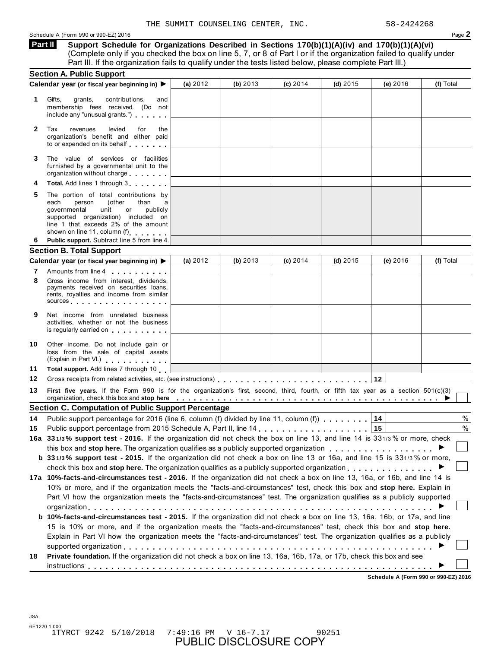**Support Schedule for Organizations Described in Sections 170(b)(1)(A)(iv) and 170(b)(1)(A)(vi)** (Complete only if you checked the box on line 5, 7, or 8 of Part I or if the organization failed to qualify under Part III. If the organization fails to qualify under the tests listed below, please complete Part III.) **Part II** 

|              | Part III. If the organization fails to qualify under the tests listed below, please complete Part III.)                                                                                                                                                                                                                                                             |            |            |            |            |            |           |
|--------------|---------------------------------------------------------------------------------------------------------------------------------------------------------------------------------------------------------------------------------------------------------------------------------------------------------------------------------------------------------------------|------------|------------|------------|------------|------------|-----------|
|              | <b>Section A. Public Support</b>                                                                                                                                                                                                                                                                                                                                    |            |            |            |            |            |           |
|              | Calendar year (or fiscal year beginning in) $\blacktriangleright$                                                                                                                                                                                                                                                                                                   | (a) 2012   | (b) 2013   | (c) 2014   | (d) $2015$ | (e) 2016   | (f) Total |
| 1            | Gifts,<br>contributions,<br>grants,<br>and<br>membership fees received. (Do not<br>include any "unusual grants.")                                                                                                                                                                                                                                                   |            |            |            |            |            |           |
| $\mathbf{2}$ | Tax<br>revenues<br>levied<br>for<br>the<br>organization's benefit and either paid<br>to or expended on its behalf                                                                                                                                                                                                                                                   |            |            |            |            |            |           |
| 3            | The value of services or facilities<br>furnished by a governmental unit to the<br>organization without charge                                                                                                                                                                                                                                                       |            |            |            |            |            |           |
| 4            | Total. Add lines 1 through 3                                                                                                                                                                                                                                                                                                                                        |            |            |            |            |            |           |
| 5            | The portion of total contributions by<br>each<br>person<br>other)<br>than<br>a<br>governmental<br>publicly<br>unit<br>or<br>supported organization) included on<br>line 1 that exceeds 2% of the amount<br>shown on line 11, column (f)                                                                                                                             |            |            |            |            |            |           |
| 6            | Public support. Subtract line 5 from line 4.                                                                                                                                                                                                                                                                                                                        |            |            |            |            |            |           |
|              | <b>Section B. Total Support</b>                                                                                                                                                                                                                                                                                                                                     |            |            |            |            |            |           |
|              | Calendar year (or fiscal year beginning in)                                                                                                                                                                                                                                                                                                                         | (a) $2012$ | (b) $2013$ | $(c)$ 2014 | (d) $2015$ | (e) $2016$ | (f) Total |
| 7            | Amounts from line 4                                                                                                                                                                                                                                                                                                                                                 |            |            |            |            |            |           |
| 8            | Gross income from interest, dividends,<br>payments received on securities loans,<br>rents, royalties and income from similar<br>sources and the set of the set of the set of the set of the set of the set of the set of the set of the set of                                                                                                                      |            |            |            |            |            |           |
| 9            | Net income from unrelated business<br>activities, whether or not the business<br>is regularly carried on                                                                                                                                                                                                                                                            |            |            |            |            |            |           |
| 10           | Other income. Do not include gain or<br>loss from the sale of capital assets<br>(Explain in Part VI.)                                                                                                                                                                                                                                                               |            |            |            |            |            |           |
| 11           | Total support. Add lines 7 through 10                                                                                                                                                                                                                                                                                                                               |            |            |            |            |            |           |
| 12           |                                                                                                                                                                                                                                                                                                                                                                     |            |            |            |            | 12         |           |
| 13           | First five years. If the Form 990 is for the organization's first, second, third, fourth, or fifth tax year as a section 501(c)(3)<br>organization, check this box and stop here enterpretation of the content of the content of the set of the set of the set of the set of the set of the set of the set of the set of the set of the set of the set of the set o |            |            |            |            |            |           |
|              | <b>Section C. Computation of Public Support Percentage</b>                                                                                                                                                                                                                                                                                                          |            |            |            |            |            |           |
|              | 14 Public support percentage for 2016 (line 6, column (f) divided by line 11, column (f)                                                                                                                                                                                                                                                                            |            |            |            |            | 14         | $\%$      |
| 15           |                                                                                                                                                                                                                                                                                                                                                                     |            |            |            |            |            | %         |
|              | 16a 331/3% support test - 2016. If the organization did not check the box on line 13, and line 14 is 331/3% or more, check                                                                                                                                                                                                                                          |            |            |            |            |            |           |
|              | this box and stop here. The organization qualifies as a publicly supported organization                                                                                                                                                                                                                                                                             |            |            |            |            |            |           |
|              | <b>b</b> 331/3% support test - 2015. If the organization did not check a box on line 13 or 16a, and line 15 is 331/3% or more,                                                                                                                                                                                                                                      |            |            |            |            |            |           |
|              | check this box and stop here. The organization qualifies as a publicly supported organization                                                                                                                                                                                                                                                                       |            |            |            |            |            |           |
|              | 17a 10%-facts-and-circumstances test - 2016. If the organization did not check a box on line 13, 16a, or 16b, and line 14 is                                                                                                                                                                                                                                        |            |            |            |            |            |           |
|              | 10% or more, and if the organization meets the "facts-and-circumstances" test, check this box and stop here. Explain in                                                                                                                                                                                                                                             |            |            |            |            |            |           |
|              | Part VI how the organization meets the "facts-and-circumstances" test. The organization qualifies as a publicly supported                                                                                                                                                                                                                                           |            |            |            |            |            |           |
|              |                                                                                                                                                                                                                                                                                                                                                                     |            |            |            |            |            |           |
|              | <b>b 10%-facts-and-circumstances test - 2015.</b> If the organization did not check a box on line 13, 16a, 16b, or 17a, and line<br>15 is 10% or more, and if the organization meets the "facts-and-circumstances" test, check this box and stop here.                                                                                                              |            |            |            |            |            |           |
|              |                                                                                                                                                                                                                                                                                                                                                                     |            |            |            |            |            |           |
|              | Explain in Part VI how the organization meets the "facts-and-circumstances" test. The organization qualifies as a publicly                                                                                                                                                                                                                                          |            |            |            |            |            |           |
|              | Private foundation. If the organization did not check a box on line 13, 16a, 16b, 17a, or 17b, check this box and see                                                                                                                                                                                                                                               |            |            |            |            |            |           |
|              |                                                                                                                                                                                                                                                                                                                                                                     |            |            |            |            |            |           |
| 18           |                                                                                                                                                                                                                                                                                                                                                                     |            |            |            |            |            |           |

7:49:16 PM V 16-7.17 90251 PUBLIC DISCLOSURE COPY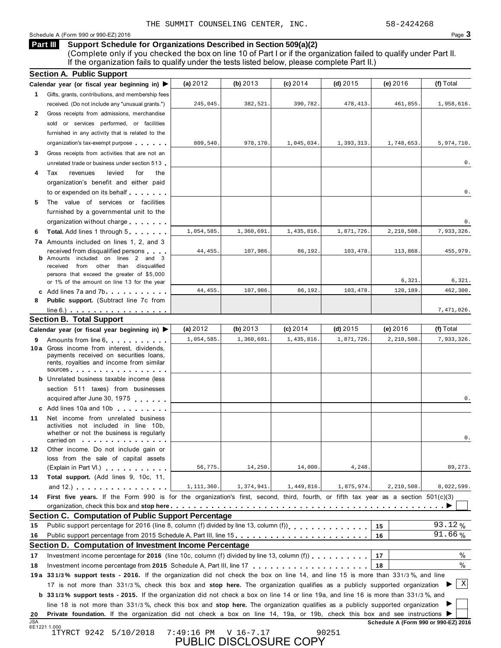Schedule A (Form 990 or 990-EZ) 2016 Page **3**

### **Support Schedule for Organizations Described in Section 509(a)(2) Part III**

(Complete only if you checked the box on line 10 of Part I or if the organization failed to qualify under Part II. If the organization fails to qualify under the tests listed below, please complete Part II.)

| 1.                   | <b>Section A. Public Support</b>                                                                                                                                                                 |            |            |            |            |                                      |               |
|----------------------|--------------------------------------------------------------------------------------------------------------------------------------------------------------------------------------------------|------------|------------|------------|------------|--------------------------------------|---------------|
|                      | Calendar year (or fiscal year beginning in) ▶                                                                                                                                                    | (a) $2012$ | (b) $2013$ | (c) $2014$ | (d) $2015$ | (e) 2016                             | (f) Total     |
|                      | Gifts, grants, contributions, and membership fees                                                                                                                                                |            |            |            |            |                                      |               |
|                      | received. (Do not include any "unusual grants.")                                                                                                                                                 | 245,045.   | 382,521.   | 390,782.   | 478, 413.  | 461,855                              | 1,958,616.    |
| 2                    | Gross receipts from admissions, merchandise                                                                                                                                                      |            |            |            |            |                                      |               |
|                      | sold or services performed, or facilities                                                                                                                                                        |            |            |            |            |                                      |               |
|                      | furnished in any activity that is related to the                                                                                                                                                 |            |            |            |            |                                      |               |
|                      | organization's tax-exempt purpose                                                                                                                                                                | 809,540.   | 978,170.   | 1,045,034. | 1,393,313. | 1,748,653.                           | 5,974,710.    |
| 3                    | Gross receipts from activities that are not an                                                                                                                                                   |            |            |            |            |                                      |               |
|                      | unrelated trade or business under section 513                                                                                                                                                    |            |            |            |            |                                      | 0.            |
| 4                    | Tax<br>revenues<br>levied<br>for<br>the                                                                                                                                                          |            |            |            |            |                                      |               |
|                      | organization's benefit and either paid                                                                                                                                                           |            |            |            |            |                                      |               |
|                      | to or expended on its behalf                                                                                                                                                                     |            |            |            |            |                                      | 0.            |
| 5                    | The value of services or facilities                                                                                                                                                              |            |            |            |            |                                      |               |
|                      | furnished by a governmental unit to the                                                                                                                                                          |            |            |            |            |                                      |               |
|                      | organization without charge                                                                                                                                                                      |            |            |            |            |                                      | 0.            |
| 6                    | <b>Total.</b> Add lines 1 through 5                                                                                                                                                              | 1,054,585. | 1,360,691. | 1,435,816. | 1,871,726. | 2,210,508                            | 7,933,326.    |
|                      | 7a Amounts included on lines 1, 2, and 3                                                                                                                                                         |            |            |            |            |                                      |               |
|                      | received from disqualified persons                                                                                                                                                               | 44, 455.   | 107,986.   | 86,192.    | 103,478.   | 113,868.                             | 455,979.      |
|                      | <b>b</b> Amounts included on lines 2 and 3                                                                                                                                                       |            |            |            |            |                                      |               |
|                      | from other than disqualified<br>received                                                                                                                                                         |            |            |            |            |                                      |               |
|                      | persons that exceed the greater of \$5,000                                                                                                                                                       |            |            |            |            |                                      |               |
|                      | or 1% of the amount on line 13 for the year                                                                                                                                                      |            |            |            |            | 6,321                                | 6,321.        |
|                      | c Add lines 7a and 7b                                                                                                                                                                            | 44, 455.   | 107,986.   | 86,192.    | 103,478.   | 120,189                              | 462,300.      |
| 8                    | Public support. (Subtract line 7c from                                                                                                                                                           |            |            |            |            |                                      |               |
|                      | line 6.) $\ldots$ $\ldots$ $\ldots$ $\ldots$ $\ldots$ $\ldots$ $\ldots$                                                                                                                          |            |            |            |            |                                      | 7,471,026.    |
|                      | <b>Section B. Total Support</b>                                                                                                                                                                  |            |            |            |            |                                      |               |
|                      | Calendar year (or fiscal year beginning in) ▶                                                                                                                                                    | (a) $2012$ | (b) $2013$ | (c) $2014$ | (d) $2015$ | (e) 2016                             | (f) Total     |
| 9                    | Amounts from line 6                                                                                                                                                                              | 1,054,585. | 1,360,691. | 1,435,816. | 1,871,726. | 2,210,508                            | 7,933,326.    |
|                      | 10 a Gross income from interest, dividends,<br>payments received on securities loans,<br>rents, royalties and income from similar                                                                |            |            |            |            |                                      |               |
|                      | sources entering the set of the set of the set of the set of the set of the set of the set of the set of the s<br><b>b</b> Unrelated business taxable income (less                               |            |            |            |            |                                      |               |
|                      |                                                                                                                                                                                                  |            |            |            |            |                                      |               |
|                      | section 511 taxes) from businesses                                                                                                                                                               |            |            |            |            |                                      | 0.            |
|                      | acquired after June 30, 1975                                                                                                                                                                     |            |            |            |            |                                      |               |
|                      | c Add lines 10a and 10b                                                                                                                                                                          |            |            |            |            |                                      |               |
| 11                   | Net income from unrelated business<br>activities not included in line 10b,                                                                                                                       |            |            |            |            |                                      |               |
|                      | whether or not the business is regularly<br>carried on <b>carried</b> on <b>carried</b> on <b>carried</b> on <b>carefully</b>                                                                    |            |            |            |            |                                      |               |
|                      |                                                                                                                                                                                                  |            |            |            |            |                                      |               |
|                      |                                                                                                                                                                                                  |            |            |            |            |                                      |               |
|                      | Other income. Do not include gain or                                                                                                                                                             |            |            |            |            |                                      |               |
| 12                   | loss from the sale of capital assets<br>(Explain in Part VI.)                                                                                                                                    | 56,775.    | 14,250.    | 14,000     | 4,248      |                                      | 0.<br>89,273. |
|                      | Total support. (Add lines 9, 10c, 11,                                                                                                                                                            |            |            |            |            |                                      |               |
|                      |                                                                                                                                                                                                  | 1,111,360. | 1,374,941. | 1,449,816. | 1,875,974. | 2,210,508.                           | 8,022,599.    |
|                      | and $12.$ ) $\cdots$ $\cdots$ $\cdots$ $\cdots$                                                                                                                                                  |            |            |            |            |                                      |               |
| 13<br>14             | First five years. If the Form 990 is for the organization's first, second, third, fourth, or fifth tax year as a section 501(c)(3)                                                               |            |            |            |            |                                      |               |
|                      | organization, check this box and stop here $\ldots \ldots \ldots \ldots \ldots \ldots \ldots \ldots \ldots \ldots \ldots \ldots \ldots$                                                          |            |            |            |            |                                      |               |
|                      | Section C. Computation of Public Support Percentage                                                                                                                                              |            |            |            |            |                                      |               |
|                      | Public support percentage for 2016 (line 8, column (f) divided by line 13, column (f)).                                                                                                          |            |            |            |            | 15                                   | 93.12%        |
|                      | Public support percentage from 2015 Schedule A, Part III, line 15.                                                                                                                               |            |            |            |            | 16                                   | 91.66%        |
|                      | Section D. Computation of Investment Income Percentage                                                                                                                                           |            |            |            |            |                                      |               |
|                      | Investment income percentage for 2016 (line 10c, column (f) divided by line 13, column (f) [11] [12] Independent income percentage for 2016 (line 10c, column (f) divided by line 13, column (f) |            |            |            |            | 17                                   | %             |
|                      |                                                                                                                                                                                                  |            |            |            |            | 18                                   | %             |
|                      | 19a 331/3% support tests - 2016. If the organization did not check the box on line 14, and line 15 is more than 331/3%, and line                                                                 |            |            |            |            |                                      |               |
| 15<br>16<br>17<br>18 | 17 is not more than 331/3%, check this box and stop here. The organization qualifies as a publicly supported organization                                                                        |            |            |            |            |                                      | Χ             |
|                      | <b>b</b> 331/3% support tests - 2015. If the organization did not check a box on line 14 or line 19a, and line 16 is more than 331/3%, and                                                       |            |            |            |            |                                      |               |
|                      | line 18 is not more than 331/3%, check this box and stop here. The organization qualifies as a publicly supported organization                                                                   |            |            |            |            |                                      |               |
| 20<br><b>JSA</b>     | Private foundation. If the organization did not check a box on line 14, 19a, or 19b, check this box and see instructions ▶                                                                       |            |            |            |            | Schedule A (Form 990 or 990-EZ) 2016 |               |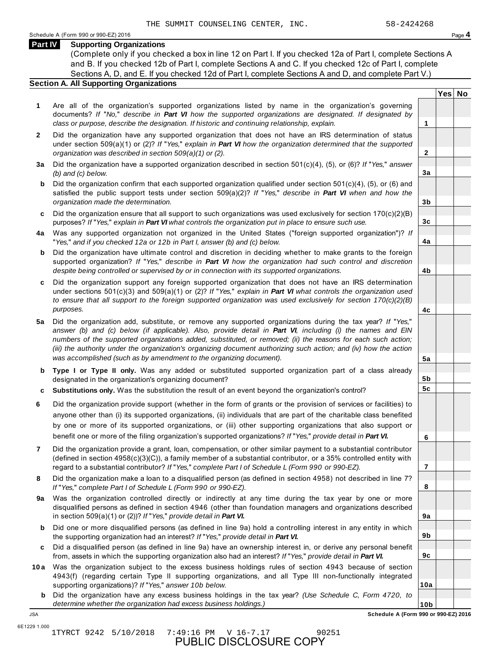## **Part IV Supporting Organizations**

(Complete only if you checked a box in line 12 on Part I. If you checked 12a of Part I, complete Sections A and B. If you checked 12b of Part I, complete Sections A and C. If you checked 12c of Part I, complete Sections A, D, and E. If you checked 12d of Part I, complete Sections A and D, and complete Part V.)

### **Section A. All Supporting Organizations**

- **1** Are all of the organization's supported organizations listed by name in the organization's governing documents? *If* "*No,*" *describe in Part VI how the supported organizations are designated. If designated by class or purpose, describe the designation. If historic and continuing relationship, explain.* **1**
- **2** Did the organization have any supported organization that does not have an IRS determination of status under section 509(a)(1) or (2)? *If* "*Yes,*" *explain in Part VI how the organization determined that the supported organization was described in section 509(a)(1) or (2).*
- **3 a** Did the organization have a supported organization described in section 501(c)(4), (5), or (6)? *If* "*Yes,*" *answer (b) and (c) below.*
- **b** Did the organization confirm that each supported organization qualified under section 501(c)(4), (5), or (6) and  $\mid$ satisfied the public support tests under section 509(a)(2)? *If* "*Yes,*" *describe in Part VI when and how the organization made the determination.*
- **c** Did the organization ensure that all support to such organizations was used exclusively for section 170(c)(2)(B) purposes? *If* "*Yes,*" *explain in Part VI what controls the organization put in place to ensure such use.*
- **4 a** Was any supported organization not organized in the United States ("foreign supported organization")? *If* "*Yes,*" *and if you checked 12a or 12b in Part I, answer (b) and (c) below.*
- **b** Did the organization have ultimate control and discretion in deciding whether to make grants to the foreign  $|$ supported organization? *If* "*Yes,*" *describe in Part VI how the organization had such control and discretion despite being controlled or supervised by or in connection with its supported organizations.*
- **c** Did the organization support any foreign supported organization that does not have an IRS determination under sections 501(c)(3) and 509(a)(1) or (2)? *If* "*Yes,*" *explain in Part VI what controls the organization used to ensure that all support to the foreign supported organization was used exclusively for section 170(c)(2)(B) purposes.*
- **5 a** Did the organization add, substitute, or remove any supported organizations during the tax year? *If* "*Yes,*" *answer (b) and (c) below (if applicable). Also, provide detail in Part VI, including (i) the names and EIN numbers of the supported organizations added, substituted, or removed; (ii) the reasons for each such action; (iii) the authority under the organization's organizing document authorizing such action; and (iv) how the action was accomplished (such as by amendment to the organizing document).*
- **b Type I or Type II only.** Was any added or substituted supported organization part of a class already | designated in the organization's organizing document?
- **c Substitutions only.** Was the substitution the result of an event beyond the organization's control?
- **6** Did the organization provide support (whether in the form of grants or the provision of services or facilities) to anyone other than (i) its supported organizations, (ii) individuals that are part of the charitable class benefited by one or more of its supported organizations, or (iii) other supporting organizations that also support or benefit one or more of the filing organization's supported organizations? *If* "*Yes,*" *provide detail in Part VI.*
- **7** Did the organization provide a grant, loan, compensation, or other similar payment to a substantial contributor (defined in section 4958(c)(3)(C)), a family member of a substantial contributor, or a 35% controlled entity with regard to a substantial contributor? *If* "*Yes,*" *complete Part I of Schedule L (Form 990 or 990-EZ).*
- **8** Did the organization make a loan to a disqualified person (as defined in section 4958) not described in line 7? *If* "*Yes,*" *complete Part I of Schedule L (Form 990 or 990-EZ).*
- **a** Was the organization controlled directly or indirectly at any time during the tax year by one or more  $|$ **9** disqualified persons as defined in section 4946 (other than foundation managers and organizations described in section 509(a)(1) or (2))? *If* "*Yes,*" *provide detail in Part VI.*
- **b** Did one or more disqualified persons (as defined in line 9a) hold a controlling interest in any entity in which  $|$ the supporting organization had an interest? *If* "*Yes,*" *provide detail in Part VI.*
- **c** Did a disqualified person (as defined in line 9a) have an ownership interest in, or derive any personal benefit from, assets in which the supporting organization also had an interest? *If* "*Yes,*" *provide detail in Part VI.*
- **10 a** Was the organization subject to the excess business holdings rules of section 4943 because of section  $|$ 4943(f) (regarding certain Type II supporting organizations, and all Type III non-functionally integrated supporting organizations)? *If* "*Yes,*" *answer 10b below.*
	- **b** Did the organization have any excess business holdings in the tax year? *(Use Schedule C, Form 4720, to determine whether the organization had excess business holdings.)*

**10b** JSA **Schedule A (Form 990 or 990-EZ) 2016**

**Yes No**

**2**

**3a**

**3b**

**3c**

**4a**

**4b**

**4c**

**5a**

**5b 5c**

**6**

**7**

**8**

**9a**

**9b**

**9c**

**10a**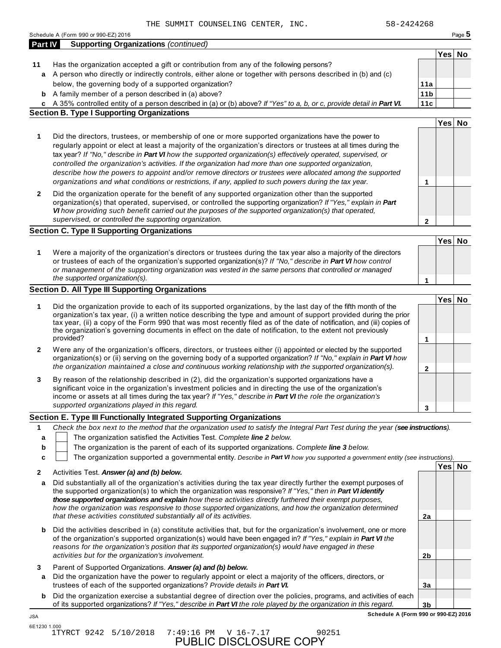|         | Schedule A (Form 990 or 990-EZ) 2016                                                                                                                                                                                                                                                                                                                                                                                                                                                                                                                                                                                                                                         |                 |        | Page 5 |
|---------|------------------------------------------------------------------------------------------------------------------------------------------------------------------------------------------------------------------------------------------------------------------------------------------------------------------------------------------------------------------------------------------------------------------------------------------------------------------------------------------------------------------------------------------------------------------------------------------------------------------------------------------------------------------------------|-----------------|--------|--------|
| Part IV | <b>Supporting Organizations (continued)</b>                                                                                                                                                                                                                                                                                                                                                                                                                                                                                                                                                                                                                                  |                 | Yes No |        |
| 11      | Has the organization accepted a gift or contribution from any of the following persons?                                                                                                                                                                                                                                                                                                                                                                                                                                                                                                                                                                                      |                 |        |        |
| a       | A person who directly or indirectly controls, either alone or together with persons described in (b) and (c)                                                                                                                                                                                                                                                                                                                                                                                                                                                                                                                                                                 |                 |        |        |
|         | below, the governing body of a supported organization?                                                                                                                                                                                                                                                                                                                                                                                                                                                                                                                                                                                                                       | 11a             |        |        |
|         | <b>b</b> A family member of a person described in (a) above?                                                                                                                                                                                                                                                                                                                                                                                                                                                                                                                                                                                                                 | 11 <sub>b</sub> |        |        |
|         | c A 35% controlled entity of a person described in (a) or (b) above? If "Yes" to a, b, or c, provide detail in Part VI.                                                                                                                                                                                                                                                                                                                                                                                                                                                                                                                                                      | 11c             |        |        |
|         | <b>Section B. Type I Supporting Organizations</b>                                                                                                                                                                                                                                                                                                                                                                                                                                                                                                                                                                                                                            |                 |        |        |
|         |                                                                                                                                                                                                                                                                                                                                                                                                                                                                                                                                                                                                                                                                              |                 | Yes No |        |
| 1       | Did the directors, trustees, or membership of one or more supported organizations have the power to<br>regularly appoint or elect at least a majority of the organization's directors or trustees at all times during the<br>tax year? If "No," describe in Part VI how the supported organization(s) effectively operated, supervised, or<br>controlled the organization's activities. If the organization had more than one supported organization,<br>describe how the powers to appoint and/or remove directors or trustees were allocated among the supported<br>organizations and what conditions or restrictions, if any, applied to such powers during the tax year. | 1               |        |        |
| 2       | Did the organization operate for the benefit of any supported organization other than the supported<br>organization(s) that operated, supervised, or controlled the supporting organization? If "Yes," explain in Part<br>VI how providing such benefit carried out the purposes of the supported organization(s) that operated,<br>supervised, or controlled the supporting organization.                                                                                                                                                                                                                                                                                   | 2               |        |        |
|         | <b>Section C. Type II Supporting Organizations</b>                                                                                                                                                                                                                                                                                                                                                                                                                                                                                                                                                                                                                           |                 |        |        |
|         |                                                                                                                                                                                                                                                                                                                                                                                                                                                                                                                                                                                                                                                                              |                 | Yes No |        |
| 1       | Were a majority of the organization's directors or trustees during the tax year also a majority of the directors<br>or trustees of each of the organization's supported organization(s)? If "No," describe in Part VI how control<br>or management of the supporting organization was vested in the same persons that controlled or managed                                                                                                                                                                                                                                                                                                                                  |                 |        |        |
|         | the supported organization(s).                                                                                                                                                                                                                                                                                                                                                                                                                                                                                                                                                                                                                                               | 1               |        |        |
|         | <b>Section D. All Type III Supporting Organizations</b>                                                                                                                                                                                                                                                                                                                                                                                                                                                                                                                                                                                                                      |                 |        |        |
| 1       | Did the organization provide to each of its supported organizations, by the last day of the fifth month of the<br>organization's tax year, (i) a written notice describing the type and amount of support provided during the prior<br>tax year, (ii) a copy of the Form 990 that was most recently filed as of the date of notification, and (iii) copies of<br>the organization's governing documents in effect on the date of notification, to the extent not previously<br>provided?                                                                                                                                                                                     |                 | Yes No |        |
| 2       | Were any of the organization's officers, directors, or trustees either (i) appointed or elected by the supported<br>organization(s) or (ii) serving on the governing body of a supported organization? If "No," explain in Part VI how<br>the organization maintained a close and continuous working relationship with the supported organization(s).                                                                                                                                                                                                                                                                                                                        | 1               |        |        |
| 3       | By reason of the relationship described in (2), did the organization's supported organizations have a<br>significant voice in the organization's investment policies and in directing the use of the organization's<br>income or assets at all times during the tax year? If "Yes," describe in Part VI the role the organization's<br>supported organizations played in this regard.                                                                                                                                                                                                                                                                                        | 2<br>3          |        |        |
|         | Section E. Type III Functionally Integrated Supporting Organizations                                                                                                                                                                                                                                                                                                                                                                                                                                                                                                                                                                                                         |                 |        |        |
| 1       | Check the box next to the method that the organization used to satisfy the Integral Part Test during the year (see instructions).                                                                                                                                                                                                                                                                                                                                                                                                                                                                                                                                            |                 |        |        |
| a       | The organization satisfied the Activities Test. Complete line 2 below.                                                                                                                                                                                                                                                                                                                                                                                                                                                                                                                                                                                                       |                 |        |        |
| b       | The organization is the parent of each of its supported organizations. Complete line 3 below.                                                                                                                                                                                                                                                                                                                                                                                                                                                                                                                                                                                |                 |        |        |
| C       | The organization supported a governmental entity. Describe in Part VI how you supported a government entity (see instructions).                                                                                                                                                                                                                                                                                                                                                                                                                                                                                                                                              |                 |        |        |
| 2       | Activities Test. Answer (a) and (b) below.                                                                                                                                                                                                                                                                                                                                                                                                                                                                                                                                                                                                                                   |                 | Yes No |        |
| a       | Did substantially all of the organization's activities during the tax year directly further the exempt purposes of<br>the supported organization(s) to which the organization was responsive? If "Yes," then in Part VI identify<br>those supported organizations and explain how these activities directly furthered their exempt purposes,<br>how the organization was responsive to those supported organizations, and how the organization determined<br>that these activities constituted substantially all of its activities.                                                                                                                                          | 2a              |        |        |
| b       | Did the activities described in (a) constitute activities that, but for the organization's involvement, one or more<br>of the organization's supported organization(s) would have been engaged in? If "Yes," explain in Part VI the<br>reasons for the organization's position that its supported organization(s) would have engaged in these<br>activities but for the organization's involvement.                                                                                                                                                                                                                                                                          | 2 <sub>b</sub>  |        |        |
| 3       | Parent of Supported Organizations. Answer (a) and (b) below.                                                                                                                                                                                                                                                                                                                                                                                                                                                                                                                                                                                                                 |                 |        |        |
| a       | Did the organization have the power to regularly appoint or elect a majority of the officers, directors, or<br>trustees of each of the supported organizations? Provide details in Part VI.                                                                                                                                                                                                                                                                                                                                                                                                                                                                                  | 3a              |        |        |
| b       | Did the organization exercise a substantial degree of direction over the policies, programs, and activities of each<br>of its supported organizations? If "Yes," describe in Part VI the role played by the organization in this regard.                                                                                                                                                                                                                                                                                                                                                                                                                                     | 3 <sub>b</sub>  |        |        |

6E1230 1.000<br>1TYRCT 9242 5/10/2018

1TYRCT 9242 5/10/2018 7:49:16 PM V 16-7.17 90251

PUBLIC DISCLOSURE COPY

**Schedule A (Form 990 or 990-EZ) 2016**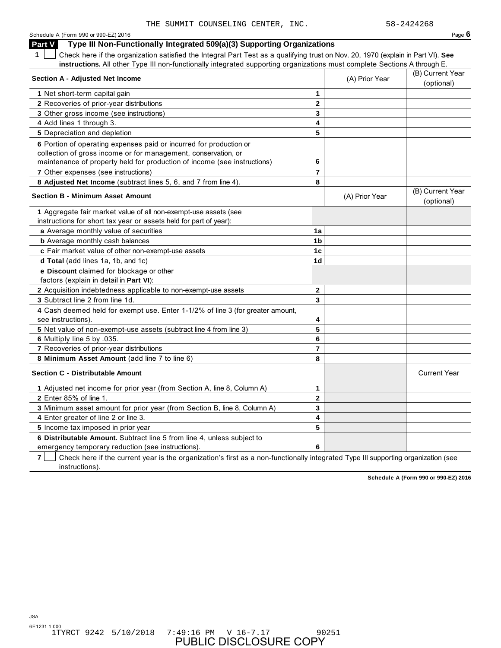| Schedule A (Form 990 or 990-EZ) 2016                                                                                                  |                |                | Page 6                         |
|---------------------------------------------------------------------------------------------------------------------------------------|----------------|----------------|--------------------------------|
| Type III Non-Functionally Integrated 509(a)(3) Supporting Organizations<br><b>Part V</b>                                              |                |                |                                |
| Check here if the organization satisfied the Integral Part Test as a qualifying trust on Nov. 20, 1970 (explain in Part VI). See<br>1 |                |                |                                |
| instructions. All other Type III non-functionally integrated supporting organizations must complete Sections A through E.             |                |                |                                |
| <b>Section A - Adjusted Net Income</b>                                                                                                |                |                | (B) Current Year               |
|                                                                                                                                       |                | (A) Prior Year | (optional)                     |
| 1 Net short-term capital gain                                                                                                         | $\mathbf{1}$   |                |                                |
| 2 Recoveries of prior-year distributions                                                                                              | $\mathbf{2}$   |                |                                |
| 3 Other gross income (see instructions)                                                                                               | 3              |                |                                |
| 4 Add lines 1 through 3.                                                                                                              | 4              |                |                                |
| 5 Depreciation and depletion                                                                                                          | 5              |                |                                |
| 6 Portion of operating expenses paid or incurred for production or                                                                    |                |                |                                |
| collection of gross income or for management, conservation, or                                                                        |                |                |                                |
| maintenance of property held for production of income (see instructions)                                                              | 6              |                |                                |
| 7 Other expenses (see instructions)                                                                                                   | $\overline{7}$ |                |                                |
| 8 Adjusted Net Income (subtract lines 5, 6, and 7 from line 4).                                                                       | 8              |                |                                |
| <b>Section B - Minimum Asset Amount</b>                                                                                               |                | (A) Prior Year | (B) Current Year<br>(optional) |
| 1 Aggregate fair market value of all non-exempt-use assets (see                                                                       |                |                |                                |
| instructions for short tax year or assets held for part of year):                                                                     |                |                |                                |
| a Average monthly value of securities                                                                                                 | 1a             |                |                                |
| <b>b</b> Average monthly cash balances                                                                                                | 1 <sub>b</sub> |                |                                |
| c Fair market value of other non-exempt-use assets                                                                                    | 1 <sub>c</sub> |                |                                |
| d Total (add lines 1a, 1b, and 1c)                                                                                                    | 1 <sub>d</sub> |                |                                |
| e Discount claimed for blockage or other<br>factors (explain in detail in Part VI):                                                   |                |                |                                |
| 2 Acquisition indebtedness applicable to non-exempt-use assets                                                                        | $\mathbf{2}$   |                |                                |
| 3 Subtract line 2 from line 1d.                                                                                                       | 3              |                |                                |
| 4 Cash deemed held for exempt use. Enter 1-1/2% of line 3 (for greater amount,<br>see instructions).                                  | 4              |                |                                |
| 5 Net value of non-exempt-use assets (subtract line 4 from line 3)                                                                    | 5              |                |                                |
| 6 Multiply line 5 by .035.                                                                                                            | 6              |                |                                |
| 7 Recoveries of prior-year distributions                                                                                              | $\overline{7}$ |                |                                |
| 8 Minimum Asset Amount (add line 7 to line 6)                                                                                         | 8              |                |                                |
| <b>Section C - Distributable Amount</b>                                                                                               |                |                | <b>Current Year</b>            |
| 1 Adjusted net income for prior year (from Section A, line 8, Column A)                                                               | 1              |                |                                |
| <b>2</b> Enter 85% of line 1.                                                                                                         | $\mathbf 2$    |                |                                |
| 3 Minimum asset amount for prior year (from Section B, line 8, Column A)                                                              | 3              |                |                                |
| 4 Enter greater of line 2 or line 3.                                                                                                  | 4              |                |                                |
| 5 Income tax imposed in prior year                                                                                                    | 5              |                |                                |
| 6 Distributable Amount. Subtract line 5 from line 4, unless subject to                                                                |                |                |                                |
| emergency temporary reduction (see instructions).                                                                                     | 6              |                |                                |

**7** | Check here if the current year is the organization's first as a non-functionally integrated Type III supporting organization (see instructions).

**Schedule A (Form 990 or 990-EZ) 2016**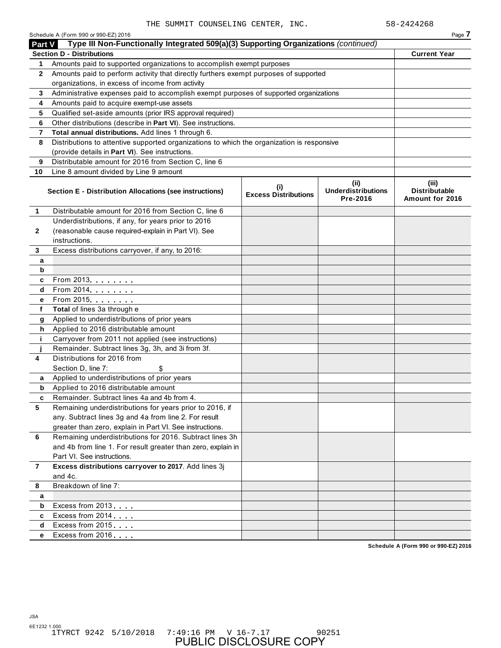|               | Schedule A (Form 990 or 990-EZ) 2016<br>Type III Non-Functionally Integrated 509(a)(3) Supporting Organizations (continued) |                                          |                                                | Page 7                                           |
|---------------|-----------------------------------------------------------------------------------------------------------------------------|------------------------------------------|------------------------------------------------|--------------------------------------------------|
| <b>Part V</b> | <b>Section D - Distributions</b>                                                                                            |                                          |                                                | <b>Current Year</b>                              |
| 1             | Amounts paid to supported organizations to accomplish exempt purposes                                                       |                                          |                                                |                                                  |
|               | Amounts paid to perform activity that directly furthers exempt purposes of supported                                        |                                          |                                                |                                                  |
| 2             |                                                                                                                             |                                          |                                                |                                                  |
|               | organizations, in excess of income from activity                                                                            |                                          |                                                |                                                  |
| 3             | Administrative expenses paid to accomplish exempt purposes of supported organizations                                       |                                          |                                                |                                                  |
| 4             | Amounts paid to acquire exempt-use assets                                                                                   |                                          |                                                |                                                  |
| 5             | Qualified set-aside amounts (prior IRS approval required)                                                                   |                                          |                                                |                                                  |
| 6             | Other distributions (describe in Part VI). See instructions.                                                                |                                          |                                                |                                                  |
| 7             | Total annual distributions. Add lines 1 through 6.                                                                          |                                          |                                                |                                                  |
| 8             | Distributions to attentive supported organizations to which the organization is responsive                                  |                                          |                                                |                                                  |
|               | (provide details in Part VI). See instructions.                                                                             |                                          |                                                |                                                  |
| 9             | Distributable amount for 2016 from Section C, line 6                                                                        |                                          |                                                |                                                  |
| 10            | Line 8 amount divided by Line 9 amount                                                                                      |                                          |                                                |                                                  |
|               | Section E - Distribution Allocations (see instructions)                                                                     | $\sf (i)$<br><b>Excess Distributions</b> | (iii)<br><b>Underdistributions</b><br>Pre-2016 | (iii)<br><b>Distributable</b><br>Amount for 2016 |
| 1             | Distributable amount for 2016 from Section C, line 6                                                                        |                                          |                                                |                                                  |
|               | Underdistributions, if any, for years prior to 2016                                                                         |                                          |                                                |                                                  |
| 2             | (reasonable cause required-explain in Part VI). See                                                                         |                                          |                                                |                                                  |
|               | instructions.                                                                                                               |                                          |                                                |                                                  |
| 3             | Excess distributions carryover, if any, to 2016:                                                                            |                                          |                                                |                                                  |
| a             |                                                                                                                             |                                          |                                                |                                                  |
| b             |                                                                                                                             |                                          |                                                |                                                  |
| c             | From 2013                                                                                                                   |                                          |                                                |                                                  |
| d             |                                                                                                                             |                                          |                                                |                                                  |
| е             | From 2015.                                                                                                                  |                                          |                                                |                                                  |
| f             | Total of lines 3a through e                                                                                                 |                                          |                                                |                                                  |
| g             | Applied to underdistributions of prior years                                                                                |                                          |                                                |                                                  |
| h             | Applied to 2016 distributable amount                                                                                        |                                          |                                                |                                                  |
| j.            | Carryover from 2011 not applied (see instructions)                                                                          |                                          |                                                |                                                  |
|               | Remainder. Subtract lines 3g, 3h, and 3i from 3f.                                                                           |                                          |                                                |                                                  |
| 4             | Distributions for 2016 from                                                                                                 |                                          |                                                |                                                  |
|               | Section D, line 7:                                                                                                          |                                          |                                                |                                                  |
| a             | Applied to underdistributions of prior years                                                                                |                                          |                                                |                                                  |
| b             | Applied to 2016 distributable amount                                                                                        |                                          |                                                |                                                  |
| c             | Remainder. Subtract lines 4a and 4b from 4.                                                                                 |                                          |                                                |                                                  |
| 5             | Remaining underdistributions for years prior to 2016, if                                                                    |                                          |                                                |                                                  |
|               | any. Subtract lines 3g and 4a from line 2. For result                                                                       |                                          |                                                |                                                  |
|               | greater than zero, explain in Part VI. See instructions.                                                                    |                                          |                                                |                                                  |
| 6             | Remaining underdistributions for 2016. Subtract lines 3h                                                                    |                                          |                                                |                                                  |
|               | and 4b from line 1. For result greater than zero, explain in                                                                |                                          |                                                |                                                  |
|               | Part VI. See instructions.                                                                                                  |                                          |                                                |                                                  |
| 7             | Excess distributions carryover to 2017. Add lines 3j                                                                        |                                          |                                                |                                                  |
|               | and 4c.                                                                                                                     |                                          |                                                |                                                  |
| 8             | Breakdown of line 7:                                                                                                        |                                          |                                                |                                                  |
| а             |                                                                                                                             |                                          |                                                |                                                  |
| b             | Excess from 2013                                                                                                            |                                          |                                                |                                                  |
| c             | Excess from 2014                                                                                                            |                                          |                                                |                                                  |
| d             | Excess from 2015                                                                                                            |                                          |                                                |                                                  |
| е             | Excess from 2016                                                                                                            |                                          |                                                |                                                  |
|               |                                                                                                                             |                                          | Schedule A (Form 990 or 990-EZ) 2016           |                                                  |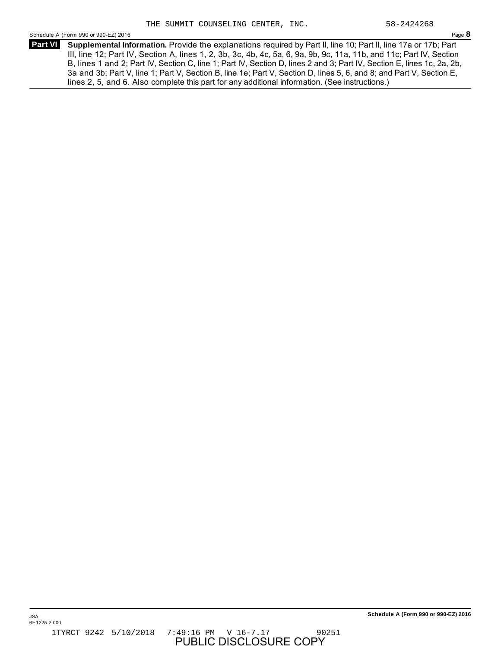Schedule A (Form 990 or 990-EZ) 2016 Page **8**

**Supplemental Information.** Provide the explanations required by Part II, line 10; Part II, line 17a or 17b; Part **Part VI**  III, line 12; Part IV, Section A, lines 1, 2, 3b, 3c, 4b, 4c, 5a, 6, 9a, 9b, 9c, 11a, 11b, and 11c; Part IV, Section B, lines 1 and 2; Part IV, Section C, line 1; Part IV, Section D, lines 2 and 3; Part IV, Section E, lines 1c, 2a, 2b, 3a and 3b; Part V, line 1; Part V, Section B, line 1e; Part V, Section D, lines 5, 6, and 8; and Part V, Section E, lines 2, 5, and 6. Also complete this part for any additional information. (See instructions.)

Schedule A (Form 990 or 990-EZ) 2016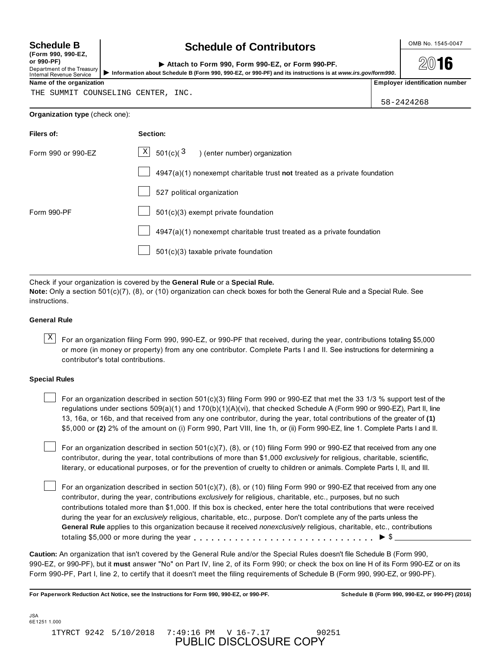**(Form 990, 990-EZ, or 990-PF)** Department of the Treasury Internal Revenue Service

# Schedule B Contributors **Contribution**

16

| Attach to Form 990, Form 990-EZ, or Form 990-PF.                                     |
|--------------------------------------------------------------------------------------|
| shout Cabadula D (Faunt 000, 000 F7, at 000 DF) and its instructions is at unusually |

**I**<br>Information about Schedule B (Form 990, Form 990-EZ, or Form 990-PF.<br>Internal Revenue Service ▶ Information about Schedule B (Form 990, 990-EZ, or 990-PF) and its instructions is at *www.irs.gov/form990.*<br>Name of the

THE SUMMIT COUNSELING CENTER, INC.

58-2424268

### **Organization type** (check one):

| Filers of:         | Section:                                                                  |
|--------------------|---------------------------------------------------------------------------|
| Form 990 or 990-EZ | $\boxed{\text{X}}$ 501(c)( 3) (enter number) organization                 |
|                    | 4947(a)(1) nonexempt charitable trust not treated as a private foundation |
|                    | 527 political organization                                                |
| Form 990-PF        | 501(c)(3) exempt private foundation                                       |
|                    | 4947(a)(1) nonexempt charitable trust treated as a private foundation     |
|                    | 501(c)(3) taxable private foundation                                      |
|                    |                                                                           |

Check if your organization is covered by the **General Rule** or a **Special Rule.**

**Note:** Only a section 501(c)(7), (8), or (10) organization can check boxes for both the General Rule and a Special Rule. See instructions.

### **General Rule**

 $\overline{\mathrm{X}}$  For an organization filing Form 990, 990-EZ, or 990-PF that received, during the year, contributions totaling \$5,000 or more (in money or property) from any one contributor. Complete Parts I and II. See instructions for determining a contributor's total contributions.

### **Special Rules**

For an organization described in section 501(c)(3) filing Form 990 or 990-EZ that met the 33 1/3 % support test of the regulations under sections 509(a)(1) and 170(b)(1)(A)(vi), that checked Schedule A (Form 990 or 990-EZ), Part II, line 13, 16a, or 16b, and that received from any one contributor, during the year, total contributions of the greater of **(1)** \$5,000 or **(2)** 2% of the amount on (i) Form 990, Part VIII, line 1h, or (ii) Form 990-EZ, line 1. Complete Parts I and II.

For an organization described in section 501(c)(7), (8), or (10) filing Form 990 or 990-EZ that received from any one contributor, during the year, total contributions of more than \$1,000 *exclusively* for religious, charitable, scientific, literary, or educational purposes, or for the prevention of cruelty to children or animals. Complete Parts I, II, and III.

For an organization described in section 501(c)(7), (8), or (10) filing Form 990 or 990-EZ that received from any one contributor, during the year, contributions *exclusively* for religious, charitable, etc., purposes, but no such contributions totaled more than \$1,000. If this box is checked, enter here the total contributions that were received during the year for an *exclusively* religious, charitable, etc., purpose. Don't complete any of the parts unless the **General Rule** applies to this organization because it received *nonexclusively* religious, charitable, etc., contributions totaling \$5,000 or more during the year  $\ldots \ldots \ldots \ldots \ldots \ldots \ldots \ldots \ldots \vdots \bullet$  s

**Caution:** An organization that isn't covered by the General Rule and/or the Special Rules doesn't file Schedule B (Form 990, 990-EZ, or 990-PF), but it **must** answer "No" on Part IV, line 2, of its Form 990; or check the box on line H of its Form 990-EZ or on its Form 990-PF, Part I, line 2, to certify that it doesn't meet the filing requirements of Schedule B (Form 990, 990-EZ, or 990-PF).

PUBLIC DISCLOSURE COPY

**For Paperwork Reduction Act Notice, see the Instructions for Form 990, 990-EZ, or 990-PF. Schedule B (Form 990, 990-EZ, or 990-PF) (2016)**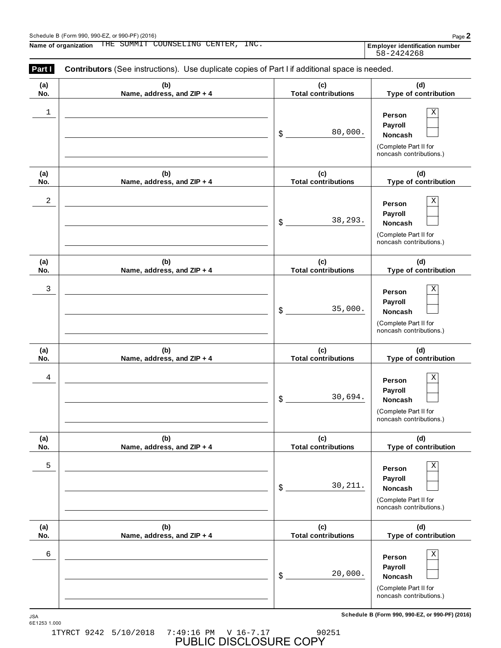**Name of organization Employer identification number** THE SUMMIT COUNSELING CENTER, INC.

| (a) | (b)                        | (c)                        | (d)                                                                                          |
|-----|----------------------------|----------------------------|----------------------------------------------------------------------------------------------|
| No. | Name, address, and ZIP + 4 | <b>Total contributions</b> | Type of contribution                                                                         |
| 1   |                            | 80,000.<br>\$              | Χ<br>Person<br>Payroll<br>Noncash<br>(Complete Part II for<br>noncash contributions.)        |
| (a) | (b)                        | (c)                        | (d)                                                                                          |
| No. | Name, address, and ZIP + 4 | <b>Total contributions</b> | Type of contribution                                                                         |
| 2   |                            | 38,293.<br>\$              | Χ<br>Person<br>Payroll<br>Noncash<br>(Complete Part II for<br>noncash contributions.)        |
| (a) | (b)                        | (c)                        | (d)                                                                                          |
| No. | Name, address, and ZIP + 4 | <b>Total contributions</b> | Type of contribution                                                                         |
| 3   |                            | 35,000.<br>\$              | Χ<br>Person<br>Payroll<br>Noncash<br>(Complete Part II for<br>noncash contributions.)        |
| (a) | (b)                        | (c)                        | (d)                                                                                          |
| No. | Name, address, and ZIP + 4 | <b>Total contributions</b> | Type of contribution                                                                         |
| 4   |                            | 30,694.<br>\$              | Χ<br>Person<br>Payroll<br>Noncash<br>(Complete Part II for<br>noncash contributions.)        |
| (a) | (b)                        | (c)                        | (d)                                                                                          |
| No. | Name, address, and ZIP + 4 | <b>Total contributions</b> | Type of contribution                                                                         |
| 5   |                            | 30,211.<br>\$              | Χ<br>Person<br>Payroll<br><b>Noncash</b><br>(Complete Part II for<br>noncash contributions.) |
| (a) | (b)                        | (c)                        | (d)                                                                                          |
| No. | Name, address, and ZIP + 4 | <b>Total contributions</b> | Type of contribution                                                                         |
| 6   |                            | 20,000.<br>\$              | Χ<br>Person<br>Payroll<br><b>Noncash</b><br>(Complete Part II for<br>noncash contributions.) |

Schedule B (Form 990, 990-EZ, or 990-PF) (2016)

1TYRCT 9242 5/10/2018 7:49:16 PM V 16-7.17 90251 PUBLIC DISCLOSURE COPY

JSA<br>6E1253 1.000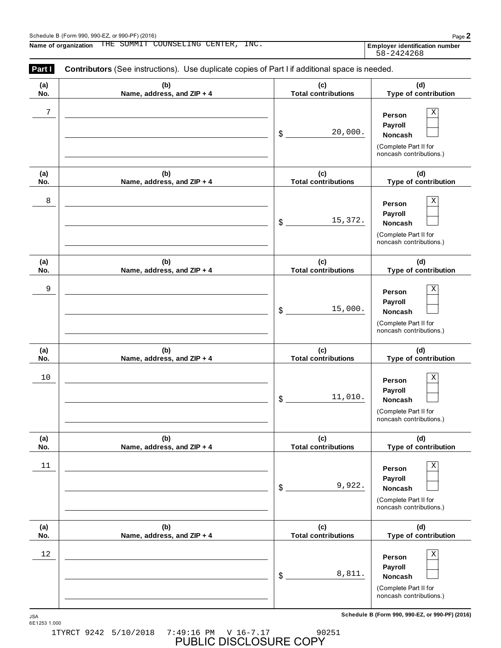**Name of organization Employer identification number** THE SUMMIT COUNSELING CENTER, INC.

| (a)<br>No. | (b)<br>Name, address, and ZIP + 4 | (c)<br><b>Total contributions</b> | (d)<br>Type of contribution                                                           |
|------------|-----------------------------------|-----------------------------------|---------------------------------------------------------------------------------------|
| 7          |                                   | 20,000.<br>\$                     | Χ<br>Person<br>Payroll<br>Noncash<br>(Complete Part II for<br>noncash contributions.) |
| (a)<br>No. | (b)<br>Name, address, and ZIP + 4 | (c)<br><b>Total contributions</b> | (d)<br>Type of contribution                                                           |
| 8          |                                   | 15,372.<br>\$                     | Χ<br>Person<br>Payroll<br>Noncash<br>(Complete Part II for<br>noncash contributions.) |
| (a)<br>No. | (b)<br>Name, address, and ZIP + 4 | (c)<br><b>Total contributions</b> | (d)<br>Type of contribution                                                           |
| 9          |                                   | 15,000.<br>\$                     | Χ<br>Person<br>Payroll<br>Noncash<br>(Complete Part II for<br>noncash contributions.) |
| (a)<br>No. | (b)<br>Name, address, and ZIP + 4 | (c)<br><b>Total contributions</b> | (d)<br>Type of contribution                                                           |
| 10         |                                   | 11,010.<br>\$                     | Χ<br>Person<br>Payroll<br>Noncash<br>(Complete Part II for<br>noncash contributions.) |
| (a)<br>No. | (b)<br>Name, address, and ZIP + 4 | (c)<br><b>Total contributions</b> | (d)<br>Type of contribution                                                           |
| 11         |                                   | 9,922.<br>\$                      | Χ<br>Person<br>Payroll<br>Noncash<br>(Complete Part II for<br>noncash contributions.) |
| (a)<br>No. | (b)<br>Name, address, and ZIP + 4 | (c)<br><b>Total contributions</b> | (d)<br>Type of contribution                                                           |
| 12         |                                   | 8,811.<br>\$                      | Χ<br>Person<br>Payroll<br>Noncash<br>(Complete Part II for<br>noncash contributions.) |

Schedule B (Form 990, 990-EZ, or 990-PF) (2016)

1TYRCT 9242 5/10/2018 7:49:16 PM V 16-7.17 90251 PUBLIC DISCLOSURE COPY

JSA<br>6E1253 1.000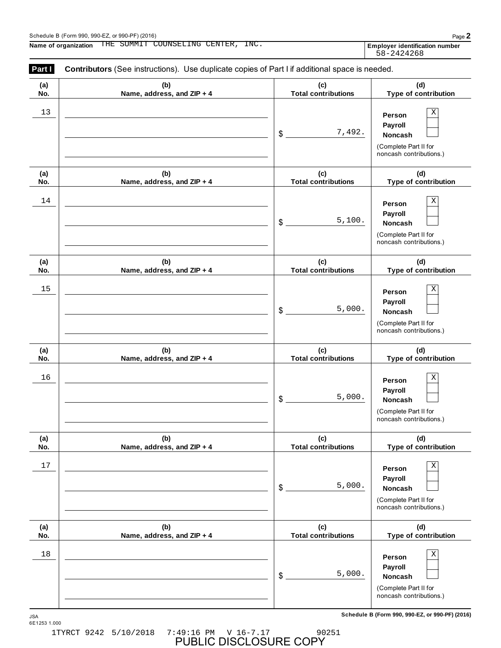**Name of organization Employer identification number** THE SUMMIT COUNSELING CENTER, INC.

| Part I     | <b>Contributors</b> (See instructions). Use duplicate copies of Part I if additional space is needed. |                                   |                                                                                                 |
|------------|-------------------------------------------------------------------------------------------------------|-----------------------------------|-------------------------------------------------------------------------------------------------|
| (a)<br>No. | (b)<br>Name, address, and ZIP + 4                                                                     | (c)<br><b>Total contributions</b> | (d)<br>Type of contribution                                                                     |
| 13         |                                                                                                       | 7,492.<br>\$                      | $\mathbf X$<br>Person<br>Payroll<br>Noncash<br>(Complete Part II for<br>noncash contributions.) |
| (a)<br>No. | (b)<br>Name, address, and ZIP + 4                                                                     | (c)<br><b>Total contributions</b> | (d)<br>Type of contribution                                                                     |
| 14         |                                                                                                       | 5,100.<br>\$                      | $\mathbf X$<br>Person<br>Payroll<br>Noncash<br>(Complete Part II for<br>noncash contributions.) |
| (a)<br>No. | (b)<br>Name, address, and ZIP + 4                                                                     | (c)<br><b>Total contributions</b> | (d)<br>Type of contribution                                                                     |
| 15         |                                                                                                       | 5,000.<br>\$                      | $\mathbf X$<br>Person<br>Payroll<br>Noncash<br>(Complete Part II for<br>noncash contributions.) |
| (a)<br>No. | (b)<br>Name, address, and ZIP + 4                                                                     | (c)<br><b>Total contributions</b> | (d)<br>Type of contribution                                                                     |
| 16         |                                                                                                       | 5,000.<br>\$                      | $\mathbf X$<br>Person<br>Payroll<br>Noncash<br>(Complete Part II for<br>noncash contributions.) |
| (a)<br>No. | (b)<br>Name, address, and ZIP + 4                                                                     | (c)<br><b>Total contributions</b> | (d)<br>Type of contribution                                                                     |
| $17$       |                                                                                                       | 5,000.<br>\$                      | $\mathbf X$<br>Person<br>Payroll<br>Noncash<br>(Complete Part II for<br>noncash contributions.) |
| (a)<br>No. | (b)<br>Name, address, and ZIP + 4                                                                     | (c)<br><b>Total contributions</b> | (d)<br>Type of contribution                                                                     |
| 18         |                                                                                                       | 5,000.<br>\$                      | $\mathbf X$<br>Person<br>Payroll<br>Noncash<br>(Complete Part II for<br>noncash contributions.) |

Schedule B (Form 990, 990-EZ, or 990-PF) (2016)

JSA<br>6E1253 1.000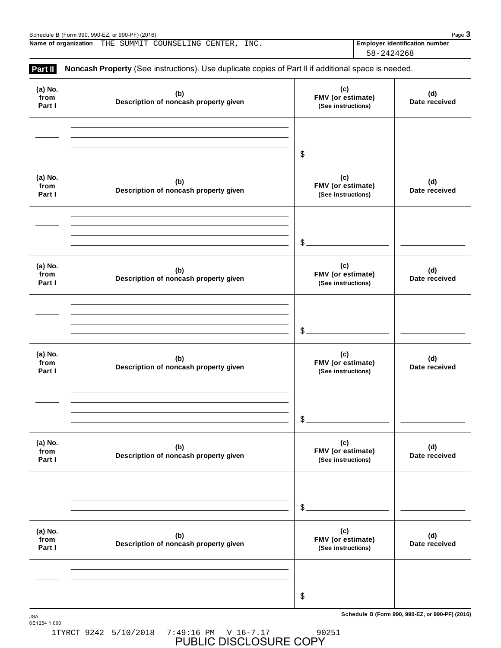| Schedule<br>$\sim$ $ -$<br>(2016)<br>or 990-PF<br>990-EZ<br>$\sim$<br>rorm <sup>o</sup><br>.<br>. и.<br>$\cdot$ | Pac |
|-----------------------------------------------------------------------------------------------------------------|-----|
|-----------------------------------------------------------------------------------------------------------------|-----|

**Name of organization** THE SUMMIT COUNSELING CENTER, INC. Employer identification number

58-2424268

| Part II                   | Noncash Property (See instructions). Use duplicate copies of Part II if additional space is needed. |                                                |                      |  |  |
|---------------------------|-----------------------------------------------------------------------------------------------------|------------------------------------------------|----------------------|--|--|
| (a) No.<br>from<br>Part I | (b)<br>Description of noncash property given                                                        | (c)<br>FMV (or estimate)<br>(See instructions) | (d)<br>Date received |  |  |
|                           |                                                                                                     | \$                                             |                      |  |  |
| (a) No.<br>from<br>Part I | (b)<br>Description of noncash property given                                                        | (c)<br>FMV (or estimate)<br>(See instructions) | (d)<br>Date received |  |  |
|                           |                                                                                                     | \$                                             |                      |  |  |
| (a) No.<br>from<br>Part I | (b)<br>Description of noncash property given                                                        | (c)<br>FMV (or estimate)<br>(See instructions) | (d)<br>Date received |  |  |
|                           |                                                                                                     | $$$ .                                          |                      |  |  |
| (a) No.<br>from<br>Part I | (b)<br>Description of noncash property given                                                        | (c)<br>FMV (or estimate)<br>(See instructions) | (d)<br>Date received |  |  |
|                           |                                                                                                     | \$                                             |                      |  |  |
| (a) No.<br>from<br>Part I | (b)<br>Description of noncash property given                                                        | (c)<br>FMV (or estimate)<br>(See instructions) | (d)<br>Date received |  |  |
|                           |                                                                                                     | $$$ .                                          |                      |  |  |
| (a) No.<br>from<br>Part I | (b)<br>Description of noncash property given                                                        | (c)<br>FMV (or estimate)<br>(See instructions) | (d)<br>Date received |  |  |
|                           |                                                                                                     | $\frac{2}{3}$                                  |                      |  |  |
|                           |                                                                                                     |                                                |                      |  |  |

1TYRCT 9242 5/10/2018 7:49:16 PM V 16-7.17 90251 PUBLIC DISCLOSURE COPY

Schedule B (Form 990, 990-EZ, or 990-PF) (2016)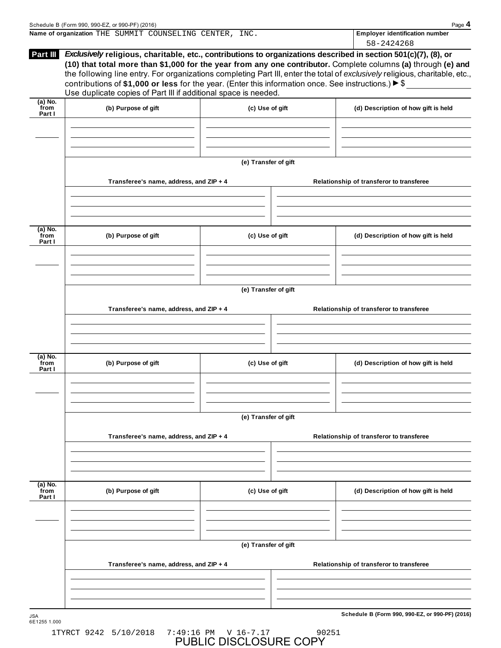|                                  | Schedule B (Form 990, 990-EZ, or 990-PF) (2016)                                                                                                                                                                                                                                                   |                 | Page 4                                                                                                                                                                                                                                        |
|----------------------------------|---------------------------------------------------------------------------------------------------------------------------------------------------------------------------------------------------------------------------------------------------------------------------------------------------|-----------------|-----------------------------------------------------------------------------------------------------------------------------------------------------------------------------------------------------------------------------------------------|
|                                  | Name of organization THE SUMMIT COUNSELING CENTER, INC.                                                                                                                                                                                                                                           |                 | <b>Employer identification number</b>                                                                                                                                                                                                         |
|                                  |                                                                                                                                                                                                                                                                                                   |                 | 58-2424268                                                                                                                                                                                                                                    |
| <b>Part III</b>                  | <i>Exclusively</i> religious, charitable, etc., contributions to organizations described in section 501(c)(7), (8), or<br>contributions of \$1,000 or less for the year. (Enter this information once. See instructions.) ▶ \$<br>Use duplicate copies of Part III if additional space is needed. |                 | (10) that total more than \$1,000 for the year from any one contributor. Complete columns (a) through (e) and<br>the following line entry. For organizations completing Part III, enter the total of exclusively religious, charitable, etc., |
| (a) No.<br>from<br><b>Dort</b> 1 | (b) Purpose of gift                                                                                                                                                                                                                                                                               | (c) Use of gift | (d) Description of how gift is held                                                                                                                                                                                                           |

| Part I                    | $(2)$ , at poop of gate                 | (0, 0, 0, 0, 0, 0)   | $\alpha$ , becomplied of now give to note |
|---------------------------|-----------------------------------------|----------------------|-------------------------------------------|
|                           |                                         |                      |                                           |
|                           |                                         |                      |                                           |
|                           |                                         | (e) Transfer of gift |                                           |
|                           | Transferee's name, address, and ZIP + 4 |                      | Relationship of transferor to transferee  |
|                           |                                         |                      |                                           |
|                           |                                         |                      |                                           |
| (a) No.<br>from<br>Part I | (b) Purpose of gift                     | (c) Use of gift      | (d) Description of how gift is held       |
|                           |                                         |                      |                                           |
|                           |                                         | (e) Transfer of gift |                                           |
|                           | Transferee's name, address, and ZIP + 4 |                      | Relationship of transferor to transferee  |
|                           |                                         |                      |                                           |
|                           |                                         |                      |                                           |
| (a) No.<br>from<br>Part I | (b) Purpose of gift                     | (c) Use of gift      | (d) Description of how gift is held       |
|                           |                                         |                      |                                           |
|                           |                                         |                      |                                           |

**(e) Transfer of gift**

|                             | Transferee's name, address, and ZIP + 4 |                      | Relationship of transferor to transferee        |
|-----------------------------|-----------------------------------------|----------------------|-------------------------------------------------|
|                             |                                         |                      |                                                 |
| $(a)$ No.<br>from<br>Part I | (b) Purpose of gift                     | (c) Use of gift      | (d) Description of how gift is held             |
|                             |                                         |                      |                                                 |
|                             |                                         |                      |                                                 |
|                             |                                         | (e) Transfer of gift |                                                 |
|                             | Transferee's name, address, and ZIP + 4 |                      | Relationship of transferor to transferee        |
|                             |                                         |                      |                                                 |
|                             |                                         |                      |                                                 |
|                             |                                         |                      | Schedule B (Form 990, 990-EZ, or 990-PF) (2016) |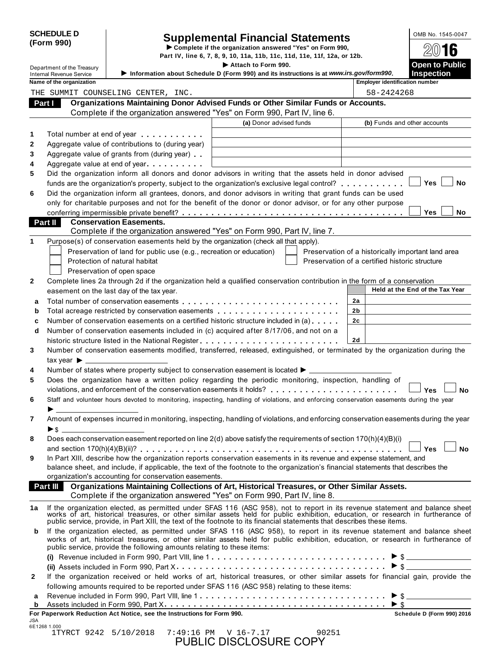|            | <b>SCHEDULE D</b> |
|------------|-------------------|
| (Form 990) |                   |

6E1268 1.000<br>1TYRCT 9242 5/10/2018

# Supplemental Financial Statements<br> **Examplete if the organization answered "Yes" on Form 990,**  $\frac{\partial \mathbf{M}\mathbf{B}}{\partial \mathbf{M}\mathbf{S}}$

Part IV, line 6, 7, 8, 9, 10, 11a, 11b, 11c, 11d, 11e, 11f, 12a, or 12b.

Department of the Treasury<br>Department of the Treasury<br>Department of the Treasury **Department of the Treasury of Attach to Form 900, and its instructions is at www.irs acy form 000, and its instructions is at www.irs acy fo** Internal Revenue Service I**Information about Schedule D (Form 990) and its instructions is at** *www.irs.gov/form990***. Inspection Name of the organization Organizations Maintaining Donor Advised Funds or Other Similar Funds or Accounts.** Complete if the organization answered "Yes" on Form 990, Part IV, line 6.  **Part I (a)** Donor advised funds **(b)** Funds and other accounts **1 2 3 4 5 6** Total number at end of year Aggregate value of contributions to (during year) Aggregate value of grants from (during year) Aggregate value at end of year ENTER, INC.<br> **INTER, INC.**<br> **INTER, INC.**<br> **Anization answere**<br> **COMPANY MOVEM** Adere<br>ere<br>ar) Did the organization inform all donors and donor advisors in writing that the assets held in donor advised funds are the organization's property, subject to the organization's exclusive legal control? Fotal number at end of year.<br>Aggregate value of contributions to (during year)<br>Aggregate value of grants from (during year)<br>Did the organization inform all donors and donor advisors in writing that the assets held in donor Did the organization inform all grantees, donors, and donor advisors in writing that grant funds can be used only for charitable purposes and not for the benefit of the donor or donor advisor, or for any other purpose funds are the organization's property, subject to the organization's exclusive legal control?<br>
Did the organization inform all grantees, donors, and donor advisors in writing that grant funds can be used<br>
only for charita **Conservation Easements.** Complete if the organization answered "Yes" on Form 990, Part IV, line 7.  **Part II 1** Purpose(s) of conservation easements held by the organization (check all that apply). Preservation of land for public use (e.g., recreation or education) Protection of natural habitat Preservation of open space Preservation of a historically important land area Preservation of a certified historic structure **2** Complete lines 2a through 2d if the organization held a qualified conservation contribution in the form of a conservation easement on the last day of the tax year. **Held at the End of the Tax Year Held at the End of the Tax Year 2a 2b 2c 2d a** Total number of conservation easements **b** Total acreage restricted by conservation easements m m m m m m m m m m m m m m m m m m m m m m m m m m m **c** Number of conservation easements on a certified historic structure included in (a) **d** Number of conservation easements included in (c) acquired after 8/17/06, and not on a m m m m m m m m m m m m m m m m m m m m m m m m m m Number of conservation easements included in (c) acquired after 8 /17/06, and not on a Following the structure list day of the tax year.<br> **a** Total number of conservation easements<br> **b** Total acreage restricted by conservation easements<br> **c** Number of conservation easements on a certified historic structure **4 5 6 7 8 9** Number of conservation easements modified, transferred, released, extinguished, or terminated by the organization during the tax vear  $\blacktriangleright$ Number of states where property subject to conservation easement is located  $\blacktriangleright$ . Does the organization have a written policy regarding the periodic monitoring, inspection, handling of Number of conservation easements included in (c) acquired after 6/17/06, and not on a<br>historic structure listed in the National Register<br>Number of conservation easements modified, transferred, released, extinguished, or te Staff and volunteer hours devoted to monitoring, inspecting, handling of violations, and enforcing conservation easements during the year I Amount of expenses incurred in monitoring, inspecting, handling of violations, and enforcing conservation easements during the year I \$ Does each conservation easement reported on line 2(d) above satisfy the requirements of section 170(h)(4)(B)(i) and section 170(h)(4)(B)(ii)?<br>
and section 170(h)(4)(B)(ii)?<br>
and section 170(h)(4)(B)(iii)?<br>
and section 170(h)(4)(B)(iii)?<br>
and section 170(h)(4)(B)(iii)?<br>
and section 170(h)(4)(B)(iii)?<br>
and section 170(h)(4)(B)(iii)?<br> In Part XIII, describe how the organization reports conservation easements in its revenue and expense statement, and balance sheet, and include, if applicable, the text of the footnote to the organization's financial statements that describes the organization's accounting for conservation easements. **Organizations Maintaining Collections of Art, Historical Treasures, or Other Similar Assets.** Complete if the organization answered "Yes" on Form 990, Part IV, line 8.  **Part III 1a** If the organization elected, as permitted under SFAS 116 (ASC 958), not to report in its revenue statement and balance sheet<br>works of art, historical treasures, or other similar assets held for public exhibition, educ public service, provide, in Part XIII, the text of the footnote to its financial statements that describes these items. **b** If the organization elected, as permitted under SFAS 116 (ASC 958), to report in its revenue statement and balance sheet works of art, historical treasures, or other similar assets held for public exhibition, education, or research in furtherance of public service, provide the following amounts relating to these items: **(i)** I Revenue included in Form 990, Part VIII, line 1 **(ii)** Assets included in Form 990, Part X m m m m m m m m m m m m m m m m m m m m m m m m m m m m m m \$ m under SFAS 116 (ASC 958), not to report in its revenue statement and<br>ther similar assets held for public exhibition, education, or research in<br>ext of the footnote to its financial statements that describes these items.<br> **2** If the organization received or held works of art, historical treasures, or other similar assets for financial gain, provide the following amounts required to be reported under SFAS 116 (ASC 958) relating to these items: **<sup>a</sup>** Revenue included in Form 990, Part VIII, line 1 I Assets included in Form 990, Part X m m m m m m m m m m m m m m m m m m m m m m m m m m m m m m m m \$ **<sup>b</sup>** m m m m m m m m m m m m m m m m m m m m m m m m m m m m m m m m m m m m m m <sup>I</sup> \$ For Paperwork Reduction Act Notice, see the Instructions for Form 990. **The Contract Constructions of the Instructions of Form 990**, 2016 JSA THE SUMMIT COUNSELING CENTER, INC. 58-2424268

> 7:49:16 PM V 16-7.17 90251 PUBLIC DISCLOSURE COPY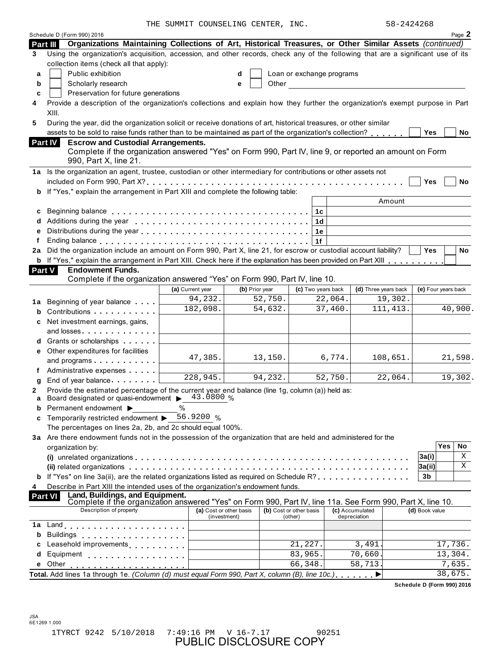THE SUMMIT COUNSELING CENTER, INC. 58-2424268

|        | Schedule D (Form 990) 2016                                                                                                       |                         |                |                         |                 |                      | Page $2$            |
|--------|----------------------------------------------------------------------------------------------------------------------------------|-------------------------|----------------|-------------------------|-----------------|----------------------|---------------------|
|        | Organizations Maintaining Collections of Art, Historical Treasures, or Other Similar Assets (continued)<br>Part III              |                         |                |                         |                 |                      |                     |
| 3      | Using the organization's acquisition, accession, and other records, check any of the following that are a significant use of its |                         |                |                         |                 |                      |                     |
|        | collection items (check all that apply):                                                                                         |                         |                |                         |                 |                      |                     |
| a      | Public exhibition<br>Loan or exchange programs<br>d                                                                              |                         |                |                         |                 |                      |                     |
| b      | Scholarly research<br>Other<br><u>and the state of the state</u><br>е                                                            |                         |                |                         |                 |                      |                     |
| c      | Preservation for future generations                                                                                              |                         |                |                         |                 |                      |                     |
| 4      | Provide a description of the organization's collections and explain how they further the organization's exempt purpose in Part   |                         |                |                         |                 |                      |                     |
|        | XIII.                                                                                                                            |                         |                |                         |                 |                      |                     |
| 5      | During the year, did the organization solicit or receive donations of art, historical treasures, or other similar                |                         |                |                         |                 |                      |                     |
|        | assets to be sold to raise funds rather than to be maintained as part of the organization's collection?                          |                         |                |                         |                 |                      | Yes<br>No           |
|        | <b>Escrow and Custodial Arrangements.</b><br>Part IV                                                                             |                         |                |                         |                 |                      |                     |
|        | Complete if the organization answered "Yes" on Form 990, Part IV, line 9, or reported an amount on Form                          |                         |                |                         |                 |                      |                     |
|        | 990, Part X, line 21.                                                                                                            |                         |                |                         |                 |                      |                     |
|        | 1a Is the organization an agent, trustee, custodian or other intermediary for contributions or other assets not                  |                         |                |                         |                 |                      |                     |
|        |                                                                                                                                  |                         |                |                         |                 |                      | Yes<br>No           |
| b      | If "Yes," explain the arrangement in Part XIII and complete the following table:                                                 |                         |                |                         |                 |                      |                     |
|        |                                                                                                                                  |                         |                |                         |                 | Amount               |                     |
| c      |                                                                                                                                  |                         |                | 1c                      |                 |                      |                     |
|        |                                                                                                                                  |                         |                | 1d                      |                 |                      |                     |
| е      |                                                                                                                                  |                         |                | 1e                      |                 |                      |                     |
| f      |                                                                                                                                  |                         |                | 1f                      |                 |                      |                     |
| 2a     | Did the organization include an amount on Form 990, Part X, line 21, for escrow or custodial account liability?                  |                         |                |                         |                 |                      | <b>Yes</b><br>No    |
|        | <b>b</b> If "Yes," explain the arrangement in Part XIII. Check here if the explanation has been provided on Part XIII            |                         |                |                         |                 |                      |                     |
|        | <b>Endowment Funds.</b><br><b>Part V</b>                                                                                         |                         |                |                         |                 |                      |                     |
|        | Complete if the organization answered "Yes" on Form 990, Part IV, line 10.                                                       |                         |                |                         |                 |                      |                     |
|        |                                                                                                                                  | (a) Current year        | (b) Prior year | (c) Two years back      |                 | (d) Three years back | (e) Four years back |
| 1а     | Beginning of year balance                                                                                                        | 94,232.                 | 52,750.        |                         | 22,064.         | 19,302.              |                     |
| b      | Contributions                                                                                                                    | 182,098.                | 54,632.        |                         | 37,460.         | 111, 413.            | 40,900.             |
| c      | Net investment earnings, gains,                                                                                                  |                         |                |                         |                 |                      |                     |
|        |                                                                                                                                  |                         |                |                         |                 |                      |                     |
|        | <b>d</b> Grants or scholarships <b>contains</b>                                                                                  |                         |                |                         |                 |                      |                     |
|        | e Other expenditures for facilities                                                                                              |                         |                |                         |                 |                      |                     |
|        | and programs                                                                                                                     | 47,385.                 | 13,150.        |                         | 6,774.          | 108,651.             | 21,598.             |
| f      | Administrative expenses <b>Administrative</b> expenses                                                                           |                         |                |                         |                 |                      |                     |
|        |                                                                                                                                  | 228,945.                | 94,232.        |                         | 52,750.         | 22,064.              | 19,302.             |
| a      | End of year balance<br>Provide the estimated percentage of the current year end balance (line 1g, column (a)) held as:           |                         |                |                         |                 |                      |                     |
| 2<br>a | Board designated or quasi-endowment $\triangleright$ 43.0800 %                                                                   |                         |                |                         |                 |                      |                     |
|        | Permanent endowment ▶                                                                                                            | %                       |                |                         |                 |                      |                     |
| c      | Temporarily restricted endowment > 56.9200 %                                                                                     |                         |                |                         |                 |                      |                     |
|        | The percentages on lines 2a, 2b, and 2c should equal 100%.                                                                       |                         |                |                         |                 |                      |                     |
|        | 3a Are there endowment funds not in the possession of the organization that are held and administered for the                    |                         |                |                         |                 |                      |                     |
|        | organization by:                                                                                                                 |                         |                |                         |                 |                      | Yes<br>No           |
|        |                                                                                                                                  |                         |                |                         |                 |                      | X<br>3a(i)          |
|        |                                                                                                                                  |                         |                |                         |                 |                      | X.<br>3a(ii)        |
|        | <b>b</b> If "Yes" on line 3a(ii), are the related organizations listed as required on Schedule R?                                |                         |                |                         |                 |                      | 3b                  |
| 4      | Describe in Part XIII the intended uses of the organization's endowment funds.                                                   |                         |                |                         |                 |                      |                     |
|        | Land, Buildings, and Equipment.<br><b>Part VI</b>                                                                                |                         |                |                         |                 |                      |                     |
|        | Complete if the organization answered "Yes" on Form 990, Part IV, line 11a. See Form 990, Part X, line 10.                       |                         |                |                         |                 |                      |                     |
|        | Description of property                                                                                                          | (a) Cost or other basis |                | (b) Cost or other basis | (c) Accumulated |                      | (d) Book value      |
| 1a     |                                                                                                                                  | (investment)            |                | (other)                 | depreciation    |                      |                     |
| b      | <b>Buildings</b>                                                                                                                 |                         |                |                         |                 |                      |                     |
|        | .                                                                                                                                |                         |                | 21,227.                 |                 | 3,491.               | 17,736.             |
|        |                                                                                                                                  |                         |                |                         |                 |                      |                     |
|        | Leasehold improvements                                                                                                           |                         |                |                         |                 |                      |                     |
| d      | Equipment<br>.                                                                                                                   |                         |                | 83,965.                 |                 | 70,660               | 13,304.             |
| е      | Other<br>Total. Add lines 1a through 1e. (Column (d) must equal Form 990, Part X, column (B), line 10c.)                         |                         |                | 66,348.                 |                 | 58,713.<br>▶         | 7,635.<br>38,675.   |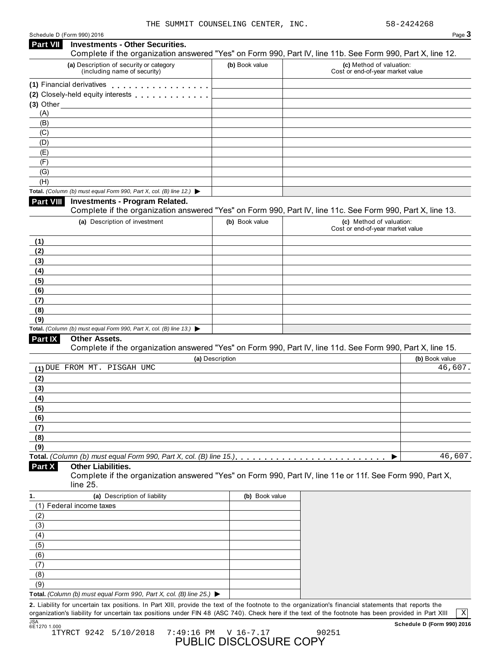|                                                                                                                                                                                                                                                                                                                                                         |                 | Complete if the organization answered "Yes" on Form 990, Part IV, line 11b. See Form 990, Part X, line 12.                   |
|---------------------------------------------------------------------------------------------------------------------------------------------------------------------------------------------------------------------------------------------------------------------------------------------------------------------------------------------------------|-----------------|------------------------------------------------------------------------------------------------------------------------------|
| (a) Description of security or category<br>(including name of security)                                                                                                                                                                                                                                                                                 | (b) Book value  | (c) Method of valuation:<br>Cost or end-of-year market value                                                                 |
| (1) Financial derivatives experience of the state of the state of the state of the state of the state of the state of the state of the state of the state of the state of the state of the state of the state of the state of                                                                                                                           |                 |                                                                                                                              |
|                                                                                                                                                                                                                                                                                                                                                         |                 |                                                                                                                              |
| $(3)$ Other                                                                                                                                                                                                                                                                                                                                             |                 |                                                                                                                              |
| (A)                                                                                                                                                                                                                                                                                                                                                     |                 |                                                                                                                              |
| (B)<br>(C)                                                                                                                                                                                                                                                                                                                                              |                 |                                                                                                                              |
| (D)                                                                                                                                                                                                                                                                                                                                                     |                 |                                                                                                                              |
| (E)                                                                                                                                                                                                                                                                                                                                                     |                 |                                                                                                                              |
| (F)                                                                                                                                                                                                                                                                                                                                                     |                 |                                                                                                                              |
| (G)                                                                                                                                                                                                                                                                                                                                                     |                 |                                                                                                                              |
| (H)                                                                                                                                                                                                                                                                                                                                                     |                 |                                                                                                                              |
| Total. (Column (b) must equal Form 990, Part X, col. (B) line 12.) $\blacktriangleright$                                                                                                                                                                                                                                                                |                 |                                                                                                                              |
| <b>Investments - Program Related.</b><br><b>Part VIII</b>                                                                                                                                                                                                                                                                                               |                 | Complete if the organization answered "Yes" on Form 990, Part IV, line 11c. See Form 990, Part X, line 13.                   |
|                                                                                                                                                                                                                                                                                                                                                         |                 |                                                                                                                              |
| (a) Description of investment                                                                                                                                                                                                                                                                                                                           | (b) Book value  | (c) Method of valuation:<br>Cost or end-of-year market value                                                                 |
| (1)                                                                                                                                                                                                                                                                                                                                                     |                 |                                                                                                                              |
| (2)                                                                                                                                                                                                                                                                                                                                                     |                 |                                                                                                                              |
| (3)                                                                                                                                                                                                                                                                                                                                                     |                 |                                                                                                                              |
| (4)                                                                                                                                                                                                                                                                                                                                                     |                 |                                                                                                                              |
| (5)                                                                                                                                                                                                                                                                                                                                                     |                 |                                                                                                                              |
| (6)                                                                                                                                                                                                                                                                                                                                                     |                 |                                                                                                                              |
| (7)                                                                                                                                                                                                                                                                                                                                                     |                 |                                                                                                                              |
| (8)                                                                                                                                                                                                                                                                                                                                                     |                 |                                                                                                                              |
| (9)                                                                                                                                                                                                                                                                                                                                                     |                 |                                                                                                                              |
|                                                                                                                                                                                                                                                                                                                                                         |                 |                                                                                                                              |
| Other Assets.                                                                                                                                                                                                                                                                                                                                           | (a) Description | Complete if the organization answered "Yes" on Form 990, Part IV, line 11d. See Form 990, Part X, line 15.<br>(b) Book value |
|                                                                                                                                                                                                                                                                                                                                                         |                 | 46,607.                                                                                                                      |
|                                                                                                                                                                                                                                                                                                                                                         |                 |                                                                                                                              |
|                                                                                                                                                                                                                                                                                                                                                         |                 |                                                                                                                              |
|                                                                                                                                                                                                                                                                                                                                                         |                 |                                                                                                                              |
|                                                                                                                                                                                                                                                                                                                                                         |                 |                                                                                                                              |
|                                                                                                                                                                                                                                                                                                                                                         |                 |                                                                                                                              |
|                                                                                                                                                                                                                                                                                                                                                         |                 |                                                                                                                              |
|                                                                                                                                                                                                                                                                                                                                                         |                 |                                                                                                                              |
| <b>Other Liabilities.</b>                                                                                                                                                                                                                                                                                                                               |                 | Complete if the organization answered "Yes" on Form 990, Part IV, line 11e or 11f. See Form 990, Part X,                     |
| line 25.<br>(a) Description of liability                                                                                                                                                                                                                                                                                                                | (b) Book value  |                                                                                                                              |
|                                                                                                                                                                                                                                                                                                                                                         |                 |                                                                                                                              |
|                                                                                                                                                                                                                                                                                                                                                         |                 |                                                                                                                              |
|                                                                                                                                                                                                                                                                                                                                                         |                 |                                                                                                                              |
|                                                                                                                                                                                                                                                                                                                                                         |                 | 46,607.                                                                                                                      |
|                                                                                                                                                                                                                                                                                                                                                         |                 |                                                                                                                              |
|                                                                                                                                                                                                                                                                                                                                                         |                 |                                                                                                                              |
|                                                                                                                                                                                                                                                                                                                                                         |                 |                                                                                                                              |
| Total. (Column (b) must equal Form 990, Part X, col. (B) line 13.) $\blacktriangleright$<br>Part IX<br>(1) DUE FROM MT. PISGAH UMC<br>(2)<br>(3)<br>(4)<br>(5)<br>(6)<br>(7)<br>(8)<br>(9)<br>Total. (Column (b) must equal Form 990, Part X, col. (B) line 15.)<br>Part X<br>(1) Federal income taxes<br>(2)<br>(3)<br>(4)<br>(5)<br>(6)<br>(7)<br>(8) |                 |                                                                                                                              |
|                                                                                                                                                                                                                                                                                                                                                         |                 |                                                                                                                              |
| (9)<br>Total. (Column (b) must equal Form 990, Part X, col. (B) line 25.) $\blacktriangleright$<br>2. Liability for uncertain tax positions. In Part XIII, provide the text of the footnote to the organization's financial statements that reports the                                                                                                 |                 |                                                                                                                              |

PUBLIC DISCLOSURE COPY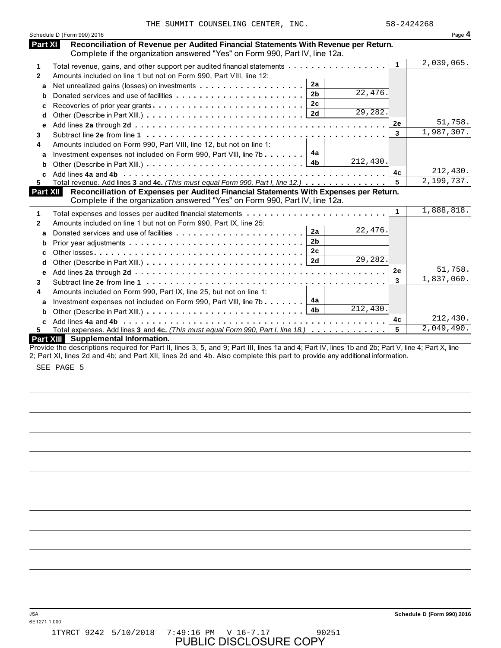|                                                 | THE SUMMIT COUNSELING CENTER, INC.                                                                                                                                 |              | 58-2424268                          |
|-------------------------------------------------|--------------------------------------------------------------------------------------------------------------------------------------------------------------------|--------------|-------------------------------------|
|                                                 | Schedule D (Form 990) 2016                                                                                                                                         |              | Page 4                              |
| Part XI                                         | Reconciliation of Revenue per Audited Financial Statements With Revenue per Return.<br>Complete if the organization answered "Yes" on Form 990, Part IV, line 12a. |              |                                     |
| 1                                               | Total revenue, gains, and other support per audited financial statements                                                                                           | $\mathbf{1}$ | 2,039,065.                          |
| $\mathbf{2}$                                    | Amounts included on line 1 but not on Form 990, Part VIII, line 12:                                                                                                |              |                                     |
| a                                               | 2a                                                                                                                                                                 |              |                                     |
| b                                               | 22,476.<br>2 <sub>b</sub>                                                                                                                                          |              |                                     |
| C                                               | 2c<br>Recoveries of prior year grants                                                                                                                              |              |                                     |
| d                                               | 29,282.                                                                                                                                                            |              |                                     |
| е                                               |                                                                                                                                                                    | 2e           | 51,758.                             |
| 3                                               |                                                                                                                                                                    | 3            | 1,987,307.                          |
| 4                                               | Amounts included on Form 990, Part VIII, line 12, but not on line 1:                                                                                               |              |                                     |
| a                                               | 4a<br>Investment expenses not included on Form 990, Part VIII, line 7b                                                                                             |              |                                     |
| b                                               | 212,430.<br>4b                                                                                                                                                     |              |                                     |
|                                                 |                                                                                                                                                                    | 4c           | 212,430.                            |
| 5.                                              | Total revenue. Add lines 3 and 4c. (This must equal Form 990, Part I, line 12.)                                                                                    | 5            | 2,199,737.                          |
|                                                 | Part XII<br>Reconciliation of Expenses per Audited Financial Statements With Expenses per Return.                                                                  |              |                                     |
|                                                 | Complete if the organization answered "Yes" on Form 990, Part IV, line 12a.                                                                                        |              |                                     |
| 1                                               |                                                                                                                                                                    |              |                                     |
|                                                 |                                                                                                                                                                    | $\mathbf{1}$ |                                     |
|                                                 | Amounts included on line 1 but not on Form 990, Part IX, line 25:                                                                                                  |              |                                     |
|                                                 | 22,476.<br>2a                                                                                                                                                      |              |                                     |
|                                                 | 2 <sub>b</sub>                                                                                                                                                     |              |                                     |
|                                                 | 2 <sub>c</sub>                                                                                                                                                     |              |                                     |
|                                                 | 29,282.                                                                                                                                                            |              |                                     |
|                                                 |                                                                                                                                                                    | 2е           |                                     |
|                                                 |                                                                                                                                                                    | 3            |                                     |
| b<br>C                                          |                                                                                                                                                                    |              |                                     |
|                                                 | Amounts included on Form 990, Part IX, line 25, but not on line 1:<br>4a                                                                                           |              |                                     |
|                                                 | Investment expenses not included on Form 990, Part VIII, line 7b<br>212,430.<br>4b                                                                                 |              | 1,888,818.<br>51,758.<br>1,837,060. |
| $\mathbf{2}$<br>a<br>d<br>е<br>3<br>4<br>a<br>b |                                                                                                                                                                    | 4c           | 212,430.                            |
| C<br>5.                                         | Total expenses. Add lines 3 and 4c. (This must equal Form 990, Part I, line 18.)                                                                                   | 5            | 2,049,490.                          |

SEE PAGE 5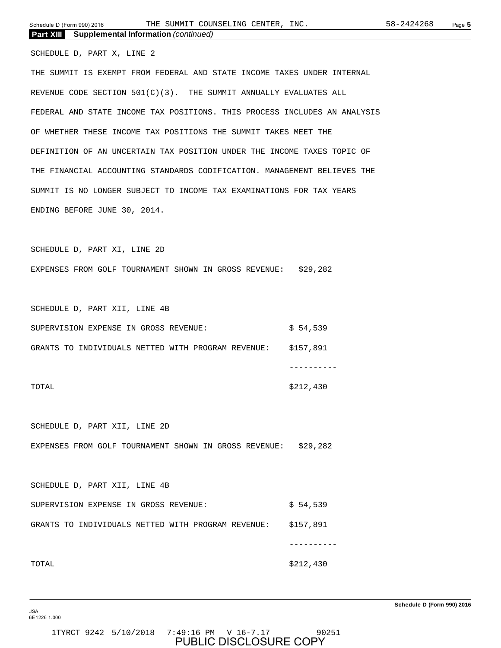Schedule D (Form 990) 2016 THE SUMMIT COUNSELING CENTER,INC. 58-2424268 Page **5 Part XIII Supplemental Information** *(continued)*

SCHEDULE D, PART X, LINE 2

THE SUMMIT IS EXEMPT FROM FEDERAL AND STATE INCOME TAXES UNDER INTERNAL REVENUE CODE SECTION 501(C)(3). THE SUMMIT ANNUALLY EVALUATES ALL FEDERAL AND STATE INCOME TAX POSITIONS. THIS PROCESS INCLUDES AN ANALYSIS OF WHETHER THESE INCOME TAX POSITIONS THE SUMMIT TAKES MEET THE DEFINITION OF AN UNCERTAIN TAX POSITION UNDER THE INCOME TAXES TOPIC OF THE FINANCIAL ACCOUNTING STANDARDS CODIFICATION. MANAGEMENT BELIEVES THE SUMMIT IS NO LONGER SUBJECT TO INCOME TAX EXAMINATIONS FOR TAX YEARS ENDING BEFORE JUNE 30, 2014.

SCHEDULE D, PART XI, LINE 2D EXPENSES FROM GOLF TOURNAMENT SHOWN IN GROSS REVENUE: \$29,282

SCHEDULE D, PART XII, LINE 4B SUPERVISION EXPENSE IN GROSS REVENUE:  $\begin{array}{ccc} 5 & 54 & 539 \\ \end{array}$ GRANTS TO INDIVIDUALS NETTED WITH PROGRAM REVENUE: \$157,891 ---------- TOTAL \$212,430

SCHEDULE D, PART XII, LINE 2D EXPENSES FROM GOLF TOURNAMENT SHOWN IN GROSS REVENUE: \$29,282

SCHEDULE D, PART XII, LINE 4B SUPERVISION EXPENSE IN GROSS REVENUE:  $\begin{array}{ccc} 5 & 54 & 539 \\ 5 & 4 & 539 \end{array}$ GRANTS TO INDIVIDUALS NETTED WITH PROGRAM REVENUE: \$157,891 ---------- TOTAL \$212,430

JSA 6E1226 1.000 **Schedule D (Form 990) 2016**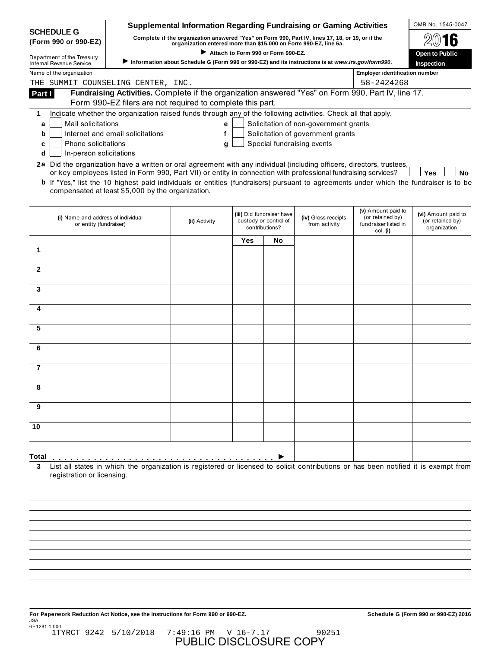|                                                                                                                                              |                                                                                                                                     | Supplemental Information Regarding Fundraising or Gaming Activities                                                                                                  |     |                                         |                                       |                                        | OMB No. 1545-0047                |
|----------------------------------------------------------------------------------------------------------------------------------------------|-------------------------------------------------------------------------------------------------------------------------------------|----------------------------------------------------------------------------------------------------------------------------------------------------------------------|-----|-----------------------------------------|---------------------------------------|----------------------------------------|----------------------------------|
| <b>SCHEDULE G</b><br>(Form 990 or 990-EZ)                                                                                                    |                                                                                                                                     | Complete if the organization answered "Yes" on Form 990, Part IV, lines 17, 18, or 19, or if the<br>organization entered more than \$15,000 on Form 990-EZ, line 6a. |     |                                         |                                       |                                        |                                  |
| Department of the Treasury                                                                                                                   |                                                                                                                                     | Information about Schedule G (Form 990 or 990-EZ) and its instructions is at www.irs.gov/form990.                                                                    |     | Attach to Form 990 or Form 990-EZ.      |                                       |                                        | Open to Public                   |
| <b>Internal Revenue Service</b><br>Name of the organization                                                                                  |                                                                                                                                     |                                                                                                                                                                      |     |                                         |                                       | <b>Employer identification number</b>  | Inspection                       |
| THE SUMMIT COUNSELING CENTER, INC.                                                                                                           |                                                                                                                                     |                                                                                                                                                                      |     |                                         |                                       | 58-2424268                             |                                  |
| Part I                                                                                                                                       | Fundraising Activities. Complete if the organization answered "Yes" on Form 990, Part IV, line 17.                                  |                                                                                                                                                                      |     |                                         |                                       |                                        |                                  |
|                                                                                                                                              | Form 990-EZ filers are not required to complete this part.                                                                          |                                                                                                                                                                      |     |                                         |                                       |                                        |                                  |
| 1                                                                                                                                            | Indicate whether the organization raised funds through any of the following activities. Check all that apply.                       |                                                                                                                                                                      |     |                                         |                                       |                                        |                                  |
| Mail solicitations<br>a                                                                                                                      |                                                                                                                                     | е                                                                                                                                                                    |     |                                         | Solicitation of non-government grants |                                        |                                  |
| b                                                                                                                                            | Internet and email solicitations                                                                                                    | f                                                                                                                                                                    |     |                                         | Solicitation of government grants     |                                        |                                  |
| Phone solicitations<br>c                                                                                                                     |                                                                                                                                     | g                                                                                                                                                                    |     |                                         | Special fundraising events            |                                        |                                  |
| In-person solicitations<br>d                                                                                                                 |                                                                                                                                     |                                                                                                                                                                      |     |                                         |                                       |                                        |                                  |
| 2a Did the organization have a written or oral agreement with any individual (including officers, directors, trustees,                       |                                                                                                                                     |                                                                                                                                                                      |     |                                         |                                       |                                        |                                  |
|                                                                                                                                              | or key employees listed in Form 990, Part VII) or entity in connection with professional fundraising services?                      |                                                                                                                                                                      |     |                                         |                                       |                                        | <b>Yes</b><br>No                 |
| <b>b</b> If "Yes," list the 10 highest paid individuals or entities (fundraisers) pursuant to agreements under which the fundraiser is to be |                                                                                                                                     |                                                                                                                                                                      |     |                                         |                                       |                                        |                                  |
|                                                                                                                                              | compensated at least \$5,000 by the organization.                                                                                   |                                                                                                                                                                      |     |                                         |                                       |                                        |                                  |
|                                                                                                                                              |                                                                                                                                     |                                                                                                                                                                      |     |                                         |                                       |                                        |                                  |
| (i) Name and address of individual                                                                                                           |                                                                                                                                     |                                                                                                                                                                      |     | (iii) Did fundraiser have               | (iv) Gross receipts                   | (v) Amount paid to<br>(or retained by) | (vi) Amount paid to              |
| or entity (fundraiser)                                                                                                                       |                                                                                                                                     | (ii) Activity                                                                                                                                                        |     | custody or control of<br>contributions? | from activity                         | fundraiser listed in                   | (or retained by)<br>organization |
|                                                                                                                                              |                                                                                                                                     |                                                                                                                                                                      | Yes |                                         |                                       | col. (i)                               |                                  |
| 1                                                                                                                                            |                                                                                                                                     |                                                                                                                                                                      |     | No                                      |                                       |                                        |                                  |
|                                                                                                                                              |                                                                                                                                     |                                                                                                                                                                      |     |                                         |                                       |                                        |                                  |
| $\overline{2}$                                                                                                                               |                                                                                                                                     |                                                                                                                                                                      |     |                                         |                                       |                                        |                                  |
|                                                                                                                                              |                                                                                                                                     |                                                                                                                                                                      |     |                                         |                                       |                                        |                                  |
| 3                                                                                                                                            |                                                                                                                                     |                                                                                                                                                                      |     |                                         |                                       |                                        |                                  |
|                                                                                                                                              |                                                                                                                                     |                                                                                                                                                                      |     |                                         |                                       |                                        |                                  |
| 4                                                                                                                                            |                                                                                                                                     |                                                                                                                                                                      |     |                                         |                                       |                                        |                                  |
|                                                                                                                                              |                                                                                                                                     |                                                                                                                                                                      |     |                                         |                                       |                                        |                                  |
| 5                                                                                                                                            |                                                                                                                                     |                                                                                                                                                                      |     |                                         |                                       |                                        |                                  |
|                                                                                                                                              |                                                                                                                                     |                                                                                                                                                                      |     |                                         |                                       |                                        |                                  |
| 6                                                                                                                                            |                                                                                                                                     |                                                                                                                                                                      |     |                                         |                                       |                                        |                                  |
|                                                                                                                                              |                                                                                                                                     |                                                                                                                                                                      |     |                                         |                                       |                                        |                                  |
| $\overline{7}$                                                                                                                               |                                                                                                                                     |                                                                                                                                                                      |     |                                         |                                       |                                        |                                  |
|                                                                                                                                              |                                                                                                                                     |                                                                                                                                                                      |     |                                         |                                       |                                        |                                  |
|                                                                                                                                              |                                                                                                                                     |                                                                                                                                                                      |     |                                         |                                       |                                        |                                  |
|                                                                                                                                              |                                                                                                                                     |                                                                                                                                                                      |     |                                         |                                       |                                        |                                  |
| 9                                                                                                                                            |                                                                                                                                     |                                                                                                                                                                      |     |                                         |                                       |                                        |                                  |
|                                                                                                                                              |                                                                                                                                     |                                                                                                                                                                      |     |                                         |                                       |                                        |                                  |
| 10                                                                                                                                           |                                                                                                                                     |                                                                                                                                                                      |     |                                         |                                       |                                        |                                  |
|                                                                                                                                              |                                                                                                                                     |                                                                                                                                                                      |     |                                         |                                       |                                        |                                  |
|                                                                                                                                              |                                                                                                                                     |                                                                                                                                                                      |     |                                         |                                       |                                        |                                  |
| Total<br>3                                                                                                                                   | List all states in which the organization is registered or licensed to solicit contributions or has been notified it is exempt from |                                                                                                                                                                      |     |                                         |                                       |                                        |                                  |
| registration or licensing.                                                                                                                   |                                                                                                                                     |                                                                                                                                                                      |     |                                         |                                       |                                        |                                  |
|                                                                                                                                              |                                                                                                                                     |                                                                                                                                                                      |     |                                         |                                       |                                        |                                  |
|                                                                                                                                              |                                                                                                                                     |                                                                                                                                                                      |     |                                         |                                       |                                        |                                  |
|                                                                                                                                              |                                                                                                                                     |                                                                                                                                                                      |     |                                         |                                       |                                        |                                  |

**For Paperwork Reduction Act Notice, see the Instructions for Form 990 or 990-EZ. Schedule G (Form 990 or 990-EZ) 2016** JSA 6E1281 1.000 1TYRCT 9242 5/10/2018 7:49:16 PM V 16-7.17 90251 7:49:16 PM V 16-7.17<br>PUBLIC DISCLOSURE COPY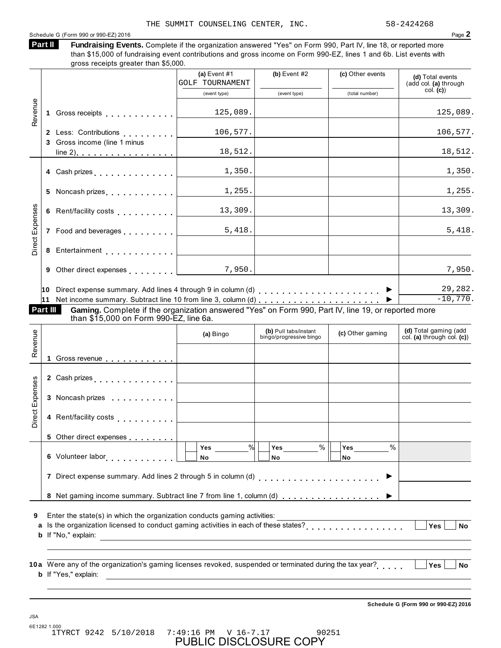### Schedule G (Form 990 or 990-EZ) 2016 Page **2**

**Fundraising Events.** Complete if the organization answered "Yes" on Form 990, Part IV, line 18, or reported more than \$15,000 of fundraising event contributions and gross income on Form 990-EZ, lines 1 and 6b. List events with **Part II** 

|                               |                                                                                                                                                                                     | (a) Event $#1$<br><b>GOLF TOURNAMENT</b> | $(b)$ Event #2                                   | (c) Other events  | (d) Total events<br>(add col. (a) through           |
|-------------------------------|-------------------------------------------------------------------------------------------------------------------------------------------------------------------------------------|------------------------------------------|--------------------------------------------------|-------------------|-----------------------------------------------------|
|                               |                                                                                                                                                                                     | (event type)                             | (event type)                                     | (total number)    | col. (c)                                            |
| Revenue                       | 1 Gross receipts [1] [1] Gross receipts                                                                                                                                             | 125,089.                                 |                                                  |                   | 125,089.                                            |
|                               | 2 Less: Contributions [1, 1, 1, 1, 1]<br>3 Gross income (line 1 minus                                                                                                               | 106,577.                                 |                                                  |                   | 106,577.                                            |
|                               |                                                                                                                                                                                     | 18,512.                                  |                                                  |                   | 18,512.                                             |
|                               |                                                                                                                                                                                     | 1,350.                                   |                                                  |                   | 1,350.                                              |
|                               | 5 Noncash prizes [1994]                                                                                                                                                             | 1,255.                                   |                                                  |                   | 1,255.                                              |
|                               | 6 Rent/facility costs                                                                                                                                                               | 13,309.                                  |                                                  |                   | 13,309.                                             |
| <b>Direct Expenses</b>        | 7 Food and beverages [1994]                                                                                                                                                         | 5,418.                                   |                                                  |                   | 5,418.                                              |
|                               | 8 Entertainment                                                                                                                                                                     | <u> 1980 - Johann Barbara, martxa a</u>  |                                                  |                   |                                                     |
|                               | 9 Other direct expenses                                                                                                                                                             | 7,950.                                   |                                                  |                   | 7,950.                                              |
|                               | 10 Direct expense summary. Add lines 4 through 9 in column (d) $\,\,\ldots\,$ $\,\,\blacktriangleright\,$                                                                           |                                          |                                                  |                   | 29,282.<br>$-10,770.$                               |
|                               | Gaming. Complete if the organization answered "Yes" on Form 990, Part IV, line 19, or reported more<br>than \$15,000 on Form 990-EZ, line 6a.                                       |                                          |                                                  |                   |                                                     |
| Part III                      |                                                                                                                                                                                     | (a) Bingo                                | (b) Pull tabs/instant<br>bingo/progressive bingo | (c) Other gaming  | (d) Total gaming (add<br>col. (a) through col. (c)) |
|                               | 1 Gross revenue                                                                                                                                                                     |                                          |                                                  |                   |                                                     |
|                               | 2 Cash prizes <b>contained 2</b> Cash prizes                                                                                                                                        | <u> 1980 - Johann Barbara, martxa al</u> |                                                  |                   |                                                     |
|                               |                                                                                                                                                                                     |                                          |                                                  |                   |                                                     |
|                               | 4 Rent/facility costs $\ldots \ldots \ldots$                                                                                                                                        |                                          |                                                  |                   |                                                     |
| Revenue<br>rect Expenses<br>ه | 5 Other direct expenses                                                                                                                                                             |                                          |                                                  |                   |                                                     |
|                               | 6 Volunteer labor                                                                                                                                                                   | %<br>Yes<br>No                           | $\frac{0}{0}$<br>Yes<br><b>No</b>                | $\%$<br>Yes<br>No |                                                     |
|                               |                                                                                                                                                                                     |                                          |                                                  |                   |                                                     |
|                               | 8 Net gaming income summary. Subtract line 7 from line 1, column (d)                                                                                                                |                                          |                                                  |                   |                                                     |
| 9<br>a<br>b                   | Enter the state(s) in which the organization conducts gaming activities:<br>Is the organization licensed to conduct gaming activities in each of these states?<br>If "No," explain: |                                          |                                                  |                   | Yes<br>No                                           |

**Schedule G (Form 990 or 990-EZ) 2016**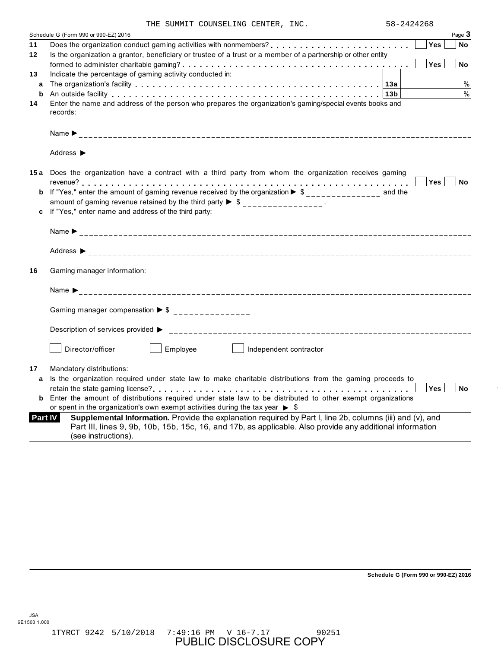|  | THE SUMMIT COUNSELING CENTER, INC. |  | 58-2424268 |
|--|------------------------------------|--|------------|

|          | 58-2424268<br>THE SUMMIT COUNSELING CENTER, INC.                                                                                                                                                                    |
|----------|---------------------------------------------------------------------------------------------------------------------------------------------------------------------------------------------------------------------|
|          | Schedule G (Form 990 or 990-EZ) 2016<br>Page 3                                                                                                                                                                      |
| 11       | <b>Yes</b><br>No                                                                                                                                                                                                    |
| 12       | Is the organization a grantor, beneficiary or trustee of a trust or a member of a partnership or other entity                                                                                                       |
|          | Yes<br><b>No</b>                                                                                                                                                                                                    |
| 13       | Indicate the percentage of gaming activity conducted in:                                                                                                                                                            |
| a        | $\%$                                                                                                                                                                                                                |
| b        | $\frac{0}{0}$                                                                                                                                                                                                       |
| 14       | Enter the name and address of the person who prepares the organization's gaming/special events books and                                                                                                            |
|          | records:                                                                                                                                                                                                            |
|          |                                                                                                                                                                                                                     |
|          |                                                                                                                                                                                                                     |
|          |                                                                                                                                                                                                                     |
|          | 15a Does the organization have a contract with a third party from whom the organization receives gaming                                                                                                             |
|          | ∣No                                                                                                                                                                                                                 |
|          | <b>b</b> If "Yes," enter the amount of gaming revenue received by the organization $\triangleright$ \$_______________ and the                                                                                       |
|          | amount of gaming revenue retained by the third party $\triangleright$ \$ ________________.<br>c If "Yes," enter name and address of the third party:                                                                |
|          |                                                                                                                                                                                                                     |
|          |                                                                                                                                                                                                                     |
|          |                                                                                                                                                                                                                     |
|          |                                                                                                                                                                                                                     |
|          | Gaming manager information:                                                                                                                                                                                         |
|          |                                                                                                                                                                                                                     |
|          |                                                                                                                                                                                                                     |
|          |                                                                                                                                                                                                                     |
|          | Gaming manager compensation $\triangleright$ \$ ________________                                                                                                                                                    |
|          |                                                                                                                                                                                                                     |
|          |                                                                                                                                                                                                                     |
|          | Director/officer<br>Employee<br>Independent contractor                                                                                                                                                              |
|          |                                                                                                                                                                                                                     |
|          | Mandatory distributions:                                                                                                                                                                                            |
|          | a Is the organization required under state law to make charitable distributions from the gaming proceeds to<br><b>Yes</b><br>No                                                                                     |
|          |                                                                                                                                                                                                                     |
| 16<br>17 | <b>b</b> Enter the amount of distributions required under state law to be distributed to other exempt organizations<br>or spent in the organization's own exempt activities during the tax year $\triangleright$ \$ |

**Schedule G (Form 990 or 990-EZ) 2016**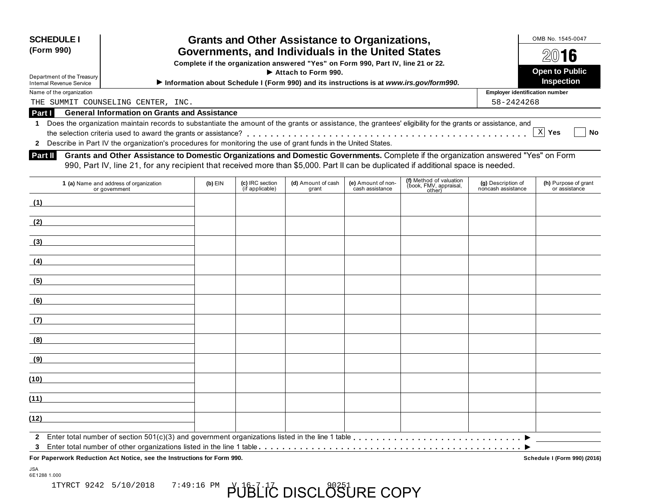| <b>SCHEDULE I</b><br>(Form 990)                               | <b>Grants and Other Assistance to Organizations,</b><br>Governments, and Individuals in the United States<br>Complete if the organization answered "Yes" on Form 990, Part IV, line 21 or 22.<br>Attach to Form 990.                                                          | OMB No. 1545-0047<br>2016<br><b>Open to Public</b> |  |  |  |
|---------------------------------------------------------------|-------------------------------------------------------------------------------------------------------------------------------------------------------------------------------------------------------------------------------------------------------------------------------|----------------------------------------------------|--|--|--|
| Department of the Treasury<br><b>Internal Revenue Service</b> | Information about Schedule I (Form 990) and its instructions is at www.irs.gov/form990.                                                                                                                                                                                       | <b>Inspection</b>                                  |  |  |  |
| Name of the organization                                      |                                                                                                                                                                                                                                                                               | <b>Employer identification number</b>              |  |  |  |
| THE SUMMIT COUNSELING CENTER, INC.                            |                                                                                                                                                                                                                                                                               | 58-2424268                                         |  |  |  |
| Part I                                                        | <b>General Information on Grants and Assistance</b>                                                                                                                                                                                                                           |                                                    |  |  |  |
|                                                               | Does the organization maintain records to substantiate the amount of the grants or assistance, the grantees' eligibility for the grants or assistance, and<br>2 Describe in Part IV the organization's procedures for monitoring the use of grant funds in the United States. | No<br>Yes                                          |  |  |  |

**Part II** Grants and Other Assistance to Domestic Organizations and Domestic Governments. Complete if the organization answered "Yes" on Form 990, Part IV, line 21, for any recipient that received more than \$5,000. Part II can be duplicated if additional space is needed.

| 1 (a) Name and address of organization<br>or government                                                                         | $(b)$ EIN | (c) IRC section<br>(if applicable) | (d) Amount of cash<br>grant | (e) Amount of non-<br>cash assistance | (f) Method of valuation<br>(book, FMV, appraisal,<br>other) | (g) Description of<br>noncash assistance | (h) Purpose of grant<br>or assistance |
|---------------------------------------------------------------------------------------------------------------------------------|-----------|------------------------------------|-----------------------------|---------------------------------------|-------------------------------------------------------------|------------------------------------------|---------------------------------------|
| (1)<br><u> 1980 - Andrea Andrew Maria (h. 1980).</u>                                                                            |           |                                    |                             |                                       |                                                             |                                          |                                       |
| (2)<br><u> 1980 - Jan Stein Berlin, amerikan besteht besteht aus der Stein Berlin und der Stein Berlin und der Stein Berlin</u> |           |                                    |                             |                                       |                                                             |                                          |                                       |
| (3)<br><u> 1980 - Andrea Andrew Maria (h. 1980).</u>                                                                            |           |                                    |                             |                                       |                                                             |                                          |                                       |
| (4)<br>the contract of the contract of the contract of the contract of the contract of                                          |           |                                    |                             |                                       |                                                             |                                          |                                       |
| (5)<br><u> 1980 - Jan Stein Bernstein, mars and der Stein Bernstein and der Stein Bernstein and der Stein Bernstein and </u>    |           |                                    |                             |                                       |                                                             |                                          |                                       |
| (6)<br>the control of the control of the control of the control of the control of the control of                                |           |                                    |                             |                                       |                                                             |                                          |                                       |
| (7)<br><u> 1980 - Andrea Station Barbara, amerikan per</u>                                                                      |           |                                    |                             |                                       |                                                             |                                          |                                       |
| (8)<br><u> 1980 - Jan Barbara Barbara, maso a popular popular e popular de la propia de la propia de la propia de la pro</u>    |           |                                    |                             |                                       |                                                             |                                          |                                       |
| (9)<br>the control of the control of the control of the control of the control of                                               |           |                                    |                             |                                       |                                                             |                                          |                                       |
| (10)                                                                                                                            |           |                                    |                             |                                       |                                                             |                                          |                                       |
| (11)                                                                                                                            |           |                                    |                             |                                       |                                                             |                                          |                                       |
| (12)                                                                                                                            |           |                                    |                             |                                       |                                                             |                                          |                                       |
| $\mathbf{3}$                                                                                                                    |           |                                    |                             |                                       |                                                             |                                          |                                       |
| For Paperwork Reduction Act Notice, see the Instructions for Form 990.                                                          |           |                                    |                             |                                       |                                                             |                                          | Schedule I (Form 990) (2016)          |

JSA 6E1288 1.000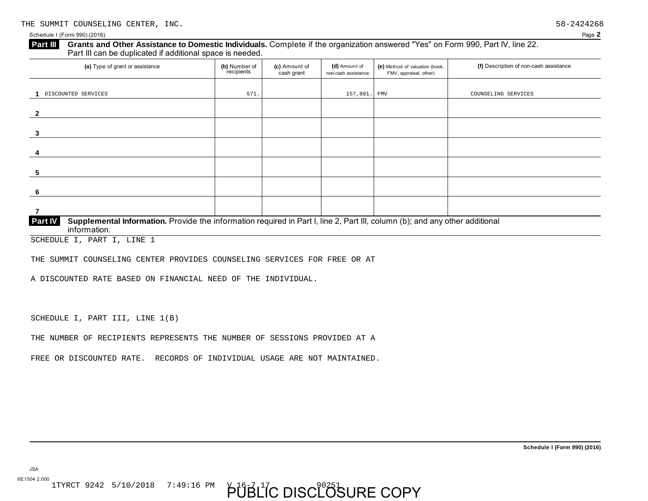**6**

|                             |                             |                                                           |                                                          | Page 2                                                                                                                          |
|-----------------------------|-----------------------------|-----------------------------------------------------------|----------------------------------------------------------|---------------------------------------------------------------------------------------------------------------------------------|
|                             |                             |                                                           |                                                          |                                                                                                                                 |
| (b) Number of<br>recipients | (c) Amount of<br>cash grant | (d) Amount of<br>non-cash assistance                      | (e) Method of valuation (book,<br>FMV, appraisal, other) | (f) Description of non-cash assistance                                                                                          |
| 571.                        |                             | 157,891.                                                  | <b>FMV</b>                                               | COUNSELING SERVICES                                                                                                             |
|                             |                             |                                                           |                                                          |                                                                                                                                 |
|                             |                             |                                                           |                                                          |                                                                                                                                 |
|                             |                             |                                                           |                                                          |                                                                                                                                 |
|                             |                             |                                                           |                                                          |                                                                                                                                 |
|                             |                             | Part III can be duplicated if additional space is needed. |                                                          | Grants and Other Assistance to Domestic Individuals. Complete if the organization answered "Yes" on Form 990, Part IV, line 22. |

| <b>Part IV</b> | Supplemental Information. Provide the information required in Part I, line 2, Part III, column (b); and any other additional |  |  |  |
|----------------|------------------------------------------------------------------------------------------------------------------------------|--|--|--|
|                | information.                                                                                                                 |  |  |  |

SCHEDULE I, PART I, LINE 1

THE SUMMIT COUNSELING CENTER PROVIDES COUNSELING SERVICES FOR FREE OR AT

A DISCOUNTED RATE BASED ON FINANCIAL NEED OF THE INDIVIDUAL.

SCHEDULE I, PART III, LINE 1(B)

THE NUMBER OF RECIPIENTS REPRESENTS THE NUMBER OF SESSIONS PROVIDED AT A

FREE OR DISCOUNTED RATE. RECORDS OF INDIVIDUAL USAGE ARE NOT MAINTAINED.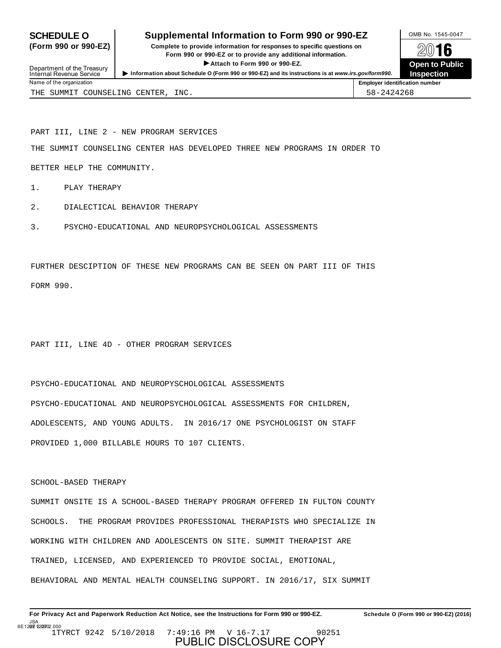## **SCHEDULE O** Supplemental Information to Form 990 or 990-EZ MB No. 1545-0047

**(Form 990 or 990-EZ) Complete to provide information for responses to specific questions on** plete to provide information for responses to specific questions on  $\mathbb{Z} \mathbb{O} \mathbf{1} \mathbf{6}$ **IPO OF Attach to Form 990 or 990-EZ.**<br> **Attach to Form 990 or 990-EZ.**<br> **Open to Public and Contract of Public and Contract of Public and Contract of Public and Contract of Public and Contract of Public and Contract of Pu** 



**Department of the Treasury**<br>Internal Revenue Service ▶ Information about Schedule O (Form 990 or 990-EZ) and its instructions is at *www.irs.gov/form990.*<br>Nome of the excepiration awmber Name of the organization **Employer identification number Employer identification number** THE SUMMIT COUNSELING CENTER, INC. 58-2424268

PART III, LINE 2 - NEW PROGRAM SERVICES

THE SUMMIT COUNSELING CENTER HAS DEVELOPED THREE NEW PROGRAMS IN ORDER TO

BETTER HELP THE COMMUNITY.

- 1. PLAY THERAPY
- 2. DIALECTICAL BEHAVIOR THERAPY
- 3. PSYCHO-EDUCATIONAL AND NEUROPSYCHOLOGICAL ASSESSMENTS

FURTHER DESCIPTION OF THESE NEW PROGRAMS CAN BE SEEN ON PART III OF THIS FORM 990.

PART III, LINE 4D - OTHER PROGRAM SERVICES

PSYCHO-EDUCATIONAL AND NEUROPYSCHOLOGICAL ASSESSMENTS PSYCHO-EDUCATIONAL AND NEUROPSYCHOLOGICAL ASSESSMENTS FOR CHILDREN, ADOLESCENTS, AND YOUNG ADULTS. IN 2016/17 ONE PSYCHOLOGIST ON STAFF PROVIDED 1,000 BILLABLE HOURS TO 107 CLIENTS.

### SCHOOL-BASED THERAPY

SUMMIT ONSITE IS A SCHOOL-BASED THERAPY PROGRAM OFFERED IN FULTON COUNTY SCHOOLS. THE PROGRAM PROVIDES PROFESSIONAL THERAPISTS WHO SPECIALIZE IN WORKING WITH CHILDREN AND ADOLESCENTS ON SITE. SUMMIT THERAPIST ARE TRAINED, LICENSED, AND EXPERIENCED TO PROVIDE SOCIAL, EMOTIONAL, BEHAVIORAL AND MENTAL HEALTH COUNSELING SUPPORT. IN 2016/17, SIX SUMMIT

**For Privacy Act and Paperwork Reduction Act Notice, see the Instructions for Form 990 or 990-EZ. Schedule O (Form 990 or 990-EZ) (2016)** JSA<br>6E12**027 2202** 000 1TYRCT 9242 5/10/2018 7:49:16 PM V 16-7.17 90251 PUBLIC DISCLOSURE COPY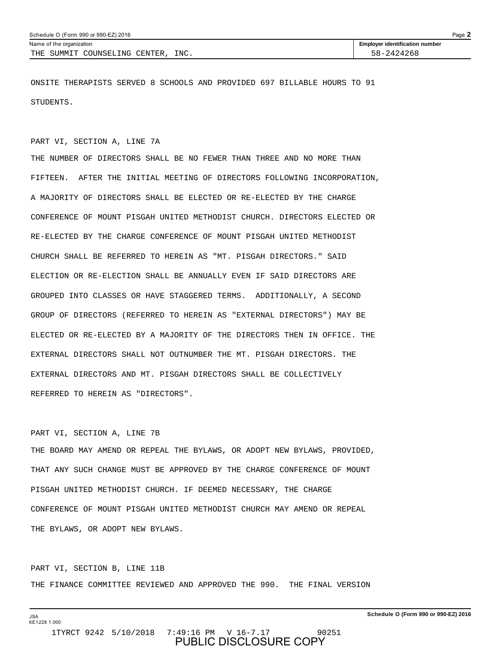ONSITE THERAPISTS SERVED 8 SCHOOLS AND PROVIDED 697 BILLABLE HOURS TO 91 STUDENTS.

### PART VI, SECTION A, LINE 7A

THE NUMBER OF DIRECTORS SHALL BE NO FEWER THAN THREE AND NO MORE THAN FIFTEEN. AFTER THE INITIAL MEETING OF DIRECTORS FOLLOWING INCORPORATION, A MAJORITY OF DIRECTORS SHALL BE ELECTED OR RE-ELECTED BY THE CHARGE CONFERENCE OF MOUNT PISGAH UNITED METHODIST CHURCH. DIRECTORS ELECTED OR RE-ELECTED BY THE CHARGE CONFERENCE OF MOUNT PISGAH UNITED METHODIST CHURCH SHALL BE REFERRED TO HEREIN AS "MT. PISGAH DIRECTORS." SAID ELECTION OR RE-ELECTION SHALL BE ANNUALLY EVEN IF SAID DIRECTORS ARE GROUPED INTO CLASSES OR HAVE STAGGERED TERMS. ADDITIONALLY, A SECOND GROUP OF DIRECTORS (REFERRED TO HEREIN AS "EXTERNAL DIRECTORS") MAY BE ELECTED OR RE-ELECTED BY A MAJORITY OF THE DIRECTORS THEN IN OFFICE. THE EXTERNAL DIRECTORS SHALL NOT OUTNUMBER THE MT. PISGAH DIRECTORS. THE EXTERNAL DIRECTORS AND MT. PISGAH DIRECTORS SHALL BE COLLECTIVELY REFERRED TO HEREIN AS "DIRECTORS".

### PART VI, SECTION A, LINE 7B

THE BOARD MAY AMEND OR REPEAL THE BYLAWS, OR ADOPT NEW BYLAWS, PROVIDED, THAT ANY SUCH CHANGE MUST BE APPROVED BY THE CHARGE CONFERENCE OF MOUNT PISGAH UNITED METHODIST CHURCH. IF DEEMED NECESSARY, THE CHARGE CONFERENCE OF MOUNT PISGAH UNITED METHODIST CHURCH MAY AMEND OR REPEAL THE BYLAWS, OR ADOPT NEW BYLAWS.

PART VI, SECTION B, LINE 11B THE FINANCE COMMITTEE REVIEWED AND APPROVED THE 990. THE FINAL VERSION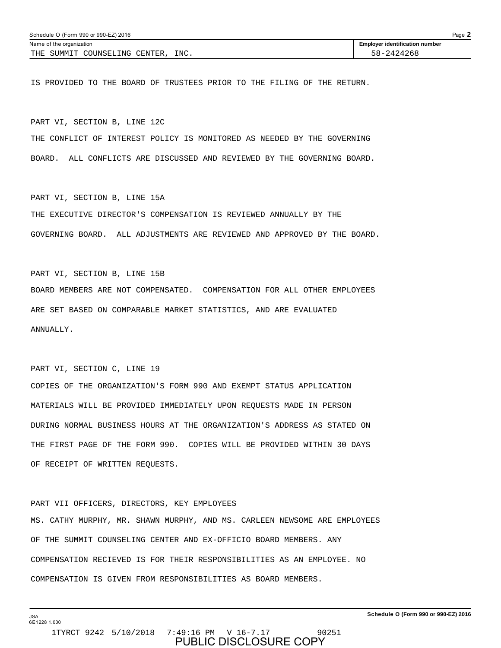| Schedule O (Form 990 or 990-EZ) 2016  | Page 2                                |
|---------------------------------------|---------------------------------------|
| Name of the organization              | <b>Employer identification number</b> |
| INC.<br>THE SUMMIT COUNSELING CENTER, | 58-2424268                            |

IS PROVIDED TO THE BOARD OF TRUSTEES PRIOR TO THE FILING OF THE RETURN.

PART VI, SECTION B, LINE 12C THE CONFLICT OF INTEREST POLICY IS MONITORED AS NEEDED BY THE GOVERNING BOARD. ALL CONFLICTS ARE DISCUSSED AND REVIEWED BY THE GOVERNING BOARD.

PART VI, SECTION B, LINE 15A THE EXECUTIVE DIRECTOR'S COMPENSATION IS REVIEWED ANNUALLY BY THE GOVERNING BOARD. ALL ADJUSTMENTS ARE REVIEWED AND APPROVED BY THE BOARD.

PART VI, SECTION B, LINE 15B

BOARD MEMBERS ARE NOT COMPENSATED. COMPENSATION FOR ALL OTHER EMPLOYEES ARE SET BASED ON COMPARABLE MARKET STATISTICS, AND ARE EVALUATED ANNUALLY.

### PART VI, SECTION C, LINE 19

COPIES OF THE ORGANIZATION'S FORM 990 AND EXEMPT STATUS APPLICATION MATERIALS WILL BE PROVIDED IMMEDIATELY UPON REQUESTS MADE IN PERSON DURING NORMAL BUSINESS HOURS AT THE ORGANIZATION'S ADDRESS AS STATED ON THE FIRST PAGE OF THE FORM 990. COPIES WILL BE PROVIDED WITHIN 30 DAYS OF RECEIPT OF WRITTEN REQUESTS.

PART VII OFFICERS, DIRECTORS, KEY EMPLOYEES MS. CATHY MURPHY, MR. SHAWN MURPHY, AND MS. CARLEEN NEWSOME ARE EMPLOYEES OF THE SUMMIT COUNSELING CENTER AND EX-OFFICIO BOARD MEMBERS. ANY COMPENSATION RECIEVED IS FOR THEIR RESPONSIBILITIES AS AN EMPLOYEE. NO COMPENSATION IS GIVEN FROM RESPONSIBILITIES AS BOARD MEMBERS.

PUBLIC DISCLOSURE COPY

6E1228 1.000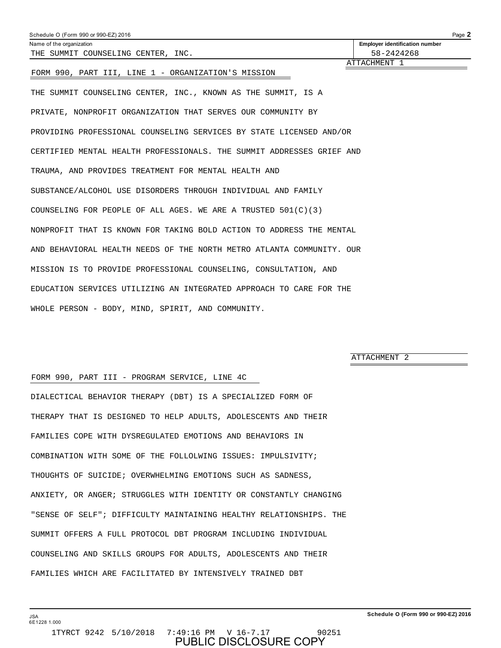<span id="page-39-0"></span>

| Schedule O (Form 990 or 990-EZ) 2016                                  | Page 2                                |
|-----------------------------------------------------------------------|---------------------------------------|
| Name of the organization                                              | <b>Employer identification number</b> |
| THE SUMMIT COUNSELING CENTER, INC.                                    | 58-2424268                            |
|                                                                       | ATTACHMENT 1                          |
| FORM 990, PART III, LINE 1 - ORGANIZATION'S MISSION                   |                                       |
|                                                                       |                                       |
| THE SUMMIT COUNSELING CENTER, INC., KNOWN AS THE SUMMIT, IS A         |                                       |
|                                                                       |                                       |
| PRIVATE, NONPROFIT ORGANIZATION THAT SERVES OUR COMMUNITY BY          |                                       |
|                                                                       |                                       |
| PROVIDING PROFESSIONAL COUNSELING SERVICES BY STATE LICENSED AND/OR   |                                       |
|                                                                       |                                       |
| CERTIFIED MENTAL HEALTH PROFESSIONALS. THE SUMMIT ADDRESSES GRIEF AND |                                       |
|                                                                       |                                       |
| TRAUMA, AND PROVIDES TREATMENT FOR MENTAL HEALTH AND                  |                                       |
|                                                                       |                                       |
| SUBSTANCE/ALCOHOL USE DISORDERS THROUGH INDIVIDUAL AND FAMILY         |                                       |
|                                                                       |                                       |
| COUNSELING FOR PEOPLE OF ALL AGES. WE ARE A TRUSTED $501(C)(3)$       |                                       |
|                                                                       |                                       |
| NONPROFIT THAT IS KNOWN FOR TAKING BOLD ACTION TO ADDRESS THE MENTAL  |                                       |
|                                                                       |                                       |
| AND BEHAVIORAL HEALTH NEEDS OF THE NORTH METRO ATLANTA COMMUNITY. OUR |                                       |
|                                                                       |                                       |
| MISSION IS TO PROVIDE PROFESSIONAL COUNSELING, CONSULTATION, AND      |                                       |
|                                                                       |                                       |
| EDUCATION SERVICES UTILIZING AN INTEGRATED APPROACH TO CARE FOR THE   |                                       |
|                                                                       |                                       |
| WHOLE PERSON - BODY, MIND, SPIRIT, AND COMMUNITY.                     |                                       |

ATTACHMENT 2

### FORM 990, PART III - PROGRAM SERVICE, LINE 4C

DIALECTICAL BEHAVIOR THERAPY (DBT) IS A SPECIALIZED FORM OF THERAPY THAT IS DESIGNED TO HELP ADULTS, ADOLESCENTS AND THEIR FAMILIES COPE WITH DYSREGULATED EMOTIONS AND BEHAVIORS IN COMBINATION WITH SOME OF THE FOLLOLWING ISSUES: IMPULSIVITY; THOUGHTS OF SUICIDE; OVERWHELMING EMOTIONS SUCH AS SADNESS, ANXIETY, OR ANGER; STRUGGLES WITH IDENTITY OR CONSTANTLY CHANGING "SENSE OF SELF"; DIFFICULTY MAINTAINING HEALTHY RELATIONSHIPS. THE SUMMIT OFFERS A FULL PROTOCOL DBT PROGRAM INCLUDING INDIVIDUAL COUNSELING AND SKILLS GROUPS FOR ADULTS, ADOLESCENTS AND THEIR FAMILIES WHICH ARE FACILITATED BY INTENSIVELY TRAINED DBT

# 1TYRCT 9242 5/10/2018 7:49:16 PM V 16-7.17 90251 PUBLIC DISCLOSURE COPY

6E1228 1.000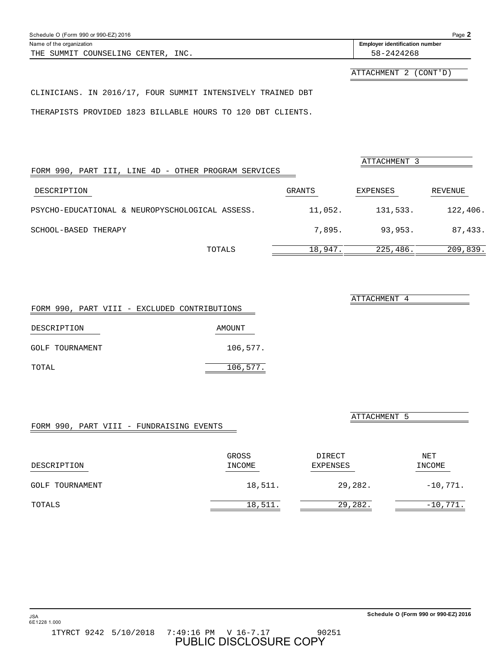|                                              |          |                 | ATTACHMENT 4 |
|----------------------------------------------|----------|-----------------|--------------|
| FORM 990, PART VIII - EXCLUDED CONTRIBUTIONS |          |                 |              |
| DESCRIPTION                                  | AMOUNT   |                 |              |
| GOLF TOURNAMENT                              | 106,577. |                 |              |
| TOTAL                                        | 106,577. |                 |              |
|                                              |          |                 |              |
|                                              |          |                 |              |
| FORM 990, PART VIII - FUNDRAISING EVENTS     |          |                 | ATTACHMENT 5 |
|                                              | GROSS    | DIRECT          | NET          |
| DESCRIPTION                                  | INCOME   | <b>EXPENSES</b> | INCOME       |

GOLF TOURNAMENT 18,511. 29,282. -10,771.

 $\begin{array}{cccccccccc} \text{TOTALS} & & & & \text{~~} & \text{~~} & \text{~~} & \text{~~} & \text{~~} & \text{~~} & \text{~~} & \text{~~} & \text{~~} & \text{~~} & \text{~~} & \text{~~} & \text{~~} & \text{~~} & \text{~~} & \text{~~} & \text{~~} & \text{~~} & \text{~~} & \text{~~} & \text{~~} & \text{~~} \text{~~} \text{~~} \text{~~} \text{~~} \text{~~} & \text{~~} & \text{~~} & \text{~~} & \text{~~} & \text{~~} & \text{~~} & \text{~~} \text$ 

SCHOOL-BASED THERAPY 7,895. 93,953. 87,433.

ATTACHMENT 3 FORM 990, PART III, LINE 4D - OTHER PROGRAM SERVICES DESCRIPTION GRANTS EXPENSES REVENUE PSYCHO-EDUCATIONAL & NEUROPYSCHOLOGICAL ASSESS. 11,052. 131,533. 122,406.

CLINICIANS. IN 2016/17, FOUR SUMMIT INTENSIVELY TRAINED DBT

THERAPISTS PROVIDED 1823 BILLABLE HOURS TO 120 DBT CLIENTS.

THE SUMMIT COUNSELING CENTER, INC. 58-2424268

<span id="page-40-0"></span>Name of the organization **Employer identification number Employer identification number** 

ATTACHMENT 2 (CONT'D)

6E1228 1.000

TOTALS 18,947. 225,486. 209,839.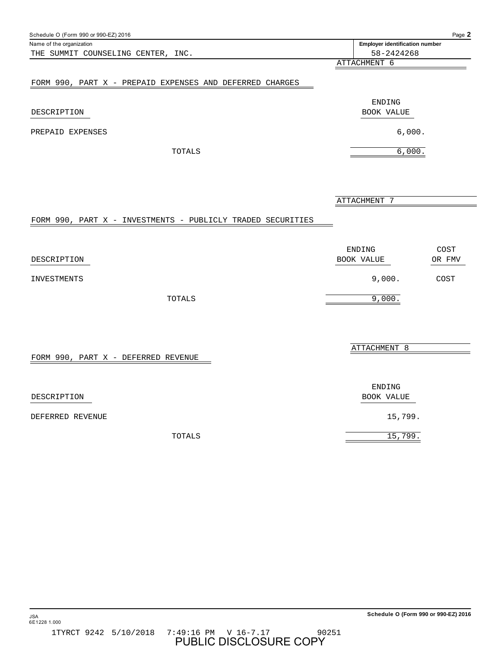<span id="page-41-0"></span>

| Schedule O (Form 990 or 990-EZ) 2016 |                                                             |                   | Page 2 |
|--------------------------------------|-------------------------------------------------------------|-------------------|--------|
| Name of the organization             | Employer identification number                              |                   |        |
| THE SUMMIT COUNSELING CENTER, INC.   |                                                             | 58-2424268        |        |
|                                      |                                                             | ATTACHMENT 6      |        |
|                                      | FORM 990, PART X - PREPAID EXPENSES AND DEFERRED CHARGES    |                   |        |
|                                      |                                                             |                   |        |
|                                      |                                                             | ENDING            |        |
| DESCRIPTION                          |                                                             | <b>BOOK VALUE</b> |        |
| PREPAID EXPENSES                     |                                                             | 6,000.            |        |
|                                      |                                                             |                   |        |
|                                      | TOTALS                                                      | 6,000.            |        |
|                                      |                                                             |                   |        |
|                                      |                                                             |                   |        |
|                                      |                                                             | ATTACHMENT 7      |        |
|                                      |                                                             |                   |        |
|                                      | FORM 990, PART X - INVESTMENTS - PUBLICLY TRADED SECURITIES |                   |        |
|                                      |                                                             |                   |        |
|                                      |                                                             | ENDING            | COST   |
| DESCRIPTION                          |                                                             | BOOK VALUE        | OR FMV |
| INVESTMENTS                          |                                                             | 9,000.            | COST   |
|                                      | TOTALS                                                      | 9,000.            |        |
|                                      |                                                             |                   |        |
|                                      |                                                             |                   |        |
|                                      |                                                             |                   |        |
|                                      |                                                             | ATTACHMENT 8      |        |
| FORM 990, PART X - DEFERRED REVENUE  |                                                             |                   |        |
|                                      |                                                             |                   |        |
|                                      |                                                             | ENDING            |        |
| DESCRIPTION                          |                                                             | BOOK VALUE        |        |
| DEFERRED REVENUE                     |                                                             | 15,799.           |        |
|                                      |                                                             |                   |        |
|                                      | TOTALS                                                      | 15,799.           |        |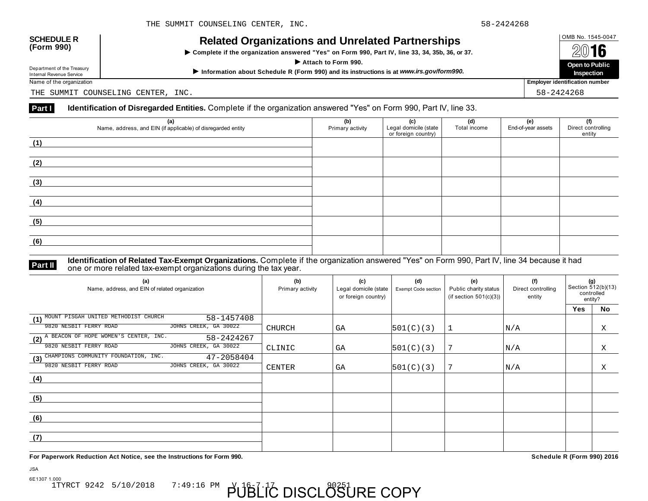# **OMB No. 1545-0047**<br>
(Form 990) Related Organizations and Unrelated Partnerships<br>
Dental Martin Density to the Case of the Case of the Case of the Case of the Case of the Case of the Case of the Case of the C

**INCRACT OF STREAM STREAM IN COMPART OF A STREAM IN A STREAM IN A STREAM IN A STREAM STREAM IN A STREAM IN A STREAM IN A STREAM IN A STREAM IN A STREAM IN A STREAM IN A STREAM IN A STREAM IN A STREAM IN A STREAM IN A STRE** 

**Department of the Treasury**<br>
Information about Schedule R (Form 990) and its instructions is at *www.irs.gov/form990.*<br>
Inspection

Name of the organization **Employer identification number Employer identification number** 

THE SUMMIT COUNSELING CENTER, INC. THE SUMMIT COUNSELING CENTER, INC.

## Part I Identification of Disregarded Entities. Complete if the organization answered "Yes" on Form 990, Part IV, line 33.

| (a)<br>Name, address, and EIN (if applicable) of disregarded entity | (b)<br>Primary activity | (c)<br>Legal domicile (state<br>or foreign country) | (d)<br>Total income | <b>(e)</b><br>End-of-year assets | (f)<br>Direct controlling<br>entity |
|---------------------------------------------------------------------|-------------------------|-----------------------------------------------------|---------------------|----------------------------------|-------------------------------------|
| (1)                                                                 |                         |                                                     |                     |                                  |                                     |
| (2)                                                                 |                         |                                                     |                     |                                  |                                     |
| (3)                                                                 |                         |                                                     |                     |                                  |                                     |
| (4)                                                                 |                         |                                                     |                     |                                  |                                     |
| (5)                                                                 |                         |                                                     |                     |                                  |                                     |
| (6)                                                                 |                         |                                                     |                     |                                  |                                     |

**Identification of Related Tax-Exempt Organizations.** Complete if the organization answered "Yes" on Form 990, Part IV, line 34 because it had **Part II** one or more related tax-exempt organizations during the tax year.

| (a)<br>Name, address, and EIN of related organization                                                        | (b)<br>Primary activity | (c)<br>Legal domicile (state<br>or foreign country) | (d)<br>Exempt Code section | (e)<br>Public charity status<br>(if section $501(c)(3)$ ) | (f)<br>Direct controlling<br>entity | (g)<br>Section 512(b)(13)<br>controlled<br>entity? |    |
|--------------------------------------------------------------------------------------------------------------|-------------------------|-----------------------------------------------------|----------------------------|-----------------------------------------------------------|-------------------------------------|----------------------------------------------------|----|
|                                                                                                              |                         |                                                     |                            |                                                           |                                     | Yes                                                | No |
| MOUNT PISGAH UNITED METHODIST CHURCH<br>58-1457408<br>(1)<br>9820 NESBIT FERRY ROAD<br>JOHNS CREEK, GA 30022 | <b>CHURCH</b>           | GA                                                  | 501(C)(3)                  |                                                           | N/A                                 |                                                    | Χ  |
| (2) A BEACON OF HOPE WOMEN'S CENTER, INC.<br>58-2424267                                                      |                         |                                                     |                            |                                                           |                                     |                                                    |    |
| JOHNS CREEK, GA 30022<br>9820 NESBIT FERRY ROAD                                                              | CLINIC                  | GA                                                  | 501(C)(3)                  | 7                                                         | N/A                                 |                                                    | Χ  |
| CHAMPIONS COMMUNITY FOUNDATION, INC.<br>47-2058404<br>(3)                                                    |                         |                                                     |                            |                                                           |                                     |                                                    |    |
| JOHNS CREEK, GA 30022<br>9820 NESBIT FERRY ROAD                                                              | <b>CENTER</b>           | GA                                                  | 501(C)(3)                  | 7                                                         | N/A                                 |                                                    | Χ  |
| (4)                                                                                                          |                         |                                                     |                            |                                                           |                                     |                                                    |    |
| (5)                                                                                                          |                         |                                                     |                            |                                                           |                                     |                                                    |    |
| (6)                                                                                                          |                         |                                                     |                            |                                                           |                                     |                                                    |    |
| (7)                                                                                                          |                         |                                                     |                            |                                                           |                                     |                                                    |    |

**For Paperwork Reduction Act Notice, see the Instructions for Form 990. Schedule R (Form 990) 2016**

| ×<br>I<br>$\sim$ |
|------------------|
|------------------|

# 1TYRCT 9242 5/10/2018 7:49:16 PM  $\frac{1}{16}$  16-7.12  $\frac{1}{2}$   $\frac{1}{2}$   $\frac{2}{3}$ PUBLIC DISCLOSURE COPY

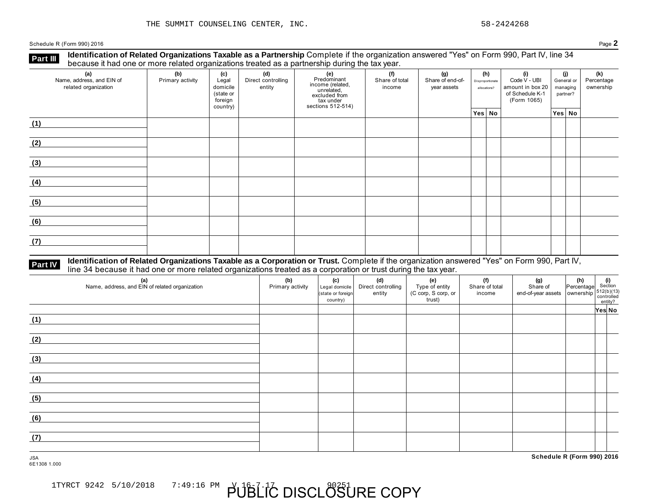Schedule R (Form 990) 2016 Page **2**

**Identification of Related Organizations Taxable as a Partnership** Complete if the organization answered "Yes" on Form 990, Part IV, line 34 **because it had one or more related organizations Taxable as a Partnership** Complete in the organization of Recause it had one or more related organizations treated as a partnership during the tax year.

| sociales it had one of more related organizations treated as a partnereing and tart fear. |                         |                                                              |                                     |                                                                                                         |                                 |                                        |                                  |     |                                                                           |                                           |                                |
|-------------------------------------------------------------------------------------------|-------------------------|--------------------------------------------------------------|-------------------------------------|---------------------------------------------------------------------------------------------------------|---------------------------------|----------------------------------------|----------------------------------|-----|---------------------------------------------------------------------------|-------------------------------------------|--------------------------------|
| (a)<br>Name, address, and EIN of<br>related organization                                  | (b)<br>Primary activity | (c)<br>Legal<br>domicile<br>(state or<br>foreign<br>country) | (d)<br>Direct controlling<br>entity | (e)<br>Predominant<br>income (related,<br>unrelated,<br>excluded from<br>tax under<br>sections 512-514) | (f)<br>Share of total<br>income | (g)<br>Share of end-of-<br>year assets | Disproportionate<br>allocations? | (h) | (i)<br>Code V - UBI<br>amount in box 20<br>of Schedule K-1<br>(Form 1065) | (j)<br>General or<br>managing<br>partner? | (k)<br>Percentage<br>ownership |
|                                                                                           |                         |                                                              |                                     |                                                                                                         |                                 |                                        | Yes No                           |     |                                                                           | $ Yes $ No                                |                                |
| (1)                                                                                       |                         |                                                              |                                     |                                                                                                         |                                 |                                        |                                  |     |                                                                           |                                           |                                |
| (2)                                                                                       |                         |                                                              |                                     |                                                                                                         |                                 |                                        |                                  |     |                                                                           |                                           |                                |
| (3)                                                                                       |                         |                                                              |                                     |                                                                                                         |                                 |                                        |                                  |     |                                                                           |                                           |                                |
| (4)                                                                                       |                         |                                                              |                                     |                                                                                                         |                                 |                                        |                                  |     |                                                                           |                                           |                                |
| (5)                                                                                       |                         |                                                              |                                     |                                                                                                         |                                 |                                        |                                  |     |                                                                           |                                           |                                |
| (6)                                                                                       |                         |                                                              |                                     |                                                                                                         |                                 |                                        |                                  |     |                                                                           |                                           |                                |
| (7)                                                                                       |                         |                                                              |                                     |                                                                                                         |                                 |                                        |                                  |     |                                                                           |                                           |                                |

### Identification of Related Organizations Taxable as a Corporation or Trust. Complete if the organization answered "Yes" on Form 990, Part IV, **Part IV** dentification of Related Organizations Taxable as a Corporation or Trust. Complete if the organization ans large line 34 because it had one or more related organizations treated as a corporation or trust during t

| (a)<br>Name, address, and EIN of related organization | (b)<br>Primary activity | (c)<br>Legal domicile<br>(state or foreign | (d)<br>Direct controlling<br>entity | (e)<br>Type of entity<br>(C corp, S corp, or | (f)<br>Share of total<br>income | <b>(g)</b><br>Share of<br>$\left  \begin{array}{c} \text{Cylac} \\ \text{end-of-year assets} \end{array} \right  \left  \begin{array}{c} \text{Cylca} \\ \text{overship} \end{array} \right  \left  \begin{array}{c} 512(b)(13) \\ \text{controlled} \end{array} \right $ | (h) (i)<br>Percentage Section |         |
|-------------------------------------------------------|-------------------------|--------------------------------------------|-------------------------------------|----------------------------------------------|---------------------------------|---------------------------------------------------------------------------------------------------------------------------------------------------------------------------------------------------------------------------------------------------------------------------|-------------------------------|---------|
|                                                       |                         | country)                                   |                                     | trust)                                       |                                 |                                                                                                                                                                                                                                                                           |                               | entity? |
|                                                       |                         |                                            |                                     |                                              |                                 |                                                                                                                                                                                                                                                                           |                               | Yes No  |
| (1)                                                   |                         |                                            |                                     |                                              |                                 |                                                                                                                                                                                                                                                                           |                               |         |
| (2)                                                   |                         |                                            |                                     |                                              |                                 |                                                                                                                                                                                                                                                                           |                               |         |
| (3)                                                   |                         |                                            |                                     |                                              |                                 |                                                                                                                                                                                                                                                                           |                               |         |
| (4)                                                   |                         |                                            |                                     |                                              |                                 |                                                                                                                                                                                                                                                                           |                               |         |
| (5)                                                   |                         |                                            |                                     |                                              |                                 |                                                                                                                                                                                                                                                                           |                               |         |
| (6)                                                   |                         |                                            |                                     |                                              |                                 |                                                                                                                                                                                                                                                                           |                               |         |
| (7)                                                   |                         |                                            |                                     |                                              |                                 |                                                                                                                                                                                                                                                                           |                               |         |
| <b>JSA</b>                                            |                         |                                            |                                     |                                              |                                 | Schedule R (Form 990) 2016                                                                                                                                                                                                                                                |                               |         |

6E1308 1.000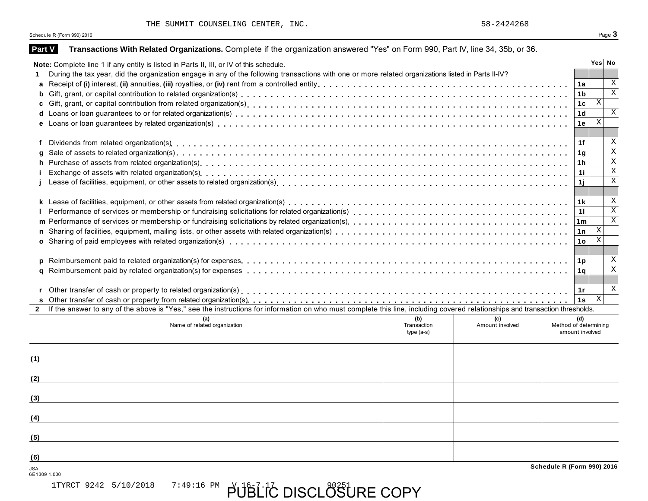|                     | Schedule R (Form 990) 2016                                                                                                                                                   | Page 3                                   |
|---------------------|------------------------------------------------------------------------------------------------------------------------------------------------------------------------------|------------------------------------------|
| Part V              | Transactions With Related Organizations. Complete if the organization answered "Yes" on Form 990, Part IV, line 34, 35b, or 36.                                              |                                          |
|                     | Note: Complete line 1 if any entity is listed in Parts II, III, or IV of this schedule.                                                                                      | Yes No                                   |
|                     | During the tax year, did the organization engage in any of the following transactions with one or more related organizations listed in Parts II-IV?                          |                                          |
| a                   |                                                                                                                                                                              | X<br>1a                                  |
| b                   |                                                                                                                                                                              | X<br>1 <sub>b</sub>                      |
|                     |                                                                                                                                                                              | $\,$ X<br>1c                             |
|                     |                                                                                                                                                                              | X<br>1 <sub>d</sub>                      |
|                     |                                                                                                                                                                              | X<br>1е                                  |
|                     |                                                                                                                                                                              |                                          |
| f                   |                                                                                                                                                                              | X<br>1f                                  |
|                     |                                                                                                                                                                              | $\mathbf X$<br>1 <sub>g</sub>            |
| h                   |                                                                                                                                                                              | X<br>1h                                  |
|                     |                                                                                                                                                                              | X<br>1i.                                 |
|                     |                                                                                                                                                                              | X<br>1j                                  |
|                     |                                                                                                                                                                              | X                                        |
|                     |                                                                                                                                                                              | 1 k<br>$\mathbf{X}$<br>11                |
|                     |                                                                                                                                                                              | X                                        |
|                     |                                                                                                                                                                              | 1 <sub>m</sub><br>$\,$ X                 |
| n.                  |                                                                                                                                                                              | 1n<br>X                                  |
|                     |                                                                                                                                                                              | 1o                                       |
|                     |                                                                                                                                                                              | X<br>1p                                  |
|                     |                                                                                                                                                                              | X<br>1 <sub>a</sub>                      |
|                     |                                                                                                                                                                              |                                          |
|                     |                                                                                                                                                                              | X<br>1r                                  |
|                     |                                                                                                                                                                              | X<br>1s                                  |
| $\mathbf{2}$        | If the answer to any of the above is "Yes," see the instructions for information on who must complete this line, including covered relationships and transaction thresholds. |                                          |
|                     | (b)<br>(a)<br>(c)                                                                                                                                                            | (d)                                      |
|                     | Name of related organization<br>Transaction<br>Amount involved<br>$type(a-s)$                                                                                                | Method of determining<br>amount involved |
|                     |                                                                                                                                                                              |                                          |
|                     |                                                                                                                                                                              |                                          |
| (1)                 |                                                                                                                                                                              |                                          |
| (2)                 |                                                                                                                                                                              |                                          |
|                     |                                                                                                                                                                              |                                          |
| (3)                 |                                                                                                                                                                              |                                          |
| (4)                 |                                                                                                                                                                              |                                          |
| (5)                 |                                                                                                                                                                              |                                          |
|                     |                                                                                                                                                                              |                                          |
| (6)                 |                                                                                                                                                                              |                                          |
| JSA<br>6E1309 1.000 | Schedule R (Form 990) 2016                                                                                                                                                   |                                          |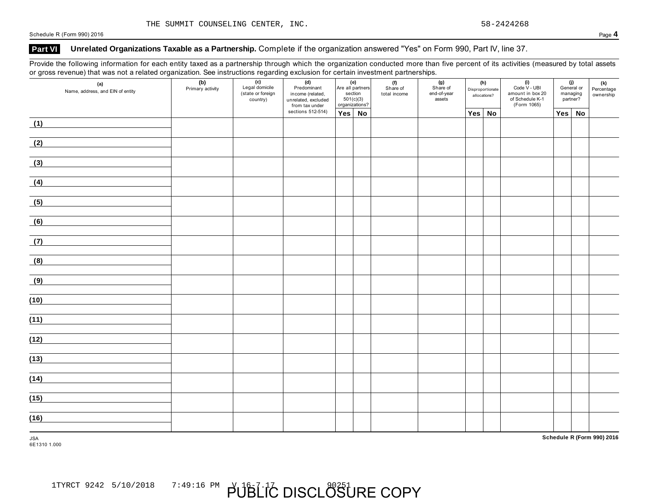Schedule R (Form 990) 2016 Page **4**

## Part VI Unrelated Organizations Taxable as a Partnership. Complete if the organization answered "Yes" on Form 990, Part IV, line 37.

Provide the following information for each entity taxed as a partnership through which the organization conducted more than five percent of its activities (measured by total assets or gross revenue) that was not a related organization. See instructions regarding exclusion for certain investment partnerships.

| ັ<br>$\epsilon$<br>(a)<br>Name, address, and EIN of entity | ັ<br>(b)<br>Primary activity | ັ<br>(c)<br>Legal domicile<br>(state or foreign<br>country) | ັ<br>(d)<br>Predominant<br>income (related,<br>unrelated, excluded<br>from tax under | (e)<br>Are all partners<br>section<br>$501(c)(3)$<br>organizations? | . .<br>(f)<br>Share of<br>total income | (g)<br>Share of<br>end-of-year<br>assets |     | (h)<br>Disproportionate<br>allocations? | $(i)$<br>Code V - UBI<br>amount in box 20<br>of Schedule K-1<br>(Form 1065) |     | (j)<br>General or<br>managing<br>partner? | (k)<br>Percentage<br>ownership |
|------------------------------------------------------------|------------------------------|-------------------------------------------------------------|--------------------------------------------------------------------------------------|---------------------------------------------------------------------|----------------------------------------|------------------------------------------|-----|-----------------------------------------|-----------------------------------------------------------------------------|-----|-------------------------------------------|--------------------------------|
|                                                            |                              |                                                             | sections 512-514)                                                                    | Yes No                                                              |                                        |                                          | Yes | No                                      |                                                                             | Yes | <b>No</b>                                 |                                |
| (1)                                                        |                              |                                                             |                                                                                      |                                                                     |                                        |                                          |     |                                         |                                                                             |     |                                           |                                |
| (2)                                                        |                              |                                                             |                                                                                      |                                                                     |                                        |                                          |     |                                         |                                                                             |     |                                           |                                |
| (3)                                                        |                              |                                                             |                                                                                      |                                                                     |                                        |                                          |     |                                         |                                                                             |     |                                           |                                |
| (4)                                                        |                              |                                                             |                                                                                      |                                                                     |                                        |                                          |     |                                         |                                                                             |     |                                           |                                |
| (5)                                                        |                              |                                                             |                                                                                      |                                                                     |                                        |                                          |     |                                         |                                                                             |     |                                           |                                |
| (6)                                                        |                              |                                                             |                                                                                      |                                                                     |                                        |                                          |     |                                         |                                                                             |     |                                           |                                |
| (7)                                                        |                              |                                                             |                                                                                      |                                                                     |                                        |                                          |     |                                         |                                                                             |     |                                           |                                |
| (8)                                                        |                              |                                                             |                                                                                      |                                                                     |                                        |                                          |     |                                         |                                                                             |     |                                           |                                |
| (9)                                                        |                              |                                                             |                                                                                      |                                                                     |                                        |                                          |     |                                         |                                                                             |     |                                           |                                |
| (10)                                                       |                              |                                                             |                                                                                      |                                                                     |                                        |                                          |     |                                         |                                                                             |     |                                           |                                |
| (11)                                                       |                              |                                                             |                                                                                      |                                                                     |                                        |                                          |     |                                         |                                                                             |     |                                           |                                |
| (12)                                                       |                              |                                                             |                                                                                      |                                                                     |                                        |                                          |     |                                         |                                                                             |     |                                           |                                |
| (13)                                                       |                              |                                                             |                                                                                      |                                                                     |                                        |                                          |     |                                         |                                                                             |     |                                           |                                |
| (14)                                                       |                              |                                                             |                                                                                      |                                                                     |                                        |                                          |     |                                         |                                                                             |     |                                           |                                |
| (15)                                                       |                              |                                                             |                                                                                      |                                                                     |                                        |                                          |     |                                         |                                                                             |     |                                           |                                |
| (16)                                                       |                              |                                                             |                                                                                      |                                                                     |                                        |                                          |     |                                         |                                                                             |     |                                           |                                |
| <b>JSA</b>                                                 |                              |                                                             |                                                                                      |                                                                     |                                        |                                          |     |                                         |                                                                             |     |                                           | Schedule R (Form 990) 2016     |

6E1310 1.000